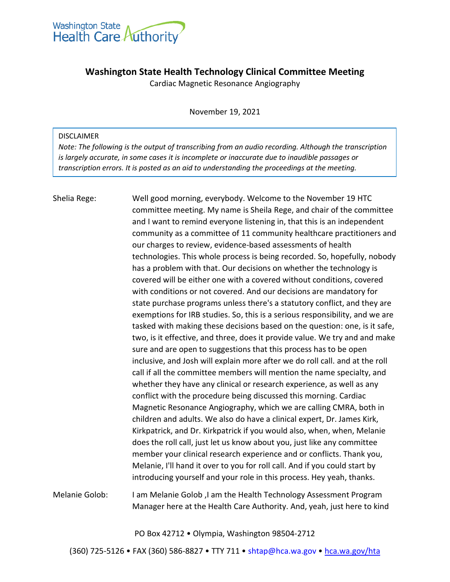

## **Washington State Health Technology Clinical Committee Meeting**

Cardiac Magnetic Resonance Angiography

November 19, 2021

## DISCLAIMER

*Note: The following is the output of transcribing from an audio recording. Although the transcription is largely accurate, in some cases it is incomplete or inaccurate due to inaudible passages or transcription errors. It is posted as an aid to understanding the proceedings at the meeting.*

## Shelia Rege: Well good morning, everybody. Welcome to the November 19 HTC committee meeting. My name is Sheila Rege, and chair of the committee and I want to remind everyone listening in, that this is an independent community as a committee of 11 community healthcare practitioners and our charges to review, evidence-based assessments of health technologies. This whole process is being recorded. So, hopefully, nobody has a problem with that. Our decisions on whether the technology is covered will be either one with a covered without conditions, covered with conditions or not covered. And our decisions are mandatory for state purchase programs unless there's a statutory conflict, and they are exemptions for IRB studies. So, this is a serious responsibility, and we are tasked with making these decisions based on the question: one, is it safe, two, is it effective, and three, does it provide value. We try and and make sure and are open to suggestions that this process has to be open inclusive, and Josh will explain more after we do roll call. and at the roll call if all the committee members will mention the name specialty, and whether they have any clinical or research experience, as well as any conflict with the procedure being discussed this morning. Cardiac Magnetic Resonance Angiography, which we are calling CMRA, both in children and adults. We also do have a clinical expert, Dr. James Kirk, Kirkpatrick, and Dr. Kirkpatrick if you would also, when, when, Melanie does the roll call, just let us know about you, just like any committee member your clinical research experience and or conflicts. Thank you, Melanie, I'll hand it over to you for roll call. And if you could start by introducing yourself and your role in this process. Hey yeah, thanks.

Melanie Golob: I am Melanie Golob ,I am the Health Technology Assessment Program Manager here at the Health Care Authority. And, yeah, just here to kind

PO Box 42712 • Olympia, Washington 98504-2712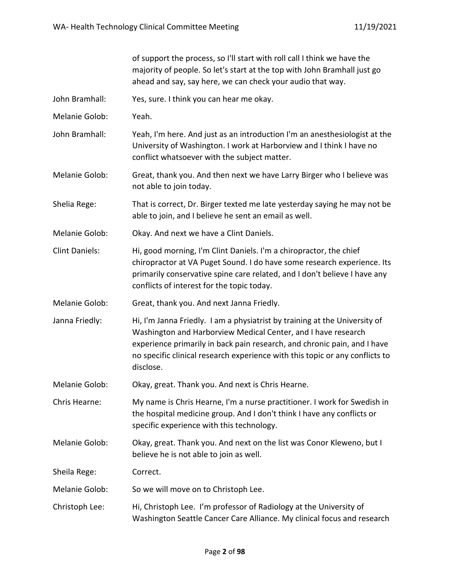|                       | of support the process, so I'll start with roll call I think we have the<br>majority of people. So let's start at the top with John Bramhall just go<br>ahead and say, say here, we can check your audio that way.                                                                                                   |
|-----------------------|----------------------------------------------------------------------------------------------------------------------------------------------------------------------------------------------------------------------------------------------------------------------------------------------------------------------|
| John Bramhall:        | Yes, sure. I think you can hear me okay.                                                                                                                                                                                                                                                                             |
| Melanie Golob:        | Yeah.                                                                                                                                                                                                                                                                                                                |
| John Bramhall:        | Yeah, I'm here. And just as an introduction I'm an anesthesiologist at the<br>University of Washington. I work at Harborview and I think I have no<br>conflict whatsoever with the subject matter.                                                                                                                   |
| Melanie Golob:        | Great, thank you. And then next we have Larry Birger who I believe was<br>not able to join today.                                                                                                                                                                                                                    |
| Shelia Rege:          | That is correct, Dr. Birger texted me late yesterday saying he may not be<br>able to join, and I believe he sent an email as well.                                                                                                                                                                                   |
| Melanie Golob:        | Okay. And next we have a Clint Daniels.                                                                                                                                                                                                                                                                              |
| <b>Clint Daniels:</b> | Hi, good morning, I'm Clint Daniels. I'm a chiropractor, the chief<br>chiropractor at VA Puget Sound. I do have some research experience. Its<br>primarily conservative spine care related, and I don't believe I have any<br>conflicts of interest for the topic today.                                             |
| Melanie Golob:        | Great, thank you. And next Janna Friedly.                                                                                                                                                                                                                                                                            |
| Janna Friedly:        | Hi, I'm Janna Friedly. I am a physiatrist by training at the University of<br>Washington and Harborview Medical Center, and I have research<br>experience primarily in back pain research, and chronic pain, and I have<br>no specific clinical research experience with this topic or any conflicts to<br>disclose. |
| Melanie Golob:        | Okay, great. Thank you. And next is Chris Hearne.                                                                                                                                                                                                                                                                    |
| Chris Hearne:         | My name is Chris Hearne, I'm a nurse practitioner. I work for Swedish in<br>the hospital medicine group. And I don't think I have any conflicts or<br>specific experience with this technology.                                                                                                                      |
| Melanie Golob:        | Okay, great. Thank you. And next on the list was Conor Kleweno, but I<br>believe he is not able to join as well.                                                                                                                                                                                                     |
| Sheila Rege:          | Correct.                                                                                                                                                                                                                                                                                                             |
| Melanie Golob:        | So we will move on to Christoph Lee.                                                                                                                                                                                                                                                                                 |
| Christoph Lee:        | Hi, Christoph Lee. I'm professor of Radiology at the University of<br>Washington Seattle Cancer Care Alliance. My clinical focus and research                                                                                                                                                                        |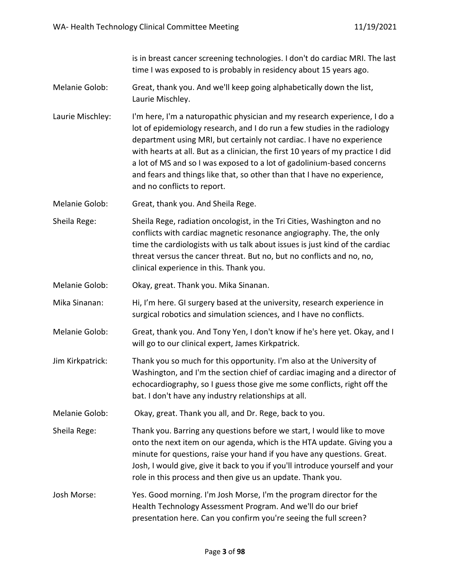is in breast cancer screening technologies. I don't do cardiac MRI. The last time I was exposed to is probably in residency about 15 years ago.

- Melanie Golob: Great, thank you. And we'll keep going alphabetically down the list, Laurie Mischley.
- Laurie Mischley: I'm here, I'm a naturopathic physician and my research experience, I do a lot of epidemiology research, and I do run a few studies in the radiology department using MRI, but certainly not cardiac. I have no experience with hearts at all. But as a clinician, the first 10 years of my practice I did a lot of MS and so I was exposed to a lot of gadolinium-based concerns and fears and things like that, so other than that I have no experience, and no conflicts to report.

Melanie Golob: Great, thank you. And Sheila Rege.

- Sheila Rege: Sheila Rege, radiation oncologist, in the Tri Cities, Washington and no conflicts with cardiac magnetic resonance angiography. The, the only time the cardiologists with us talk about issues is just kind of the cardiac threat versus the cancer threat. But no, but no conflicts and no, no, clinical experience in this. Thank you.
- Melanie Golob: Okay, great. Thank you. Mika Sinanan.
- Mika Sinanan: Hi, I'm here. GI surgery based at the university, research experience in surgical robotics and simulation sciences, and I have no conflicts.
- Melanie Golob: Great, thank you. And Tony Yen, I don't know if he's here yet. Okay, and I will go to our clinical expert, James Kirkpatrick.
- Jim Kirkpatrick: Thank you so much for this opportunity. I'm also at the University of Washington, and I'm the section chief of cardiac imaging and a director of echocardiography, so I guess those give me some conflicts, right off the bat. I don't have any industry relationships at all.

Melanie Golob: Okay, great. Thank you all, and Dr. Rege, back to you.

- Sheila Rege: Thank you. Barring any questions before we start, I would like to move onto the next item on our agenda, which is the HTA update. Giving you a minute for questions, raise your hand if you have any questions. Great. Josh, I would give, give it back to you if you'll introduce yourself and your role in this process and then give us an update. Thank you.
- Josh Morse: Yes. Good morning. I'm Josh Morse, I'm the program director for the Health Technology Assessment Program. And we'll do our brief presentation here. Can you confirm you're seeing the full screen?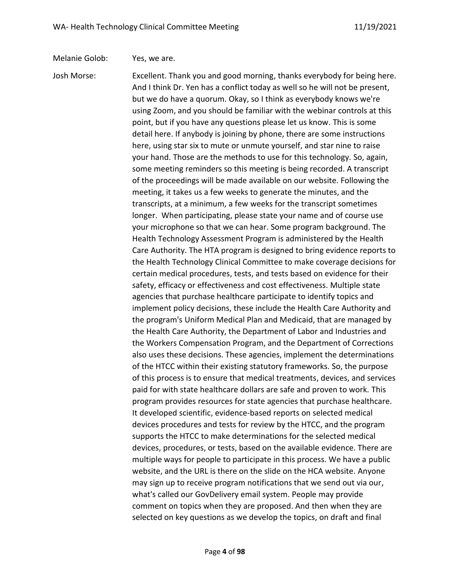Melanie Golob: Yes, we are.

Josh Morse: Excellent. Thank you and good morning, thanks everybody for being here. And I think Dr. Yen has a conflict today as well so he will not be present, but we do have a quorum. Okay, so I think as everybody knows we're using Zoom, and you should be familiar with the webinar controls at this point, but if you have any questions please let us know. This is some detail here. If anybody is joining by phone, there are some instructions here, using star six to mute or unmute yourself, and star nine to raise your hand. Those are the methods to use for this technology. So, again, some meeting reminders so this meeting is being recorded. A transcript of the proceedings will be made available on our website. Following the meeting, it takes us a few weeks to generate the minutes, and the transcripts, at a minimum, a few weeks for the transcript sometimes longer. When participating, please state your name and of course use your microphone so that we can hear. Some program background. The Health Technology Assessment Program is administered by the Health Care Authority. The HTA program is designed to bring evidence reports to the Health Technology Clinical Committee to make coverage decisions for certain medical procedures, tests, and tests based on evidence for their safety, efficacy or effectiveness and cost effectiveness. Multiple state agencies that purchase healthcare participate to identify topics and implement policy decisions, these include the Health Care Authority and the program's Uniform Medical Plan and Medicaid, that are managed by the Health Care Authority, the Department of Labor and Industries and the Workers Compensation Program, and the Department of Corrections also uses these decisions. These agencies, implement the determinations of the HTCC within their existing statutory frameworks. So, the purpose of this process is to ensure that medical treatments, devices, and services paid for with state healthcare dollars are safe and proven to work. This program provides resources for state agencies that purchase healthcare. It developed scientific, evidence-based reports on selected medical devices procedures and tests for review by the HTCC, and the program supports the HTCC to make determinations for the selected medical devices, procedures, or tests, based on the available evidence. There are multiple ways for people to participate in this process. We have a public website, and the URL is there on the slide on the HCA website. Anyone may sign up to receive program notifications that we send out via our, what's called our GovDelivery email system. People may provide comment on topics when they are proposed. And then when they are selected on key questions as we develop the topics, on draft and final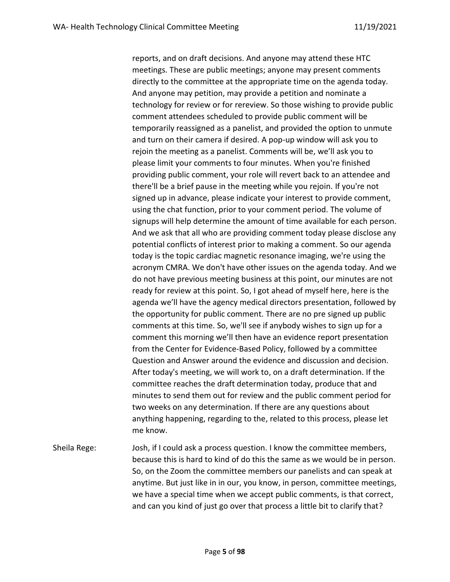reports, and on draft decisions. And anyone may attend these HTC meetings. These are public meetings; anyone may present comments directly to the committee at the appropriate time on the agenda today. And anyone may petition, may provide a petition and nominate a technology for review or for rereview. So those wishing to provide public comment attendees scheduled to provide public comment will be temporarily reassigned as a panelist, and provided the option to unmute and turn on their camera if desired. A pop-up window will ask you to rejoin the meeting as a panelist. Comments will be, we'll ask you to please limit your comments to four minutes. When you're finished providing public comment, your role will revert back to an attendee and there'll be a brief pause in the meeting while you rejoin. If you're not signed up in advance, please indicate your interest to provide comment, using the chat function, prior to your comment period. The volume of signups will help determine the amount of time available for each person. And we ask that all who are providing comment today please disclose any potential conflicts of interest prior to making a comment. So our agenda today is the topic cardiac magnetic resonance imaging, we're using the acronym CMRA. We don't have other issues on the agenda today. And we do not have previous meeting business at this point, our minutes are not ready for review at this point. So, I got ahead of myself here, here is the agenda we'll have the agency medical directors presentation, followed by the opportunity for public comment. There are no pre signed up public comments at this time. So, we'll see if anybody wishes to sign up for a comment this morning we'll then have an evidence report presentation from the Center for Evidence-Based Policy, followed by a committee Question and Answer around the evidence and discussion and decision. After today's meeting, we will work to, on a draft determination. If the committee reaches the draft determination today, produce that and minutes to send them out for review and the public comment period for two weeks on any determination. If there are any questions about anything happening, regarding to the, related to this process, please let me know.

Sheila Rege: Josh, if I could ask a process question. I know the committee members, because this is hard to kind of do this the same as we would be in person. So, on the Zoom the committee members our panelists and can speak at anytime. But just like in in our, you know, in person, committee meetings, we have a special time when we accept public comments, is that correct, and can you kind of just go over that process a little bit to clarify that?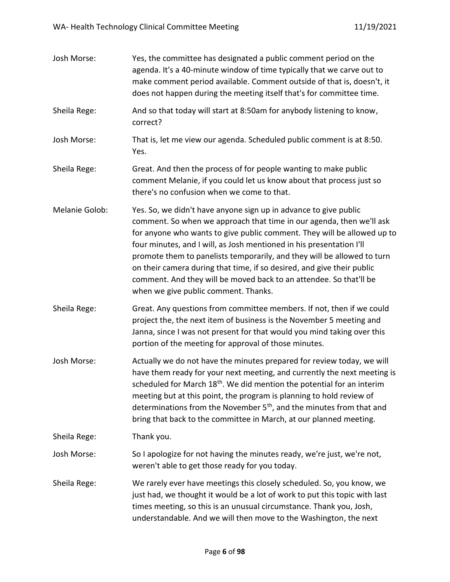| Josh Morse:    | Yes, the committee has designated a public comment period on the<br>agenda. It's a 40-minute window of time typically that we carve out to<br>make comment period available. Comment outside of that is, doesn't, it<br>does not happen during the meeting itself that's for committee time.                                                                                                                                                                                                                                                                   |
|----------------|----------------------------------------------------------------------------------------------------------------------------------------------------------------------------------------------------------------------------------------------------------------------------------------------------------------------------------------------------------------------------------------------------------------------------------------------------------------------------------------------------------------------------------------------------------------|
| Sheila Rege:   | And so that today will start at 8:50am for anybody listening to know,<br>correct?                                                                                                                                                                                                                                                                                                                                                                                                                                                                              |
| Josh Morse:    | That is, let me view our agenda. Scheduled public comment is at 8:50.<br>Yes.                                                                                                                                                                                                                                                                                                                                                                                                                                                                                  |
| Sheila Rege:   | Great. And then the process of for people wanting to make public<br>comment Melanie, if you could let us know about that process just so<br>there's no confusion when we come to that.                                                                                                                                                                                                                                                                                                                                                                         |
| Melanie Golob: | Yes. So, we didn't have anyone sign up in advance to give public<br>comment. So when we approach that time in our agenda, then we'll ask<br>for anyone who wants to give public comment. They will be allowed up to<br>four minutes, and I will, as Josh mentioned in his presentation I'll<br>promote them to panelists temporarily, and they will be allowed to turn<br>on their camera during that time, if so desired, and give their public<br>comment. And they will be moved back to an attendee. So that'll be<br>when we give public comment. Thanks. |
| Sheila Rege:   | Great. Any questions from committee members. If not, then if we could<br>project the, the next item of business is the November 5 meeting and<br>Janna, since I was not present for that would you mind taking over this<br>portion of the meeting for approval of those minutes.                                                                                                                                                                                                                                                                              |
| Josh Morse:    | Actually we do not have the minutes prepared for review today, we will<br>have them ready for your next meeting, and currently the next meeting is<br>scheduled for March 18 <sup>th</sup> . We did mention the potential for an interim<br>meeting but at this point, the program is planning to hold review of<br>determinations from the November 5 <sup>th</sup> , and the minutes from that and<br>bring that back to the committee in March, at our planned meeting.                                                                                     |
| Sheila Rege:   | Thank you.                                                                                                                                                                                                                                                                                                                                                                                                                                                                                                                                                     |
| Josh Morse:    | So I apologize for not having the minutes ready, we're just, we're not,<br>weren't able to get those ready for you today.                                                                                                                                                                                                                                                                                                                                                                                                                                      |
| Sheila Rege:   | We rarely ever have meetings this closely scheduled. So, you know, we<br>just had, we thought it would be a lot of work to put this topic with last<br>times meeting, so this is an unusual circumstance. Thank you, Josh,<br>understandable. And we will then move to the Washington, the next                                                                                                                                                                                                                                                                |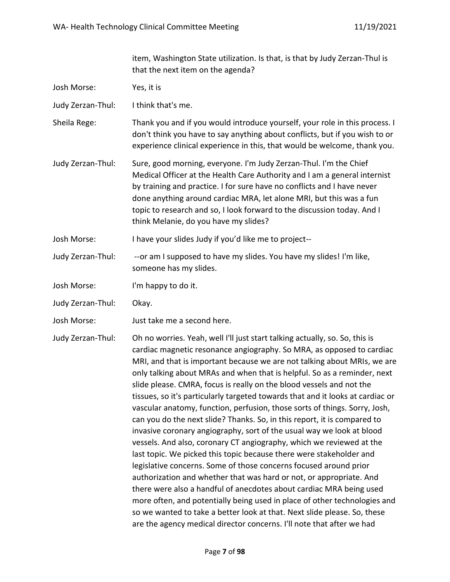item, Washington State utilization. Is that, is that by Judy Zerzan-Thul is that the next item on the agenda?

- Josh Morse: Yes, it is
- Judy Zerzan-Thul: I think that's me.
- Sheila Rege: Thank you and if you would introduce yourself, your role in this process. I don't think you have to say anything about conflicts, but if you wish to or experience clinical experience in this, that would be welcome, thank you.
- Judy Zerzan-Thul: Sure, good morning, everyone. I'm Judy Zerzan-Thul. I'm the Chief Medical Officer at the Health Care Authority and I am a general internist by training and practice. I for sure have no conflicts and I have never done anything around cardiac MRA, let alone MRI, but this was a fun topic to research and so, I look forward to the discussion today. And I think Melanie, do you have my slides?
- Josh Morse: I have your slides Judy if you'd like me to project--
- Judy Zerzan-Thul: --or am I supposed to have my slides. You have my slides! I'm like, someone has my slides.
- Josh Morse: I'm happy to do it.
- Judy Zerzan-Thul: Okay.
- Josh Morse: Just take me a second here.

Judy Zerzan-Thul: Oh no worries. Yeah, well I'll just start talking actually, so. So, this is cardiac magnetic resonance angiography. So MRA, as opposed to cardiac MRI, and that is important because we are not talking about MRIs, we are only talking about MRAs and when that is helpful. So as a reminder, next slide please. CMRA, focus is really on the blood vessels and not the tissues, so it's particularly targeted towards that and it looks at cardiac or vascular anatomy, function, perfusion, those sorts of things. Sorry, Josh, can you do the next slide? Thanks. So, in this report, it is compared to invasive coronary angiography, sort of the usual way we look at blood vessels. And also, coronary CT angiography, which we reviewed at the last topic. We picked this topic because there were stakeholder and legislative concerns. Some of those concerns focused around prior authorization and whether that was hard or not, or appropriate. And there were also a handful of anecdotes about cardiac MRA being used more often, and potentially being used in place of other technologies and so we wanted to take a better look at that. Next slide please. So, these are the agency medical director concerns. I'll note that after we had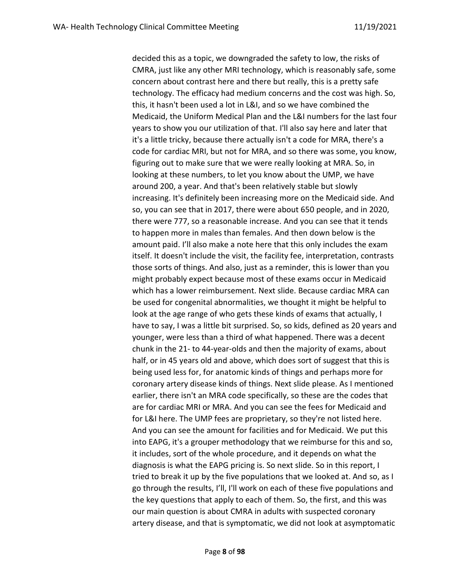decided this as a topic, we downgraded the safety to low, the risks of CMRA, just like any other MRI technology, which is reasonably safe, some concern about contrast here and there but really, this is a pretty safe technology. The efficacy had medium concerns and the cost was high. So, this, it hasn't been used a lot in L&I, and so we have combined the Medicaid, the Uniform Medical Plan and the L&I numbers for the last four years to show you our utilization of that. I'll also say here and later that it's a little tricky, because there actually isn't a code for MRA, there's a code for cardiac MRI, but not for MRA, and so there was some, you know, figuring out to make sure that we were really looking at MRA. So, in looking at these numbers, to let you know about the UMP, we have around 200, a year. And that's been relatively stable but slowly increasing. It's definitely been increasing more on the Medicaid side. And so, you can see that in 2017, there were about 650 people, and in 2020, there were 777, so a reasonable increase. And you can see that it tends to happen more in males than females. And then down below is the amount paid. I'll also make a note here that this only includes the exam itself. It doesn't include the visit, the facility fee, interpretation, contrasts those sorts of things. And also, just as a reminder, this is lower than you might probably expect because most of these exams occur in Medicaid which has a lower reimbursement. Next slide. Because cardiac MRA can be used for congenital abnormalities, we thought it might be helpful to look at the age range of who gets these kinds of exams that actually, I have to say, I was a little bit surprised. So, so kids, defined as 20 years and younger, were less than a third of what happened. There was a decent chunk in the 21- to 44-year-olds and then the majority of exams, about half, or in 45 years old and above, which does sort of suggest that this is being used less for, for anatomic kinds of things and perhaps more for coronary artery disease kinds of things. Next slide please. As I mentioned earlier, there isn't an MRA code specifically, so these are the codes that are for cardiac MRI or MRA. And you can see the fees for Medicaid and for L&I here. The UMP fees are proprietary, so they're not listed here. And you can see the amount for facilities and for Medicaid. We put this into EAPG, it's a grouper methodology that we reimburse for this and so, it includes, sort of the whole procedure, and it depends on what the diagnosis is what the EAPG pricing is. So next slide. So in this report, I tried to break it up by the five populations that we looked at. And so, as I go through the results, I'll, I'll work on each of these five populations and the key questions that apply to each of them. So, the first, and this was our main question is about CMRA in adults with suspected coronary artery disease, and that is symptomatic, we did not look at asymptomatic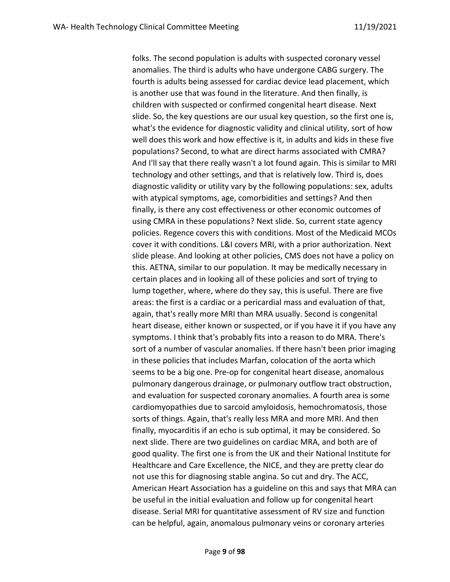folks. The second population is adults with suspected coronary vessel anomalies. The third is adults who have undergone CABG surgery. The fourth is adults being assessed for cardiac device lead placement, which is another use that was found in the literature. And then finally, is children with suspected or confirmed congenital heart disease. Next slide. So, the key questions are our usual key question, so the first one is, what's the evidence for diagnostic validity and clinical utility, sort of how well does this work and how effective is it, in adults and kids in these five populations? Second, to what are direct harms associated with CMRA? And I'll say that there really wasn't a lot found again. This is similar to MRI technology and other settings, and that is relatively low. Third is, does diagnostic validity or utility vary by the following populations: sex, adults with atypical symptoms, age, comorbidities and settings? And then finally, is there any cost effectiveness or other economic outcomes of using CMRA in these populations? Next slide. So, current state agency policies. Regence covers this with conditions. Most of the Medicaid MCOs cover it with conditions. L&I covers MRI, with a prior authorization. Next slide please. And looking at other policies, CMS does not have a policy on this. AETNA, similar to our population. It may be medically necessary in certain places and in looking all of these policies and sort of trying to lump together, where, where do they say, this is useful. There are five areas: the first is a cardiac or a pericardial mass and evaluation of that, again, that's really more MRI than MRA usually. Second is congenital heart disease, either known or suspected, or if you have it if you have any symptoms. I think that's probably fits into a reason to do MRA. There's sort of a number of vascular anomalies. If there hasn't been prior imaging in these policies that includes Marfan, colocation of the aorta which seems to be a big one. Pre-op for congenital heart disease, anomalous pulmonary dangerous drainage, or pulmonary outflow tract obstruction, and evaluation for suspected coronary anomalies. A fourth area is some cardiomyopathies due to sarcoid amyloidosis, hemochromatosis, those sorts of things. Again, that's really less MRA and more MRI. And then finally, myocarditis if an echo is sub optimal, it may be considered. So next slide. There are two guidelines on cardiac MRA, and both are of good quality. The first one is from the UK and their National Institute for Healthcare and Care Excellence, the NICE, and they are pretty clear do not use this for diagnosing stable angina. So cut and dry. The ACC, American Heart Association has a guideline on this and says that MRA can be useful in the initial evaluation and follow up for congenital heart disease. Serial MRI for quantitative assessment of RV size and function can be helpful, again, anomalous pulmonary veins or coronary arteries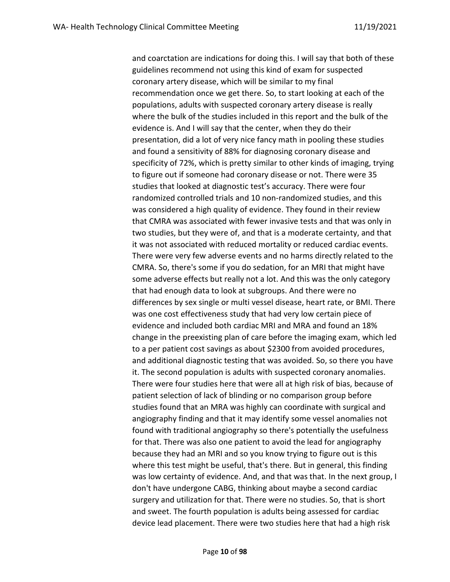and coarctation are indications for doing this. I will say that both of these guidelines recommend not using this kind of exam for suspected coronary artery disease, which will be similar to my final recommendation once we get there. So, to start looking at each of the populations, adults with suspected coronary artery disease is really where the bulk of the studies included in this report and the bulk of the evidence is. And I will say that the center, when they do their presentation, did a lot of very nice fancy math in pooling these studies and found a sensitivity of 88% for diagnosing coronary disease and specificity of 72%, which is pretty similar to other kinds of imaging, trying to figure out if someone had coronary disease or not. There were 35 studies that looked at diagnostic test's accuracy. There were four randomized controlled trials and 10 non-randomized studies, and this was considered a high quality of evidence. They found in their review that CMRA was associated with fewer invasive tests and that was only in two studies, but they were of, and that is a moderate certainty, and that it was not associated with reduced mortality or reduced cardiac events. There were very few adverse events and no harms directly related to the CMRA. So, there's some if you do sedation, for an MRI that might have some adverse effects but really not a lot. And this was the only category that had enough data to look at subgroups. And there were no differences by sex single or multi vessel disease, heart rate, or BMI. There was one cost effectiveness study that had very low certain piece of evidence and included both cardiac MRI and MRA and found an 18% change in the preexisting plan of care before the imaging exam, which led to a per patient cost savings as about \$2300 from avoided procedures, and additional diagnostic testing that was avoided. So, so there you have it. The second population is adults with suspected coronary anomalies. There were four studies here that were all at high risk of bias, because of patient selection of lack of blinding or no comparison group before studies found that an MRA was highly can coordinate with surgical and angiography finding and that it may identify some vessel anomalies not found with traditional angiography so there's potentially the usefulness for that. There was also one patient to avoid the lead for angiography because they had an MRI and so you know trying to figure out is this where this test might be useful, that's there. But in general, this finding was low certainty of evidence. And, and that was that. In the next group, I don't have undergone CABG, thinking about maybe a second cardiac surgery and utilization for that. There were no studies. So, that is short and sweet. The fourth population is adults being assessed for cardiac device lead placement. There were two studies here that had a high risk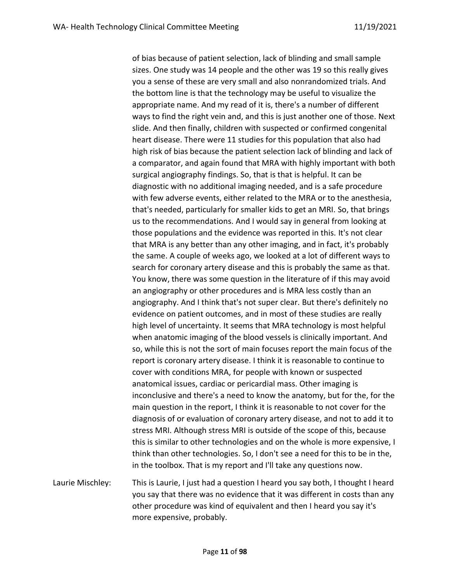of bias because of patient selection, lack of blinding and small sample sizes. One study was 14 people and the other was 19 so this really gives you a sense of these are very small and also nonrandomized trials. And the bottom line is that the technology may be useful to visualize the appropriate name. And my read of it is, there's a number of different ways to find the right vein and, and this is just another one of those. Next slide. And then finally, children with suspected or confirmed congenital heart disease. There were 11 studies for this population that also had high risk of bias because the patient selection lack of blinding and lack of a comparator, and again found that MRA with highly important with both surgical angiography findings. So, that is that is helpful. It can be diagnostic with no additional imaging needed, and is a safe procedure with few adverse events, either related to the MRA or to the anesthesia, that's needed, particularly for smaller kids to get an MRI. So, that brings us to the recommendations. And I would say in general from looking at those populations and the evidence was reported in this. It's not clear that MRA is any better than any other imaging, and in fact, it's probably the same. A couple of weeks ago, we looked at a lot of different ways to search for coronary artery disease and this is probably the same as that. You know, there was some question in the literature of if this may avoid an angiography or other procedures and is MRA less costly than an angiography. And I think that's not super clear. But there's definitely no evidence on patient outcomes, and in most of these studies are really high level of uncertainty. It seems that MRA technology is most helpful when anatomic imaging of the blood vessels is clinically important. And so, while this is not the sort of main focuses report the main focus of the report is coronary artery disease. I think it is reasonable to continue to cover with conditions MRA, for people with known or suspected anatomical issues, cardiac or pericardial mass. Other imaging is inconclusive and there's a need to know the anatomy, but for the, for the main question in the report, I think it is reasonable to not cover for the diagnosis of or evaluation of coronary artery disease, and not to add it to stress MRI. Although stress MRI is outside of the scope of this, because this is similar to other technologies and on the whole is more expensive, I think than other technologies. So, I don't see a need for this to be in the, in the toolbox. That is my report and I'll take any questions now.

Laurie Mischley: This is Laurie, I just had a question I heard you say both, I thought I heard you say that there was no evidence that it was different in costs than any other procedure was kind of equivalent and then I heard you say it's more expensive, probably.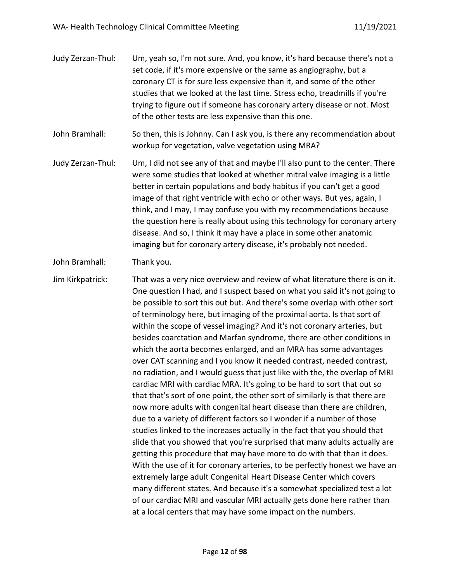- Judy Zerzan-Thul: Um, yeah so, I'm not sure. And, you know, it's hard because there's not a set code, if it's more expensive or the same as angiography, but a coronary CT is for sure less expensive than it, and some of the other studies that we looked at the last time. Stress echo, treadmills if you're trying to figure out if someone has coronary artery disease or not. Most of the other tests are less expensive than this one.
- John Bramhall: So then, this is Johnny. Can I ask you, is there any recommendation about workup for vegetation, valve vegetation using MRA?
- Judy Zerzan-Thul: Um, I did not see any of that and maybe I'll also punt to the center. There were some studies that looked at whether mitral valve imaging is a little better in certain populations and body habitus if you can't get a good image of that right ventricle with echo or other ways. But yes, again, I think, and I may, I may confuse you with my recommendations because the question here is really about using this technology for coronary artery disease. And so, I think it may have a place in some other anatomic imaging but for coronary artery disease, it's probably not needed.
- John Bramhall: Thank you.

Jim Kirkpatrick: That was a very nice overview and review of what literature there is on it. One question I had, and I suspect based on what you said it's not going to be possible to sort this out but. And there's some overlap with other sort of terminology here, but imaging of the proximal aorta. Is that sort of within the scope of vessel imaging? And it's not coronary arteries, but besides coarctation and Marfan syndrome, there are other conditions in which the aorta becomes enlarged, and an MRA has some advantages over CAT scanning and I you know it needed contrast, needed contrast, no radiation, and I would guess that just like with the, the overlap of MRI cardiac MRI with cardiac MRA. It's going to be hard to sort that out so that that's sort of one point, the other sort of similarly is that there are now more adults with congenital heart disease than there are children, due to a variety of different factors so I wonder if a number of those studies linked to the increases actually in the fact that you should that slide that you showed that you're surprised that many adults actually are getting this procedure that may have more to do with that than it does. With the use of it for coronary arteries, to be perfectly honest we have an extremely large adult Congenital Heart Disease Center which covers many different states. And because it's a somewhat specialized test a lot of our cardiac MRI and vascular MRI actually gets done here rather than at a local centers that may have some impact on the numbers.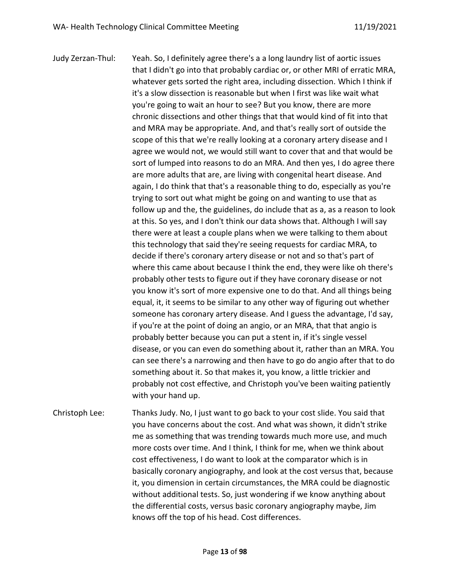Judy Zerzan-Thul: Yeah. So, I definitely agree there's a a long laundry list of aortic issues that I didn't go into that probably cardiac or, or other MRI of erratic MRA, whatever gets sorted the right area, including dissection. Which I think if it's a slow dissection is reasonable but when I first was like wait what you're going to wait an hour to see? But you know, there are more chronic dissections and other things that that would kind of fit into that and MRA may be appropriate. And, and that's really sort of outside the scope of this that we're really looking at a coronary artery disease and I agree we would not, we would still want to cover that and that would be sort of lumped into reasons to do an MRA. And then yes, I do agree there are more adults that are, are living with congenital heart disease. And again, I do think that that's a reasonable thing to do, especially as you're trying to sort out what might be going on and wanting to use that as follow up and the, the guidelines, do include that as a, as a reason to look at this. So yes, and I don't think our data shows that. Although I will say there were at least a couple plans when we were talking to them about this technology that said they're seeing requests for cardiac MRA, to decide if there's coronary artery disease or not and so that's part of where this came about because I think the end, they were like oh there's probably other tests to figure out if they have coronary disease or not you know it's sort of more expensive one to do that. And all things being equal, it, it seems to be similar to any other way of figuring out whether someone has coronary artery disease. And I guess the advantage, I'd say, if you're at the point of doing an angio, or an MRA, that that angio is probably better because you can put a stent in, if it's single vessel disease, or you can even do something about it, rather than an MRA. You can see there's a narrowing and then have to go do angio after that to do something about it. So that makes it, you know, a little trickier and probably not cost effective, and Christoph you've been waiting patiently with your hand up.

Christoph Lee: Thanks Judy. No, I just want to go back to your cost slide. You said that you have concerns about the cost. And what was shown, it didn't strike me as something that was trending towards much more use, and much more costs over time. And I think, I think for me, when we think about cost effectiveness, I do want to look at the comparator which is in basically coronary angiography, and look at the cost versus that, because it, you dimension in certain circumstances, the MRA could be diagnostic without additional tests. So, just wondering if we know anything about the differential costs, versus basic coronary angiography maybe, Jim knows off the top of his head. Cost differences.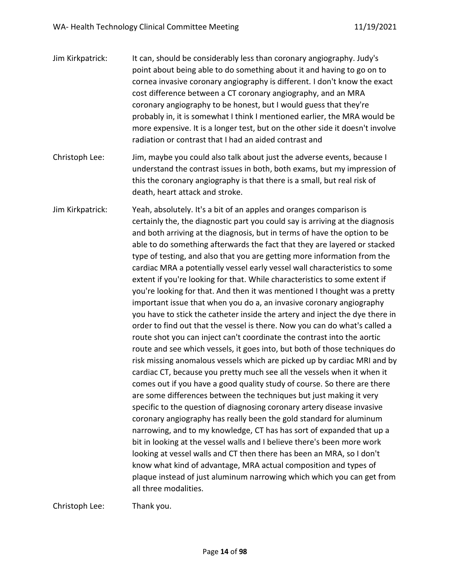| Jim Kirkpatrick: | It can, should be considerably less than coronary angiography. Judy's<br>point about being able to do something about it and having to go on to<br>cornea invasive coronary angiography is different. I don't know the exact<br>cost difference between a CT coronary angiography, and an MRA<br>coronary angiography to be honest, but I would guess that they're<br>probably in, it is somewhat I think I mentioned earlier, the MRA would be<br>more expensive. It is a longer test, but on the other side it doesn't involve<br>radiation or contrast that I had an aided contrast and                                                                                                                                                                                                                                                                                                                                                                                                                                                                                                                                                                                                                                                                                                                                                                                                                                                                                                     |
|------------------|------------------------------------------------------------------------------------------------------------------------------------------------------------------------------------------------------------------------------------------------------------------------------------------------------------------------------------------------------------------------------------------------------------------------------------------------------------------------------------------------------------------------------------------------------------------------------------------------------------------------------------------------------------------------------------------------------------------------------------------------------------------------------------------------------------------------------------------------------------------------------------------------------------------------------------------------------------------------------------------------------------------------------------------------------------------------------------------------------------------------------------------------------------------------------------------------------------------------------------------------------------------------------------------------------------------------------------------------------------------------------------------------------------------------------------------------------------------------------------------------|
| Christoph Lee:   | Jim, maybe you could also talk about just the adverse events, because I<br>understand the contrast issues in both, both exams, but my impression of<br>this the coronary angiography is that there is a small, but real risk of<br>death, heart attack and stroke.                                                                                                                                                                                                                                                                                                                                                                                                                                                                                                                                                                                                                                                                                                                                                                                                                                                                                                                                                                                                                                                                                                                                                                                                                             |
| Jim Kirkpatrick: | Yeah, absolutely. It's a bit of an apples and oranges comparison is<br>certainly the, the diagnostic part you could say is arriving at the diagnosis<br>and both arriving at the diagnosis, but in terms of have the option to be<br>able to do something afterwards the fact that they are layered or stacked<br>type of testing, and also that you are getting more information from the<br>cardiac MRA a potentially vessel early vessel wall characteristics to some<br>extent if you're looking for that. While characteristics to some extent if<br>you're looking for that. And then it was mentioned I thought was a pretty<br>important issue that when you do a, an invasive coronary angiography<br>you have to stick the catheter inside the artery and inject the dye there in<br>order to find out that the vessel is there. Now you can do what's called a<br>route shot you can inject can't coordinate the contrast into the aortic<br>route and see which vessels, it goes into, but both of those techniques do<br>risk missing anomalous vessels which are picked up by cardiac MRI and by<br>cardiac CT, because you pretty much see all the vessels when it when it<br>comes out if you have a good quality study of course. So there are there<br>are some differences between the techniques but just making it very<br>specific to the question of diagnosing coronary artery disease invasive<br>coronary angiography has really been the gold standard for aluminum |

Christoph Lee: Thank you.

all three modalities.

narrowing, and to my knowledge, CT has has sort of expanded that up a bit in looking at the vessel walls and I believe there's been more work looking at vessel walls and CT then there has been an MRA, so I don't know what kind of advantage, MRA actual composition and types of

plaque instead of just aluminum narrowing which which you can get from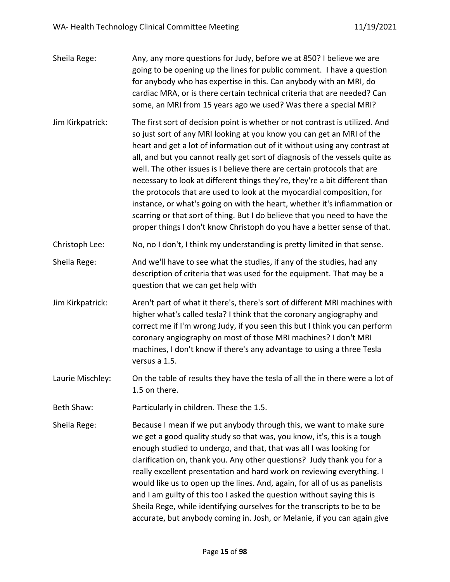| Sheila Rege:     | Any, any more questions for Judy, before we at 850? I believe we are<br>going to be opening up the lines for public comment. I have a question<br>for anybody who has expertise in this. Can anybody with an MRI, do<br>cardiac MRA, or is there certain technical criteria that are needed? Can<br>some, an MRI from 15 years ago we used? Was there a special MRI?                                                                                                                                                                                                                                                                                                                                                                                                                            |
|------------------|-------------------------------------------------------------------------------------------------------------------------------------------------------------------------------------------------------------------------------------------------------------------------------------------------------------------------------------------------------------------------------------------------------------------------------------------------------------------------------------------------------------------------------------------------------------------------------------------------------------------------------------------------------------------------------------------------------------------------------------------------------------------------------------------------|
| Jim Kirkpatrick: | The first sort of decision point is whether or not contrast is utilized. And<br>so just sort of any MRI looking at you know you can get an MRI of the<br>heart and get a lot of information out of it without using any contrast at<br>all, and but you cannot really get sort of diagnosis of the vessels quite as<br>well. The other issues is I believe there are certain protocols that are<br>necessary to look at different things they're, they're a bit different than<br>the protocols that are used to look at the myocardial composition, for<br>instance, or what's going on with the heart, whether it's inflammation or<br>scarring or that sort of thing. But I do believe that you need to have the<br>proper things I don't know Christoph do you have a better sense of that. |
| Christoph Lee:   | No, no I don't, I think my understanding is pretty limited in that sense.                                                                                                                                                                                                                                                                                                                                                                                                                                                                                                                                                                                                                                                                                                                       |
| Sheila Rege:     | And we'll have to see what the studies, if any of the studies, had any<br>description of criteria that was used for the equipment. That may be a<br>question that we can get help with                                                                                                                                                                                                                                                                                                                                                                                                                                                                                                                                                                                                          |
| Jim Kirkpatrick: | Aren't part of what it there's, there's sort of different MRI machines with<br>higher what's called tesla? I think that the coronary angiography and<br>correct me if I'm wrong Judy, if you seen this but I think you can perform<br>coronary angiography on most of those MRI machines? I don't MRI<br>machines, I don't know if there's any advantage to using a three Tesla<br>versus a 1.5.                                                                                                                                                                                                                                                                                                                                                                                                |
| Laurie Mischley: | On the table of results they have the tesla of all the in there were a lot of<br>1.5 on there.                                                                                                                                                                                                                                                                                                                                                                                                                                                                                                                                                                                                                                                                                                  |
| Beth Shaw:       | Particularly in children. These the 1.5.                                                                                                                                                                                                                                                                                                                                                                                                                                                                                                                                                                                                                                                                                                                                                        |
| Sheila Rege:     | Because I mean if we put anybody through this, we want to make sure<br>we get a good quality study so that was, you know, it's, this is a tough<br>enough studied to undergo, and that, that was all I was looking for<br>clarification on, thank you. Any other questions? Judy thank you for a<br>really excellent presentation and hard work on reviewing everything. I<br>would like us to open up the lines. And, again, for all of us as panelists<br>and I am guilty of this too I asked the question without saying this is<br>Sheila Rege, while identifying ourselves for the transcripts to be to be<br>accurate, but anybody coming in. Josh, or Melanie, if you can again give                                                                                                     |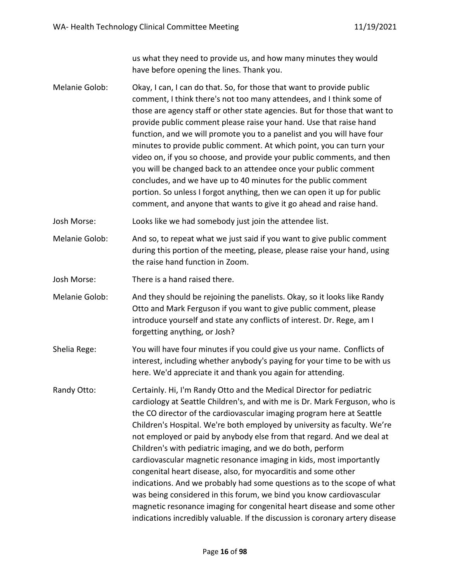us what they need to provide us, and how many minutes they would have before opening the lines. Thank you.

Melanie Golob: Okay, I can, I can do that. So, for those that want to provide public comment, I think there's not too many attendees, and I think some of those are agency staff or other state agencies. But for those that want to provide public comment please raise your hand. Use that raise hand function, and we will promote you to a panelist and you will have four minutes to provide public comment. At which point, you can turn your video on, if you so choose, and provide your public comments, and then you will be changed back to an attendee once your public comment concludes, and we have up to 40 minutes for the public comment portion. So unless I forgot anything, then we can open it up for public comment, and anyone that wants to give it go ahead and raise hand.

Josh Morse: Looks like we had somebody just join the attendee list.

- Melanie Golob: And so, to repeat what we just said if you want to give public comment during this portion of the meeting, please, please raise your hand, using the raise hand function in Zoom.
- Josh Morse: There is a hand raised there.
- Melanie Golob: And they should be rejoining the panelists. Okay, so it looks like Randy Otto and Mark Ferguson if you want to give public comment, please introduce yourself and state any conflicts of interest. Dr. Rege, am I forgetting anything, or Josh?
- Shelia Rege: You will have four minutes if you could give us your name. Conflicts of interest, including whether anybody's paying for your time to be with us here. We'd appreciate it and thank you again for attending.
- Randy Otto: Certainly. Hi, I'm Randy Otto and the Medical Director for pediatric cardiology at Seattle Children's, and with me is Dr. Mark Ferguson, who is the CO director of the cardiovascular imaging program here at Seattle Children's Hospital. We're both employed by university as faculty. We're not employed or paid by anybody else from that regard. And we deal at Children's with pediatric imaging, and we do both, perform cardiovascular magnetic resonance imaging in kids, most importantly congenital heart disease, also, for myocarditis and some other indications. And we probably had some questions as to the scope of what was being considered in this forum, we bind you know cardiovascular magnetic resonance imaging for congenital heart disease and some other indications incredibly valuable. If the discussion is coronary artery disease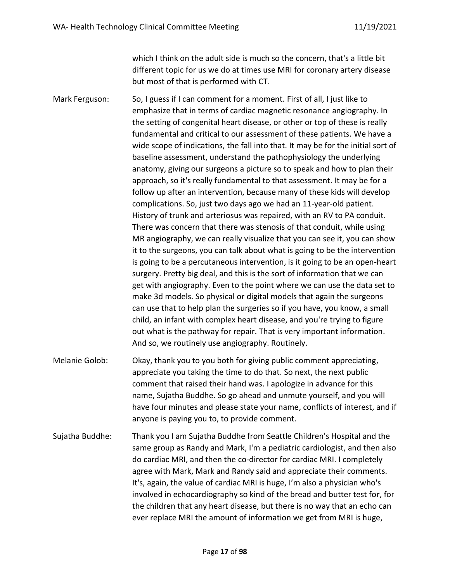which I think on the adult side is much so the concern, that's a little bit different topic for us we do at times use MRI for coronary artery disease but most of that is performed with CT.

Mark Ferguson: So, I guess if I can comment for a moment. First of all, I just like to emphasize that in terms of cardiac magnetic resonance angiography. In the setting of congenital heart disease, or other or top of these is really fundamental and critical to our assessment of these patients. We have a wide scope of indications, the fall into that. It may be for the initial sort of baseline assessment, understand the pathophysiology the underlying anatomy, giving our surgeons a picture so to speak and how to plan their approach, so it's really fundamental to that assessment. It may be for a follow up after an intervention, because many of these kids will develop complications. So, just two days ago we had an 11-year-old patient. History of trunk and arteriosus was repaired, with an RV to PA conduit. There was concern that there was stenosis of that conduit, while using MR angiography, we can really visualize that you can see it, you can show it to the surgeons, you can talk about what is going to be the intervention is going to be a percutaneous intervention, is it going to be an open-heart surgery. Pretty big deal, and this is the sort of information that we can get with angiography. Even to the point where we can use the data set to make 3d models. So physical or digital models that again the surgeons can use that to help plan the surgeries so if you have, you know, a small child, an infant with complex heart disease, and you're trying to figure out what is the pathway for repair. That is very important information. And so, we routinely use angiography. Routinely.

- Melanie Golob: Okay, thank you to you both for giving public comment appreciating, appreciate you taking the time to do that. So next, the next public comment that raised their hand was. I apologize in advance for this name, Sujatha Buddhe. So go ahead and unmute yourself, and you will have four minutes and please state your name, conflicts of interest, and if anyone is paying you to, to provide comment.
- Sujatha Buddhe: Thank you I am Sujatha Buddhe from Seattle Children's Hospital and the same group as Randy and Mark, I'm a pediatric cardiologist, and then also do cardiac MRI, and then the co-director for cardiac MRI. I completely agree with Mark, Mark and Randy said and appreciate their comments. It's, again, the value of cardiac MRI is huge, I'm also a physician who's involved in echocardiography so kind of the bread and butter test for, for the children that any heart disease, but there is no way that an echo can ever replace MRI the amount of information we get from MRI is huge,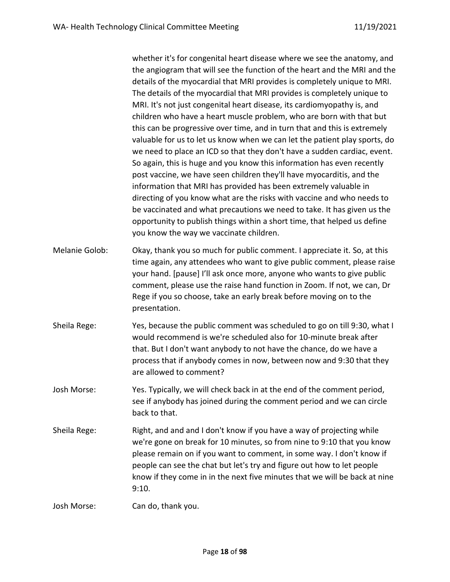whether it's for congenital heart disease where we see the anatomy, and the angiogram that will see the function of the heart and the MRI and the details of the myocardial that MRI provides is completely unique to MRI. The details of the myocardial that MRI provides is completely unique to MRI. It's not just congenital heart disease, its cardiomyopathy is, and children who have a heart muscle problem, who are born with that but this can be progressive over time, and in turn that and this is extremely valuable for us to let us know when we can let the patient play sports, do we need to place an ICD so that they don't have a sudden cardiac, event. So again, this is huge and you know this information has even recently post vaccine, we have seen children they'll have myocarditis, and the information that MRI has provided has been extremely valuable in directing of you know what are the risks with vaccine and who needs to be vaccinated and what precautions we need to take. It has given us the opportunity to publish things within a short time, that helped us define you know the way we vaccinate children.

- Melanie Golob: Okay, thank you so much for public comment. I appreciate it. So, at this time again, any attendees who want to give public comment, please raise your hand. [pause] I'll ask once more, anyone who wants to give public comment, please use the raise hand function in Zoom. If not, we can, Dr Rege if you so choose, take an early break before moving on to the presentation.
- Sheila Rege: Yes, because the public comment was scheduled to go on till 9:30, what I would recommend is we're scheduled also for 10-minute break after that. But I don't want anybody to not have the chance, do we have a process that if anybody comes in now, between now and 9:30 that they are allowed to comment?
- Josh Morse: Yes. Typically, we will check back in at the end of the comment period, see if anybody has joined during the comment period and we can circle back to that.
- Sheila Rege: Right, and and and I don't know if you have a way of projecting while we're gone on break for 10 minutes, so from nine to 9:10 that you know please remain on if you want to comment, in some way. I don't know if people can see the chat but let's try and figure out how to let people know if they come in in the next five minutes that we will be back at nine 9:10.

Josh Morse: Can do, thank you.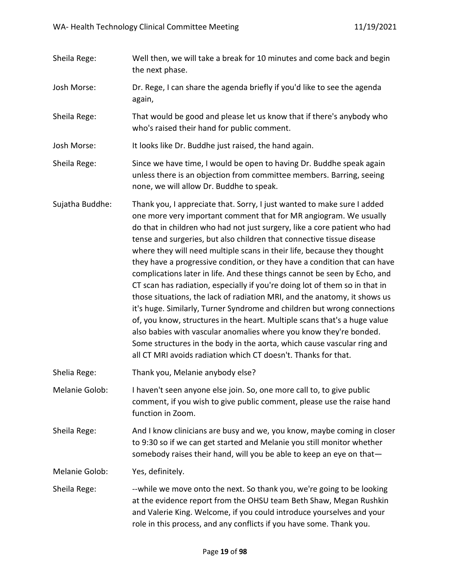- Sheila Rege: Well then, we will take a break for 10 minutes and come back and begin the next phase.
- Josh Morse: Dr. Rege, I can share the agenda briefly if you'd like to see the agenda again,
- Sheila Rege: That would be good and please let us know that if there's anybody who who's raised their hand for public comment.
- Josh Morse: It looks like Dr. Buddhe just raised, the hand again.
- Sheila Rege: Since we have time, I would be open to having Dr. Buddhe speak again unless there is an objection from committee members. Barring, seeing none, we will allow Dr. Buddhe to speak.
- Sujatha Buddhe: Thank you, I appreciate that. Sorry, I just wanted to make sure I added one more very important comment that for MR angiogram. We usually do that in children who had not just surgery, like a core patient who had tense and surgeries, but also children that connective tissue disease where they will need multiple scans in their life, because they thought they have a progressive condition, or they have a condition that can have complications later in life. And these things cannot be seen by Echo, and CT scan has radiation, especially if you're doing lot of them so in that in those situations, the lack of radiation MRI, and the anatomy, it shows us it's huge. Similarly, Turner Syndrome and children but wrong connections of, you know, structures in the heart. Multiple scans that's a huge value also babies with vascular anomalies where you know they're bonded. Some structures in the body in the aorta, which cause vascular ring and all CT MRI avoids radiation which CT doesn't. Thanks for that.
- Shelia Rege: Thank you, Melanie anybody else?

Melanie Golob: I haven't seen anyone else join. So, one more call to, to give public comment, if you wish to give public comment, please use the raise hand function in Zoom.

Sheila Rege: And I know clinicians are busy and we, you know, maybe coming in closer to 9:30 so if we can get started and Melanie you still monitor whether somebody raises their hand, will you be able to keep an eye on that—

Melanie Golob: Yes, definitely.

Sheila Rege: ---while we move onto the next. So thank you, we're going to be looking at the evidence report from the OHSU team Beth Shaw, Megan Rushkin and Valerie King. Welcome, if you could introduce yourselves and your role in this process, and any conflicts if you have some. Thank you.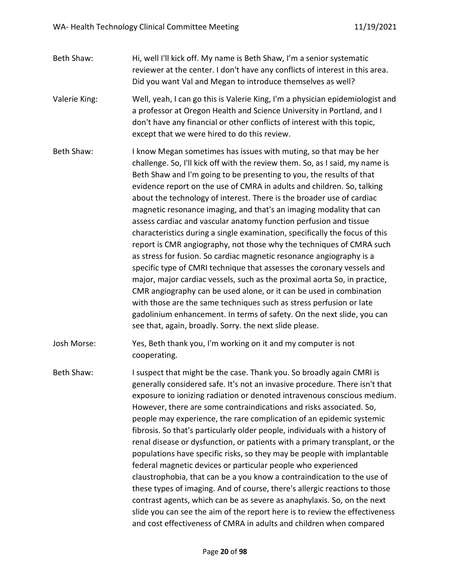- Beth Shaw: Hi, well I'll kick off. My name is Beth Shaw, I'm a senior systematic reviewer at the center. I don't have any conflicts of interest in this area. Did you want Val and Megan to introduce themselves as well?
- Valerie King: Well, yeah, I can go this is Valerie King, I'm a physician epidemiologist and a professor at Oregon Health and Science University in Portland, and I don't have any financial or other conflicts of interest with this topic, except that we were hired to do this review.
- Beth Shaw: I know Megan sometimes has issues with muting, so that may be her challenge. So, I'll kick off with the review them. So, as I said, my name is Beth Shaw and I'm going to be presenting to you, the results of that evidence report on the use of CMRA in adults and children. So, talking about the technology of interest. There is the broader use of cardiac magnetic resonance imaging, and that's an imaging modality that can assess cardiac and vascular anatomy function perfusion and tissue characteristics during a single examination, specifically the focus of this report is CMR angiography, not those why the techniques of CMRA such as stress for fusion. So cardiac magnetic resonance angiography is a specific type of CMRI technique that assesses the coronary vessels and major, major cardiac vessels, such as the proximal aorta So, in practice, CMR angiography can be used alone, or it can be used in combination with those are the same techniques such as stress perfusion or late gadolinium enhancement. In terms of safety. On the next slide, you can see that, again, broadly. Sorry. the next slide please.
- Josh Morse: Yes, Beth thank you, I'm working on it and my computer is not cooperating.
- Beth Shaw: I suspect that might be the case. Thank you. So broadly again CMRI is generally considered safe. It's not an invasive procedure. There isn't that exposure to ionizing radiation or denoted intravenous conscious medium. However, there are some contraindications and risks associated. So, people may experience, the rare complication of an epidemic systemic fibrosis. So that's particularly older people, individuals with a history of renal disease or dysfunction, or patients with a primary transplant, or the populations have specific risks, so they may be people with implantable federal magnetic devices or particular people who experienced claustrophobia, that can be a you know a contraindication to the use of these types of imaging. And of course, there's allergic reactions to those contrast agents, which can be as severe as anaphylaxis. So, on the next slide you can see the aim of the report here is to review the effectiveness and cost effectiveness of CMRA in adults and children when compared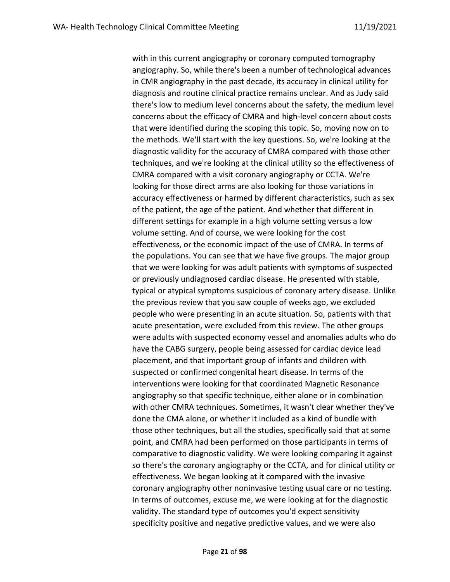with in this current angiography or coronary computed tomography angiography. So, while there's been a number of technological advances in CMR angiography in the past decade, its accuracy in clinical utility for diagnosis and routine clinical practice remains unclear. And as Judy said there's low to medium level concerns about the safety, the medium level concerns about the efficacy of CMRA and high-level concern about costs that were identified during the scoping this topic. So, moving now on to the methods. We'll start with the key questions. So, we're looking at the diagnostic validity for the accuracy of CMRA compared with those other techniques, and we're looking at the clinical utility so the effectiveness of CMRA compared with a visit coronary angiography or CCTA. We're looking for those direct arms are also looking for those variations in accuracy effectiveness or harmed by different characteristics, such as sex of the patient, the age of the patient. And whether that different in different settings for example in a high volume setting versus a low volume setting. And of course, we were looking for the cost effectiveness, or the economic impact of the use of CMRA. In terms of the populations. You can see that we have five groups. The major group that we were looking for was adult patients with symptoms of suspected or previously undiagnosed cardiac disease. He presented with stable, typical or atypical symptoms suspicious of coronary artery disease. Unlike the previous review that you saw couple of weeks ago, we excluded people who were presenting in an acute situation. So, patients with that acute presentation, were excluded from this review. The other groups were adults with suspected economy vessel and anomalies adults who do have the CABG surgery, people being assessed for cardiac device lead placement, and that important group of infants and children with suspected or confirmed congenital heart disease. In terms of the interventions were looking for that coordinated Magnetic Resonance angiography so that specific technique, either alone or in combination with other CMRA techniques. Sometimes, it wasn't clear whether they've done the CMA alone, or whether it included as a kind of bundle with those other techniques, but all the studies, specifically said that at some point, and CMRA had been performed on those participants in terms of comparative to diagnostic validity. We were looking comparing it against so there's the coronary angiography or the CCTA, and for clinical utility or effectiveness. We began looking at it compared with the invasive coronary angiography other noninvasive testing usual care or no testing. In terms of outcomes, excuse me, we were looking at for the diagnostic validity. The standard type of outcomes you'd expect sensitivity specificity positive and negative predictive values, and we were also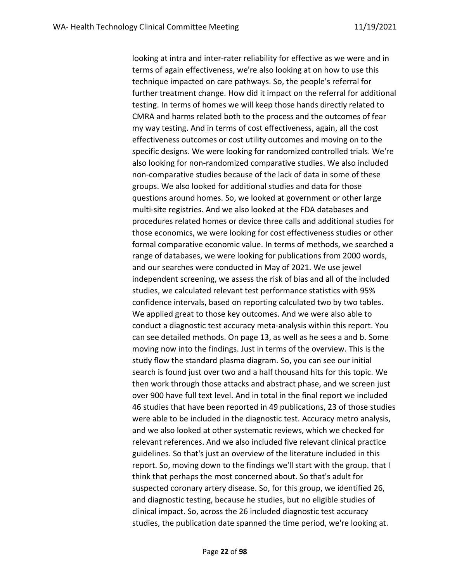looking at intra and inter-rater reliability for effective as we were and in terms of again effectiveness, we're also looking at on how to use this technique impacted on care pathways. So, the people's referral for further treatment change. How did it impact on the referral for additional testing. In terms of homes we will keep those hands directly related to CMRA and harms related both to the process and the outcomes of fear my way testing. And in terms of cost effectiveness, again, all the cost effectiveness outcomes or cost utility outcomes and moving on to the specific designs. We were looking for randomized controlled trials. We're also looking for non-randomized comparative studies. We also included non-comparative studies because of the lack of data in some of these groups. We also looked for additional studies and data for those questions around homes. So, we looked at government or other large multi-site registries. And we also looked at the FDA databases and procedures related homes or device three calls and additional studies for those economics, we were looking for cost effectiveness studies or other formal comparative economic value. In terms of methods, we searched a range of databases, we were looking for publications from 2000 words, and our searches were conducted in May of 2021. We use jewel independent screening, we assess the risk of bias and all of the included studies, we calculated relevant test performance statistics with 95% confidence intervals, based on reporting calculated two by two tables. We applied great to those key outcomes. And we were also able to conduct a diagnostic test accuracy meta-analysis within this report. You can see detailed methods. On page 13, as well as he sees a and b. Some moving now into the findings. Just in terms of the overview. This is the study flow the standard plasma diagram. So, you can see our initial search is found just over two and a half thousand hits for this topic. We then work through those attacks and abstract phase, and we screen just over 900 have full text level. And in total in the final report we included 46 studies that have been reported in 49 publications, 23 of those studies were able to be included in the diagnostic test. Accuracy metro analysis, and we also looked at other systematic reviews, which we checked for relevant references. And we also included five relevant clinical practice guidelines. So that's just an overview of the literature included in this report. So, moving down to the findings we'll start with the group. that I think that perhaps the most concerned about. So that's adult for suspected coronary artery disease. So, for this group, we identified 26, and diagnostic testing, because he studies, but no eligible studies of clinical impact. So, across the 26 included diagnostic test accuracy studies, the publication date spanned the time period, we're looking at.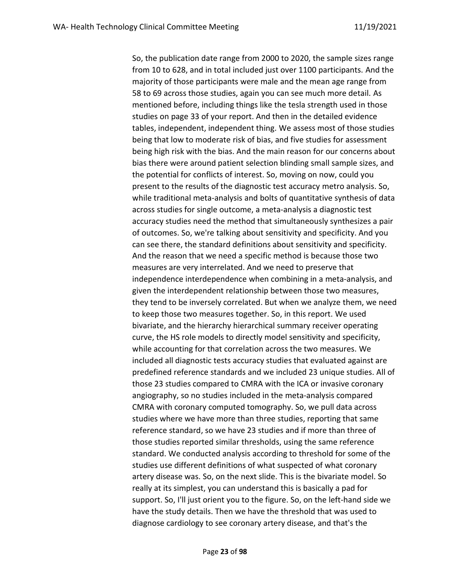So, the publication date range from 2000 to 2020, the sample sizes range from 10 to 628, and in total included just over 1100 participants. And the majority of those participants were male and the mean age range from 58 to 69 across those studies, again you can see much more detail. As mentioned before, including things like the tesla strength used in those studies on page 33 of your report. And then in the detailed evidence tables, independent, independent thing. We assess most of those studies being that low to moderate risk of bias, and five studies for assessment being high risk with the bias. And the main reason for our concerns about bias there were around patient selection blinding small sample sizes, and the potential for conflicts of interest. So, moving on now, could you present to the results of the diagnostic test accuracy metro analysis. So, while traditional meta-analysis and bolts of quantitative synthesis of data across studies for single outcome, a meta-analysis a diagnostic test accuracy studies need the method that simultaneously synthesizes a pair of outcomes. So, we're talking about sensitivity and specificity. And you can see there, the standard definitions about sensitivity and specificity. And the reason that we need a specific method is because those two measures are very interrelated. And we need to preserve that independence interdependence when combining in a meta-analysis, and given the interdependent relationship between those two measures, they tend to be inversely correlated. But when we analyze them, we need to keep those two measures together. So, in this report. We used bivariate, and the hierarchy hierarchical summary receiver operating curve, the HS role models to directly model sensitivity and specificity, while accounting for that correlation across the two measures. We included all diagnostic tests accuracy studies that evaluated against are predefined reference standards and we included 23 unique studies. All of those 23 studies compared to CMRA with the ICA or invasive coronary angiography, so no studies included in the meta-analysis compared CMRA with coronary computed tomography. So, we pull data across studies where we have more than three studies, reporting that same reference standard, so we have 23 studies and if more than three of those studies reported similar thresholds, using the same reference standard. We conducted analysis according to threshold for some of the studies use different definitions of what suspected of what coronary artery disease was. So, on the next slide. This is the bivariate model. So really at its simplest, you can understand this is basically a pad for support. So, I'll just orient you to the figure. So, on the left-hand side we have the study details. Then we have the threshold that was used to diagnose cardiology to see coronary artery disease, and that's the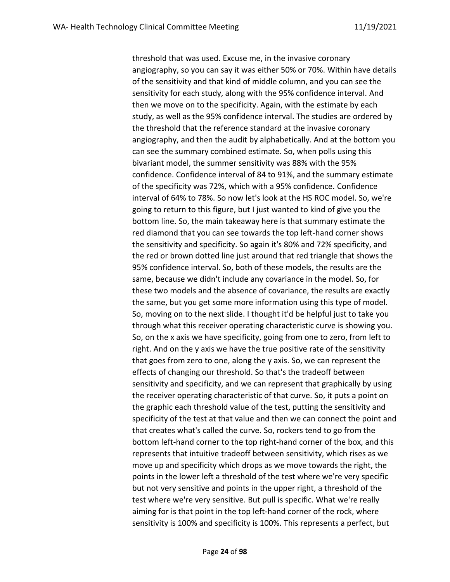threshold that was used. Excuse me, in the invasive coronary angiography, so you can say it was either 50% or 70%. Within have details of the sensitivity and that kind of middle column, and you can see the sensitivity for each study, along with the 95% confidence interval. And then we move on to the specificity. Again, with the estimate by each study, as well as the 95% confidence interval. The studies are ordered by the threshold that the reference standard at the invasive coronary angiography, and then the audit by alphabetically. And at the bottom you can see the summary combined estimate. So, when polls using this bivariant model, the summer sensitivity was 88% with the 95% confidence. Confidence interval of 84 to 91%, and the summary estimate of the specificity was 72%, which with a 95% confidence. Confidence interval of 64% to 78%. So now let's look at the HS ROC model. So, we're going to return to this figure, but I just wanted to kind of give you the bottom line. So, the main takeaway here is that summary estimate the red diamond that you can see towards the top left-hand corner shows the sensitivity and specificity. So again it's 80% and 72% specificity, and the red or brown dotted line just around that red triangle that shows the 95% confidence interval. So, both of these models, the results are the same, because we didn't include any covariance in the model. So, for these two models and the absence of covariance, the results are exactly the same, but you get some more information using this type of model. So, moving on to the next slide. I thought it'd be helpful just to take you through what this receiver operating characteristic curve is showing you. So, on the x axis we have specificity, going from one to zero, from left to right. And on the y axis we have the true positive rate of the sensitivity that goes from zero to one, along the y axis. So, we can represent the effects of changing our threshold. So that's the tradeoff between sensitivity and specificity, and we can represent that graphically by using the receiver operating characteristic of that curve. So, it puts a point on the graphic each threshold value of the test, putting the sensitivity and specificity of the test at that value and then we can connect the point and that creates what's called the curve. So, rockers tend to go from the bottom left-hand corner to the top right-hand corner of the box, and this represents that intuitive tradeoff between sensitivity, which rises as we move up and specificity which drops as we move towards the right, the points in the lower left a threshold of the test where we're very specific but not very sensitive and points in the upper right, a threshold of the test where we're very sensitive. But pull is specific. What we're really aiming for is that point in the top left-hand corner of the rock, where sensitivity is 100% and specificity is 100%. This represents a perfect, but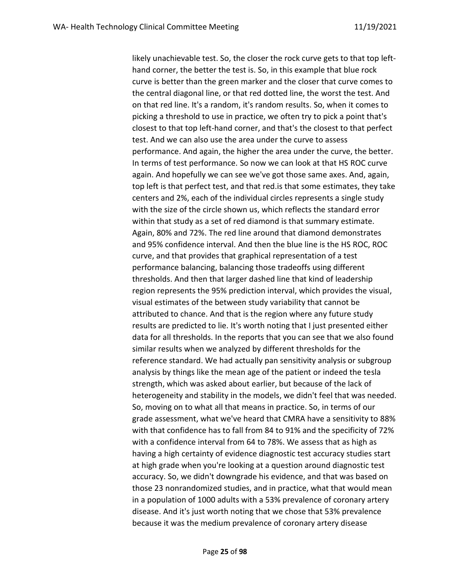likely unachievable test. So, the closer the rock curve gets to that top lefthand corner, the better the test is. So, in this example that blue rock curve is better than the green marker and the closer that curve comes to the central diagonal line, or that red dotted line, the worst the test. And on that red line. It's a random, it's random results. So, when it comes to picking a threshold to use in practice, we often try to pick a point that's closest to that top left-hand corner, and that's the closest to that perfect test. And we can also use the area under the curve to assess performance. And again, the higher the area under the curve, the better. In terms of test performance. So now we can look at that HS ROC curve again. And hopefully we can see we've got those same axes. And, again, top left is that perfect test, and that red.is that some estimates, they take centers and 2%, each of the individual circles represents a single study with the size of the circle shown us, which reflects the standard error within that study as a set of red diamond is that summary estimate. Again, 80% and 72%. The red line around that diamond demonstrates and 95% confidence interval. And then the blue line is the HS ROC, ROC curve, and that provides that graphical representation of a test performance balancing, balancing those tradeoffs using different thresholds. And then that larger dashed line that kind of leadership region represents the 95% prediction interval, which provides the visual, visual estimates of the between study variability that cannot be attributed to chance. And that is the region where any future study results are predicted to lie. It's worth noting that I just presented either data for all thresholds. In the reports that you can see that we also found similar results when we analyzed by different thresholds for the reference standard. We had actually pan sensitivity analysis or subgroup analysis by things like the mean age of the patient or indeed the tesla strength, which was asked about earlier, but because of the lack of heterogeneity and stability in the models, we didn't feel that was needed. So, moving on to what all that means in practice. So, in terms of our grade assessment, what we've heard that CMRA have a sensitivity to 88% with that confidence has to fall from 84 to 91% and the specificity of 72% with a confidence interval from 64 to 78%. We assess that as high as having a high certainty of evidence diagnostic test accuracy studies start at high grade when you're looking at a question around diagnostic test accuracy. So, we didn't downgrade his evidence, and that was based on those 23 nonrandomized studies, and in practice, what that would mean in a population of 1000 adults with a 53% prevalence of coronary artery disease. And it's just worth noting that we chose that 53% prevalence because it was the medium prevalence of coronary artery disease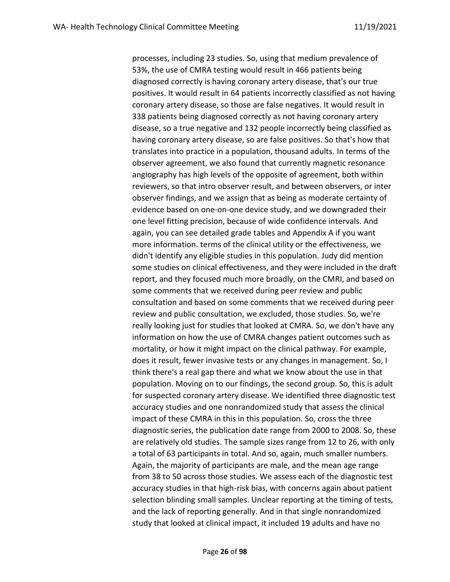processes, including 23 studies. So, using that medium prevalence of 53%, the use of CMRA testing would result in 466 patients being diagnosed correctly is having coronary artery disease, that's our true positives. It would result in 64 patients incorrectly classified as not having coronary artery disease, so those are false negatives. It would result in 338 patients being diagnosed correctly as not having coronary artery disease, so a true negative and 132 people incorrectly being classified as having coronary artery disease, so are false positives. So that's how that translates into practice in a population, thousand adults. In terms of the observer agreement, we also found that currently magnetic resonance angiography has high levels of the opposite of agreement, both within reviewers, so that intro observer result, and between observers, or inter observer findings, and we assign that as being as moderate certainty of evidence based on one-on-one device study, and we downgraded their one level fitting precision, because of wide confidence intervals. And again, you can see detailed grade tables and Appendix A if you want more information. terms of the clinical utility or the effectiveness, we didn't identify any eligible studies in this population. Judy did mention some studies on clinical effectiveness, and they were included in the draft report, and they focused much more broadly, on the CMRI, and based on some comments that we received during peer review and public consultation and based on some comments that we received during peer review and public consultation, we excluded, those studies. So, we're really looking just for studies that looked at CMRA. So, we don't have any information on how the use of CMRA changes patient outcomes such as mortality, or how it might impact on the clinical pathway. For example, does it result, fewer invasive tests or any changes in management. So, I think there's a real gap there and what we know about the use in that population. Moving on to our findings, the second group. So, this is adult for suspected coronary artery disease. We identified three diagnostic test accuracy studies and one nonrandomized study that assess the clinical impact of these CMRA in this in this population. So, cross the three diagnostic series, the publication date range from 2000 to 2008. So, these are relatively old studies. The sample sizes range from 12 to 26, with only a total of 63 participants in total. And so, again, much smaller numbers. Again, the majority of participants are male, and the mean age range from 38 to 50 across those studies. We assess each of the diagnostic test accuracy studies in that high-risk bias, with concerns again about patient selection blinding small samples. Unclear reporting at the timing of tests, and the lack of reporting generally. And in that single nonrandomized study that looked at clinical impact, it included 19 adults and have no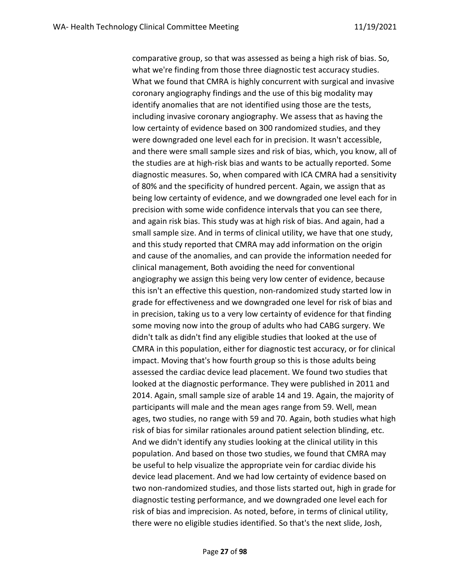comparative group, so that was assessed as being a high risk of bias. So, what we're finding from those three diagnostic test accuracy studies. What we found that CMRA is highly concurrent with surgical and invasive coronary angiography findings and the use of this big modality may identify anomalies that are not identified using those are the tests, including invasive coronary angiography. We assess that as having the low certainty of evidence based on 300 randomized studies, and they were downgraded one level each for in precision. It wasn't accessible, and there were small sample sizes and risk of bias, which, you know, all of the studies are at high-risk bias and wants to be actually reported. Some diagnostic measures. So, when compared with ICA CMRA had a sensitivity of 80% and the specificity of hundred percent. Again, we assign that as being low certainty of evidence, and we downgraded one level each for in precision with some wide confidence intervals that you can see there, and again risk bias. This study was at high risk of bias. And again, had a small sample size. And in terms of clinical utility, we have that one study, and this study reported that CMRA may add information on the origin and cause of the anomalies, and can provide the information needed for clinical management, Both avoiding the need for conventional angiography we assign this being very low center of evidence, because this isn't an effective this question, non-randomized study started low in grade for effectiveness and we downgraded one level for risk of bias and in precision, taking us to a very low certainty of evidence for that finding some moving now into the group of adults who had CABG surgery. We didn't talk as didn't find any eligible studies that looked at the use of CMRA in this population, either for diagnostic test accuracy, or for clinical impact. Moving that's how fourth group so this is those adults being assessed the cardiac device lead placement. We found two studies that looked at the diagnostic performance. They were published in 2011 and 2014. Again, small sample size of arable 14 and 19. Again, the majority of participants will male and the mean ages range from 59. Well, mean ages, two studies, no range with 59 and 70. Again, both studies what high risk of bias for similar rationales around patient selection blinding, etc. And we didn't identify any studies looking at the clinical utility in this population. And based on those two studies, we found that CMRA may be useful to help visualize the appropriate vein for cardiac divide his device lead placement. And we had low certainty of evidence based on two non-randomized studies, and those lists started out, high in grade for diagnostic testing performance, and we downgraded one level each for risk of bias and imprecision. As noted, before, in terms of clinical utility, there were no eligible studies identified. So that's the next slide, Josh,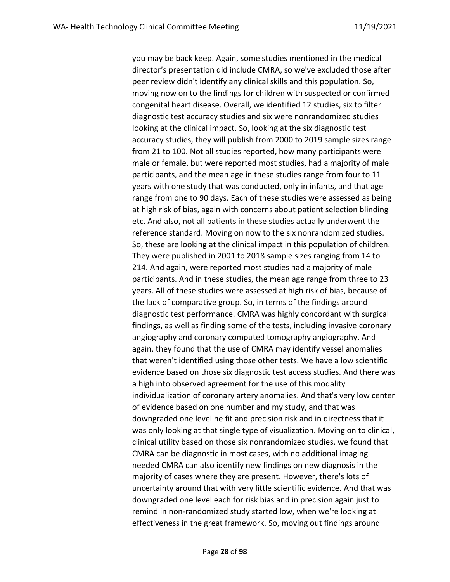you may be back keep. Again, some studies mentioned in the medical director's presentation did include CMRA, so we've excluded those after peer review didn't identify any clinical skills and this population. So, moving now on to the findings for children with suspected or confirmed congenital heart disease. Overall, we identified 12 studies, six to filter diagnostic test accuracy studies and six were nonrandomized studies looking at the clinical impact. So, looking at the six diagnostic test accuracy studies, they will publish from 2000 to 2019 sample sizes range from 21 to 100. Not all studies reported, how many participants were male or female, but were reported most studies, had a majority of male participants, and the mean age in these studies range from four to 11 years with one study that was conducted, only in infants, and that age range from one to 90 days. Each of these studies were assessed as being at high risk of bias, again with concerns about patient selection blinding etc. And also, not all patients in these studies actually underwent the reference standard. Moving on now to the six nonrandomized studies. So, these are looking at the clinical impact in this population of children. They were published in 2001 to 2018 sample sizes ranging from 14 to 214. And again, were reported most studies had a majority of male participants. And in these studies, the mean age range from three to 23 years. All of these studies were assessed at high risk of bias, because of the lack of comparative group. So, in terms of the findings around diagnostic test performance. CMRA was highly concordant with surgical findings, as well as finding some of the tests, including invasive coronary angiography and coronary computed tomography angiography. And again, they found that the use of CMRA may identify vessel anomalies that weren't identified using those other tests. We have a low scientific evidence based on those six diagnostic test access studies. And there was a high into observed agreement for the use of this modality individualization of coronary artery anomalies. And that's very low center of evidence based on one number and my study, and that was downgraded one level he fit and precision risk and in directness that it was only looking at that single type of visualization. Moving on to clinical, clinical utility based on those six nonrandomized studies, we found that CMRA can be diagnostic in most cases, with no additional imaging needed CMRA can also identify new findings on new diagnosis in the majority of cases where they are present. However, there's lots of uncertainty around that with very little scientific evidence. And that was downgraded one level each for risk bias and in precision again just to remind in non-randomized study started low, when we're looking at effectiveness in the great framework. So, moving out findings around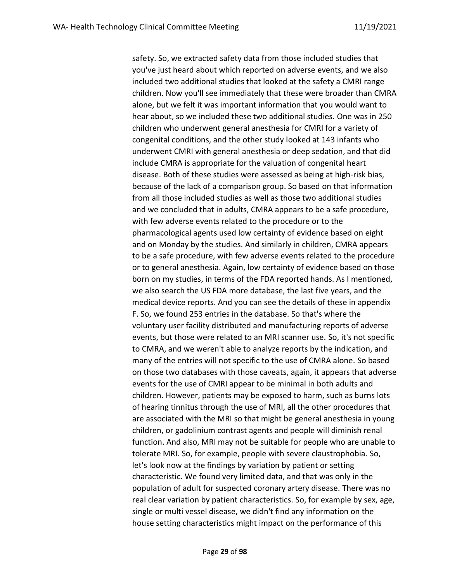safety. So, we extracted safety data from those included studies that you've just heard about which reported on adverse events, and we also included two additional studies that looked at the safety a CMRI range children. Now you'll see immediately that these were broader than CMRA alone, but we felt it was important information that you would want to hear about, so we included these two additional studies. One was in 250 children who underwent general anesthesia for CMRI for a variety of congenital conditions, and the other study looked at 143 infants who underwent CMRI with general anesthesia or deep sedation, and that did include CMRA is appropriate for the valuation of congenital heart disease. Both of these studies were assessed as being at high-risk bias, because of the lack of a comparison group. So based on that information from all those included studies as well as those two additional studies and we concluded that in adults, CMRA appears to be a safe procedure, with few adverse events related to the procedure or to the pharmacological agents used low certainty of evidence based on eight and on Monday by the studies. And similarly in children, CMRA appears to be a safe procedure, with few adverse events related to the procedure or to general anesthesia. Again, low certainty of evidence based on those born on my studies, in terms of the FDA reported hands. As I mentioned, we also search the US FDA more database, the last five years, and the medical device reports. And you can see the details of these in appendix F. So, we found 253 entries in the database. So that's where the voluntary user facility distributed and manufacturing reports of adverse events, but those were related to an MRI scanner use. So, it's not specific to CMRA, and we weren't able to analyze reports by the indication, and many of the entries will not specific to the use of CMRA alone. So based on those two databases with those caveats, again, it appears that adverse events for the use of CMRI appear to be minimal in both adults and children. However, patients may be exposed to harm, such as burns lots of hearing tinnitus through the use of MRI, all the other procedures that are associated with the MRI so that might be general anesthesia in young children, or gadolinium contrast agents and people will diminish renal function. And also, MRI may not be suitable for people who are unable to tolerate MRI. So, for example, people with severe claustrophobia. So, let's look now at the findings by variation by patient or setting characteristic. We found very limited data, and that was only in the population of adult for suspected coronary artery disease. There was no real clear variation by patient characteristics. So, for example by sex, age, single or multi vessel disease, we didn't find any information on the house setting characteristics might impact on the performance of this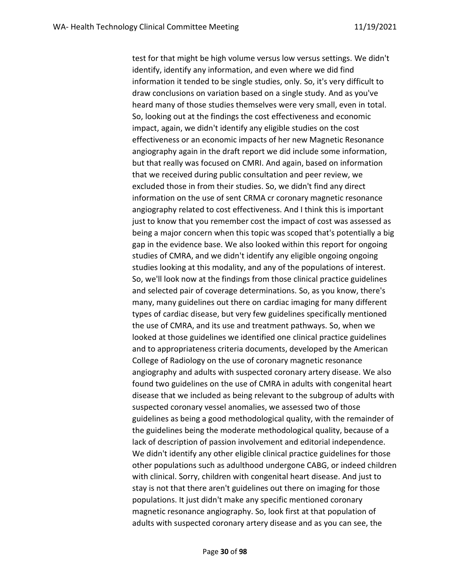test for that might be high volume versus low versus settings. We didn't identify, identify any information, and even where we did find information it tended to be single studies, only. So, it's very difficult to draw conclusions on variation based on a single study. And as you've heard many of those studies themselves were very small, even in total. So, looking out at the findings the cost effectiveness and economic impact, again, we didn't identify any eligible studies on the cost effectiveness or an economic impacts of her new Magnetic Resonance angiography again in the draft report we did include some information, but that really was focused on CMRI. And again, based on information that we received during public consultation and peer review, we excluded those in from their studies. So, we didn't find any direct information on the use of sent CRMA cr coronary magnetic resonance angiography related to cost effectiveness. And I think this is important just to know that you remember cost the impact of cost was assessed as being a major concern when this topic was scoped that's potentially a big gap in the evidence base. We also looked within this report for ongoing studies of CMRA, and we didn't identify any eligible ongoing ongoing studies looking at this modality, and any of the populations of interest. So, we'll look now at the findings from those clinical practice guidelines and selected pair of coverage determinations. So, as you know, there's many, many guidelines out there on cardiac imaging for many different types of cardiac disease, but very few guidelines specifically mentioned the use of CMRA, and its use and treatment pathways. So, when we looked at those guidelines we identified one clinical practice guidelines and to appropriateness criteria documents, developed by the American College of Radiology on the use of coronary magnetic resonance angiography and adults with suspected coronary artery disease. We also found two guidelines on the use of CMRA in adults with congenital heart disease that we included as being relevant to the subgroup of adults with suspected coronary vessel anomalies, we assessed two of those guidelines as being a good methodological quality, with the remainder of the guidelines being the moderate methodological quality, because of a lack of description of passion involvement and editorial independence. We didn't identify any other eligible clinical practice guidelines for those other populations such as adulthood undergone CABG, or indeed children with clinical. Sorry, children with congenital heart disease. And just to stay is not that there aren't guidelines out there on imaging for those populations. It just didn't make any specific mentioned coronary magnetic resonance angiography. So, look first at that population of adults with suspected coronary artery disease and as you can see, the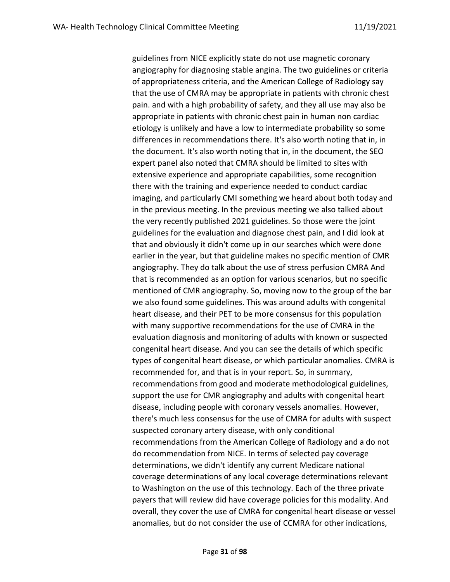guidelines from NICE explicitly state do not use magnetic coronary angiography for diagnosing stable angina. The two guidelines or criteria of appropriateness criteria, and the American College of Radiology say that the use of CMRA may be appropriate in patients with chronic chest pain. and with a high probability of safety, and they all use may also be appropriate in patients with chronic chest pain in human non cardiac etiology is unlikely and have a low to intermediate probability so some differences in recommendations there. It's also worth noting that in, in the document. It's also worth noting that in, in the document, the SEO expert panel also noted that CMRA should be limited to sites with extensive experience and appropriate capabilities, some recognition there with the training and experience needed to conduct cardiac imaging, and particularly CMI something we heard about both today and in the previous meeting. In the previous meeting we also talked about the very recently published 2021 guidelines. So those were the joint guidelines for the evaluation and diagnose chest pain, and I did look at that and obviously it didn't come up in our searches which were done earlier in the year, but that guideline makes no specific mention of CMR angiography. They do talk about the use of stress perfusion CMRA And that is recommended as an option for various scenarios, but no specific mentioned of CMR angiography. So, moving now to the group of the bar we also found some guidelines. This was around adults with congenital heart disease, and their PET to be more consensus for this population with many supportive recommendations for the use of CMRA in the evaluation diagnosis and monitoring of adults with known or suspected congenital heart disease. And you can see the details of which specific types of congenital heart disease, or which particular anomalies. CMRA is recommended for, and that is in your report. So, in summary, recommendations from good and moderate methodological guidelines, support the use for CMR angiography and adults with congenital heart disease, including people with coronary vessels anomalies. However, there's much less consensus for the use of CMRA for adults with suspect suspected coronary artery disease, with only conditional recommendations from the American College of Radiology and a do not do recommendation from NICE. In terms of selected pay coverage determinations, we didn't identify any current Medicare national coverage determinations of any local coverage determinations relevant to Washington on the use of this technology. Each of the three private payers that will review did have coverage policies for this modality. And overall, they cover the use of CMRA for congenital heart disease or vessel anomalies, but do not consider the use of CCMRA for other indications,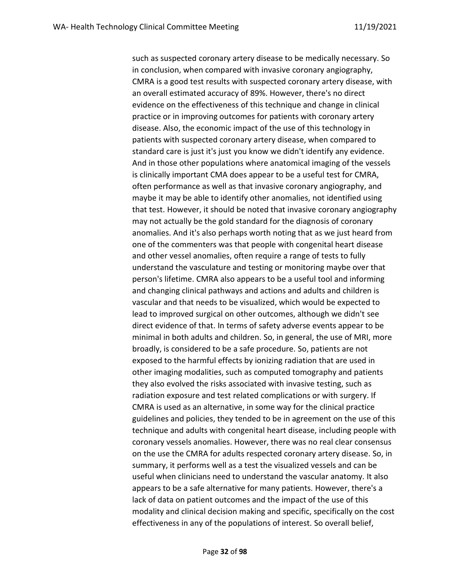such as suspected coronary artery disease to be medically necessary. So in conclusion, when compared with invasive coronary angiography, CMRA is a good test results with suspected coronary artery disease, with an overall estimated accuracy of 89%. However, there's no direct evidence on the effectiveness of this technique and change in clinical practice or in improving outcomes for patients with coronary artery disease. Also, the economic impact of the use of this technology in patients with suspected coronary artery disease, when compared to standard care is just it's just you know we didn't identify any evidence. And in those other populations where anatomical imaging of the vessels is clinically important CMA does appear to be a useful test for CMRA, often performance as well as that invasive coronary angiography, and maybe it may be able to identify other anomalies, not identified using that test. However, it should be noted that invasive coronary angiography may not actually be the gold standard for the diagnosis of coronary anomalies. And it's also perhaps worth noting that as we just heard from one of the commenters was that people with congenital heart disease and other vessel anomalies, often require a range of tests to fully understand the vasculature and testing or monitoring maybe over that person's lifetime. CMRA also appears to be a useful tool and informing and changing clinical pathways and actions and adults and children is vascular and that needs to be visualized, which would be expected to lead to improved surgical on other outcomes, although we didn't see direct evidence of that. In terms of safety adverse events appear to be minimal in both adults and children. So, in general, the use of MRI, more broadly, is considered to be a safe procedure. So, patients are not exposed to the harmful effects by ionizing radiation that are used in other imaging modalities, such as computed tomography and patients they also evolved the risks associated with invasive testing, such as radiation exposure and test related complications or with surgery. If CMRA is used as an alternative, in some way for the clinical practice guidelines and policies, they tended to be in agreement on the use of this technique and adults with congenital heart disease, including people with coronary vessels anomalies. However, there was no real clear consensus on the use the CMRA for adults respected coronary artery disease. So, in summary, it performs well as a test the visualized vessels and can be useful when clinicians need to understand the vascular anatomy. It also appears to be a safe alternative for many patients. However, there's a lack of data on patient outcomes and the impact of the use of this modality and clinical decision making and specific, specifically on the cost effectiveness in any of the populations of interest. So overall belief,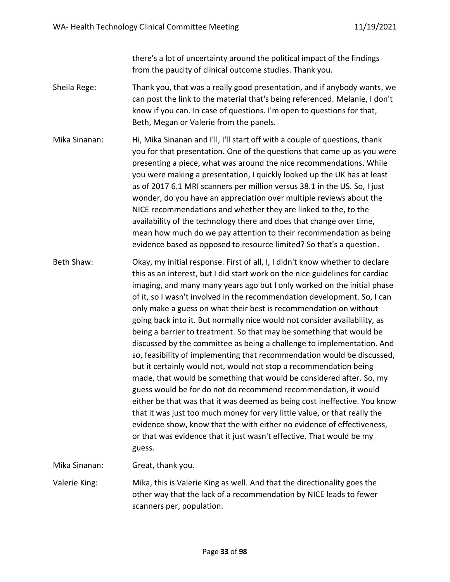there's a lot of uncertainty around the political impact of the findings from the paucity of clinical outcome studies. Thank you.

- Sheila Rege: Thank you, that was a really good presentation, and if anybody wants, we can post the link to the material that's being referenced. Melanie, I don't know if you can. In case of questions. I'm open to questions for that, Beth, Megan or Valerie from the panels.
- Mika Sinanan: Hi, Mika Sinanan and I'll, I'll start off with a couple of questions, thank you for that presentation. One of the questions that came up as you were presenting a piece, what was around the nice recommendations. While you were making a presentation, I quickly looked up the UK has at least as of 2017 6.1 MRI scanners per million versus 38.1 in the US. So, I just wonder, do you have an appreciation over multiple reviews about the NICE recommendations and whether they are linked to the, to the availability of the technology there and does that change over time, mean how much do we pay attention to their recommendation as being evidence based as opposed to resource limited? So that's a question.
- Beth Shaw: Okay, my initial response. First of all, I, I didn't know whether to declare this as an interest, but I did start work on the nice guidelines for cardiac imaging, and many many years ago but I only worked on the initial phase of it, so I wasn't involved in the recommendation development. So, I can only make a guess on what their best is recommendation on without going back into it. But normally nice would not consider availability, as being a barrier to treatment. So that may be something that would be discussed by the committee as being a challenge to implementation. And so, feasibility of implementing that recommendation would be discussed, but it certainly would not, would not stop a recommendation being made, that would be something that would be considered after. So, my guess would be for do not do recommend recommendation, it would either be that was that it was deemed as being cost ineffective. You know that it was just too much money for very little value, or that really the evidence show, know that the with either no evidence of effectiveness, or that was evidence that it just wasn't effective. That would be my guess.

Mika Sinanan: Great, thank you.

Valerie King: Mika, this is Valerie King as well. And that the directionality goes the other way that the lack of a recommendation by NICE leads to fewer scanners per, population.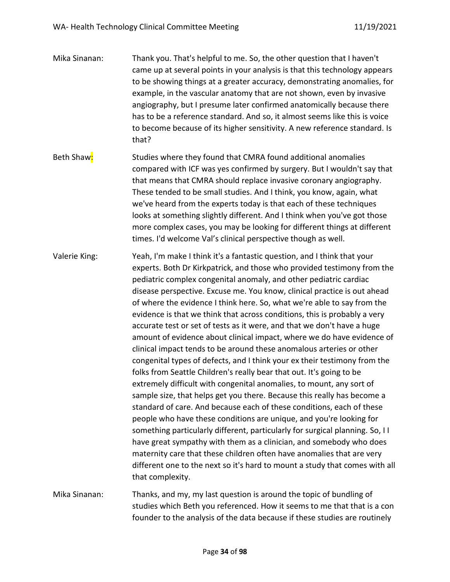| Mika Sinanan: | Thank you. That's helpful to me. So, the other question that I haven't<br>came up at several points in your analysis is that this technology appears<br>to be showing things at a greater accuracy, demonstrating anomalies, for<br>example, in the vascular anatomy that are not shown, even by invasive<br>angiography, but I presume later confirmed anatomically because there<br>has to be a reference standard. And so, it almost seems like this is voice<br>to become because of its higher sensitivity. A new reference standard. Is<br>that?                                                                                                                                                                                                                                                                                                                                                                                                                                                                                                                                                                                                                                                                                                                                                                                                                                                                                                                               |
|---------------|--------------------------------------------------------------------------------------------------------------------------------------------------------------------------------------------------------------------------------------------------------------------------------------------------------------------------------------------------------------------------------------------------------------------------------------------------------------------------------------------------------------------------------------------------------------------------------------------------------------------------------------------------------------------------------------------------------------------------------------------------------------------------------------------------------------------------------------------------------------------------------------------------------------------------------------------------------------------------------------------------------------------------------------------------------------------------------------------------------------------------------------------------------------------------------------------------------------------------------------------------------------------------------------------------------------------------------------------------------------------------------------------------------------------------------------------------------------------------------------|
| Beth Shaw:    | Studies where they found that CMRA found additional anomalies<br>compared with ICF was yes confirmed by surgery. But I wouldn't say that<br>that means that CMRA should replace invasive coronary angiography.<br>These tended to be small studies. And I think, you know, again, what<br>we've heard from the experts today is that each of these techniques<br>looks at something slightly different. And I think when you've got those<br>more complex cases, you may be looking for different things at different<br>times. I'd welcome Val's clinical perspective though as well.                                                                                                                                                                                                                                                                                                                                                                                                                                                                                                                                                                                                                                                                                                                                                                                                                                                                                               |
| Valerie King: | Yeah, I'm make I think it's a fantastic question, and I think that your<br>experts. Both Dr Kirkpatrick, and those who provided testimony from the<br>pediatric complex congenital anomaly, and other pediatric cardiac<br>disease perspective. Excuse me. You know, clinical practice is out ahead<br>of where the evidence I think here. So, what we're able to say from the<br>evidence is that we think that across conditions, this is probably a very<br>accurate test or set of tests as it were, and that we don't have a huge<br>amount of evidence about clinical impact, where we do have evidence of<br>clinical impact tends to be around these anomalous arteries or other<br>congenital types of defects, and I think your ex their testimony from the<br>folks from Seattle Children's really bear that out. It's going to be<br>extremely difficult with congenital anomalies, to mount, any sort of<br>sample size, that helps get you there. Because this really has become a<br>standard of care. And because each of these conditions, each of these<br>people who have these conditions are unique, and you're looking for<br>something particularly different, particularly for surgical planning. So, I I<br>have great sympathy with them as a clinician, and somebody who does<br>maternity care that these children often have anomalies that are very<br>different one to the next so it's hard to mount a study that comes with all<br>that complexity. |
| Mika Sinanan: | Thanks, and my, my last question is around the topic of bundling of<br>studies which Beth you referenced. How it seems to me that that is a con<br>founder to the analysis of the data because if these studies are routinely                                                                                                                                                                                                                                                                                                                                                                                                                                                                                                                                                                                                                                                                                                                                                                                                                                                                                                                                                                                                                                                                                                                                                                                                                                                        |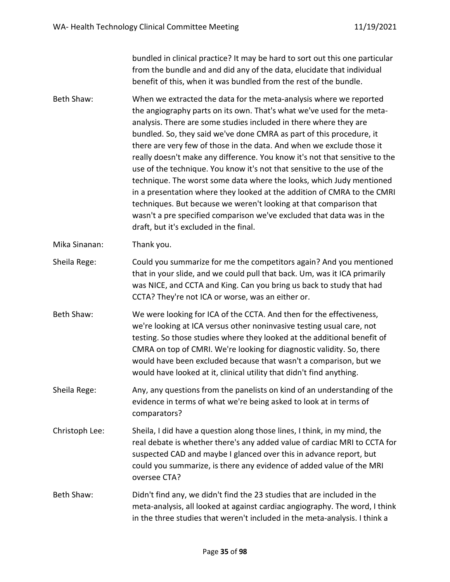bundled in clinical practice? It may be hard to sort out this one particular from the bundle and and did any of the data, elucidate that individual benefit of this, when it was bundled from the rest of the bundle.

- Beth Shaw: When we extracted the data for the meta-analysis where we reported the angiography parts on its own. That's what we've used for the metaanalysis. There are some studies included in there where they are bundled. So, they said we've done CMRA as part of this procedure, it there are very few of those in the data. And when we exclude those it really doesn't make any difference. You know it's not that sensitive to the use of the technique. You know it's not that sensitive to the use of the technique. The worst some data where the looks, which Judy mentioned in a presentation where they looked at the addition of CMRA to the CMRI techniques. But because we weren't looking at that comparison that wasn't a pre specified comparison we've excluded that data was in the draft, but it's excluded in the final.
- Mika Sinanan: Thank you.
- Sheila Rege: Could you summarize for me the competitors again? And you mentioned that in your slide, and we could pull that back. Um, was it ICA primarily was NICE, and CCTA and King. Can you bring us back to study that had CCTA? They're not ICA or worse, was an either or.
- Beth Shaw: We were looking for ICA of the CCTA. And then for the effectiveness, we're looking at ICA versus other noninvasive testing usual care, not testing. So those studies where they looked at the additional benefit of CMRA on top of CMRI. We're looking for diagnostic validity. So, there would have been excluded because that wasn't a comparison, but we would have looked at it, clinical utility that didn't find anything.
- Sheila Rege: Any, any questions from the panelists on kind of an understanding of the evidence in terms of what we're being asked to look at in terms of comparators?
- Christoph Lee: Sheila, I did have a question along those lines, I think, in my mind, the real debate is whether there's any added value of cardiac MRI to CCTA for suspected CAD and maybe I glanced over this in advance report, but could you summarize, is there any evidence of added value of the MRI oversee CTA?
- Beth Shaw: Didn't find any, we didn't find the 23 studies that are included in the meta-analysis, all looked at against cardiac angiography. The word, I think in the three studies that weren't included in the meta-analysis. I think a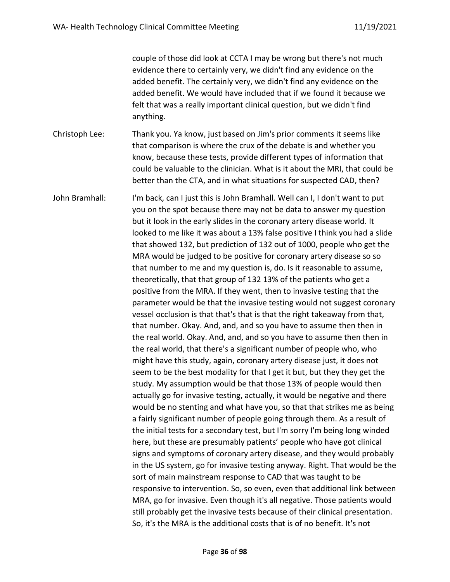couple of those did look at CCTA I may be wrong but there's not much evidence there to certainly very, we didn't find any evidence on the added benefit. The certainly very, we didn't find any evidence on the added benefit. We would have included that if we found it because we felt that was a really important clinical question, but we didn't find anything.

Christoph Lee: Thank you. Ya know, just based on Jim's prior comments it seems like that comparison is where the crux of the debate is and whether you know, because these tests, provide different types of information that could be valuable to the clinician. What is it about the MRI, that could be better than the CTA, and in what situations for suspected CAD, then?

John Bramhall: I'm back, can I just this is John Bramhall. Well can I, I don't want to put you on the spot because there may not be data to answer my question but it look in the early slides in the coronary artery disease world. It looked to me like it was about a 13% false positive I think you had a slide that showed 132, but prediction of 132 out of 1000, people who get the MRA would be judged to be positive for coronary artery disease so so that number to me and my question is, do. Is it reasonable to assume, theoretically, that that group of 132 13% of the patients who get a positive from the MRA. If they went, then to invasive testing that the parameter would be that the invasive testing would not suggest coronary vessel occlusion is that that's that is that the right takeaway from that, that number. Okay. And, and, and so you have to assume then then in the real world. Okay. And, and, and so you have to assume then then in the real world, that there's a significant number of people who, who might have this study, again, coronary artery disease just, it does not seem to be the best modality for that I get it but, but they they get the study. My assumption would be that those 13% of people would then actually go for invasive testing, actually, it would be negative and there would be no stenting and what have you, so that that strikes me as being a fairly significant number of people going through them. As a result of the initial tests for a secondary test, but I'm sorry I'm being long winded here, but these are presumably patients' people who have got clinical signs and symptoms of coronary artery disease, and they would probably in the US system, go for invasive testing anyway. Right. That would be the sort of main mainstream response to CAD that was taught to be responsive to intervention. So, so even, even that additional link between MRA, go for invasive. Even though it's all negative. Those patients would still probably get the invasive tests because of their clinical presentation. So, it's the MRA is the additional costs that is of no benefit. It's not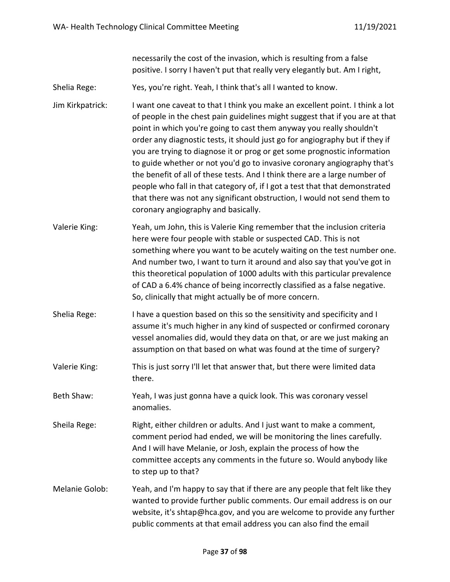necessarily the cost of the invasion, which is resulting from a false positive. I sorry I haven't put that really very elegantly but. Am I right,

Shelia Rege: Yes, you're right. Yeah, I think that's all I wanted to know.

Jim Kirkpatrick: I want one caveat to that I think you make an excellent point. I think a lot of people in the chest pain guidelines might suggest that if you are at that point in which you're going to cast them anyway you really shouldn't order any diagnostic tests, it should just go for angiography but if they if you are trying to diagnose it or prog or get some prognostic information to guide whether or not you'd go to invasive coronary angiography that's the benefit of all of these tests. And I think there are a large number of people who fall in that category of, if I got a test that that demonstrated that there was not any significant obstruction, I would not send them to coronary angiography and basically.

- Valerie King: Yeah, um John, this is Valerie King remember that the inclusion criteria here were four people with stable or suspected CAD. This is not something where you want to be acutely waiting on the test number one. And number two, I want to turn it around and also say that you've got in this theoretical population of 1000 adults with this particular prevalence of CAD a 6.4% chance of being incorrectly classified as a false negative. So, clinically that might actually be of more concern.
- Shelia Rege: I have a question based on this so the sensitivity and specificity and I assume it's much higher in any kind of suspected or confirmed coronary vessel anomalies did, would they data on that, or are we just making an assumption on that based on what was found at the time of surgery?
- Valerie King: This is just sorry I'll let that answer that, but there were limited data there.
- Beth Shaw: Yeah, I was just gonna have a quick look. This was coronary vessel anomalies.
- Sheila Rege: Right, either children or adults. And I just want to make a comment, comment period had ended, we will be monitoring the lines carefully. And I will have Melanie, or Josh, explain the process of how the committee accepts any comments in the future so. Would anybody like to step up to that?
- Melanie Golob: Yeah, and I'm happy to say that if there are any people that felt like they wanted to provide further public comments. Our email address is on our website, it's shtap@hca.gov, and you are welcome to provide any further public comments at that email address you can also find the email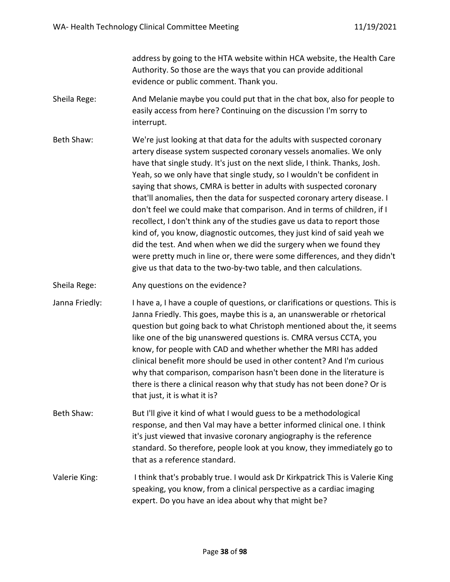address by going to the HTA website within HCA website, the Health Care Authority. So those are the ways that you can provide additional evidence or public comment. Thank you.

- Sheila Rege: And Melanie maybe you could put that in the chat box, also for people to easily access from here? Continuing on the discussion I'm sorry to interrupt.
- Beth Shaw: We're just looking at that data for the adults with suspected coronary artery disease system suspected coronary vessels anomalies. We only have that single study. It's just on the next slide, I think. Thanks, Josh. Yeah, so we only have that single study, so I wouldn't be confident in saying that shows, CMRA is better in adults with suspected coronary that'll anomalies, then the data for suspected coronary artery disease. I don't feel we could make that comparison. And in terms of children, if I recollect, I don't think any of the studies gave us data to report those kind of, you know, diagnostic outcomes, they just kind of said yeah we did the test. And when when we did the surgery when we found they were pretty much in line or, there were some differences, and they didn't give us that data to the two-by-two table, and then calculations.
- Sheila Rege: Any questions on the evidence?
- Janna Friedly: I have a, I have a couple of questions, or clarifications or questions. This is Janna Friedly. This goes, maybe this is a, an unanswerable or rhetorical question but going back to what Christoph mentioned about the, it seems like one of the big unanswered questions is. CMRA versus CCTA, you know, for people with CAD and whether whether the MRI has added clinical benefit more should be used in other content? And I'm curious why that comparison, comparison hasn't been done in the literature is there is there a clinical reason why that study has not been done? Or is that just, it is what it is?
- Beth Shaw: But I'll give it kind of what I would guess to be a methodological response, and then Val may have a better informed clinical one. I think it's just viewed that invasive coronary angiography is the reference standard. So therefore, people look at you know, they immediately go to that as a reference standard.
- Valerie King: I think that's probably true. I would ask Dr Kirkpatrick This is Valerie King speaking, you know, from a clinical perspective as a cardiac imaging expert. Do you have an idea about why that might be?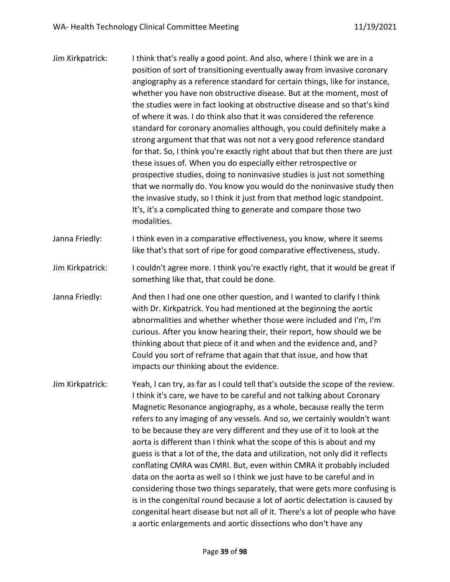| Jim Kirkpatrick: | I think that's really a good point. And also, where I think we are in a<br>position of sort of transitioning eventually away from invasive coronary<br>angiography as a reference standard for certain things, like for instance,<br>whether you have non obstructive disease. But at the moment, most of<br>the studies were in fact looking at obstructive disease and so that's kind<br>of where it was. I do think also that it was considered the reference<br>standard for coronary anomalies although, you could definitely make a<br>strong argument that that was not not a very good reference standard<br>for that. So, I think you're exactly right about that but then there are just<br>these issues of. When you do especially either retrospective or<br>prospective studies, doing to noninvasive studies is just not something<br>that we normally do. You know you would do the noninvasive study then<br>the invasive study, so I think it just from that method logic standpoint.<br>It's, it's a complicated thing to generate and compare those two<br>modalities. |
|------------------|-------------------------------------------------------------------------------------------------------------------------------------------------------------------------------------------------------------------------------------------------------------------------------------------------------------------------------------------------------------------------------------------------------------------------------------------------------------------------------------------------------------------------------------------------------------------------------------------------------------------------------------------------------------------------------------------------------------------------------------------------------------------------------------------------------------------------------------------------------------------------------------------------------------------------------------------------------------------------------------------------------------------------------------------------------------------------------------------|
| Janna Friedly:   | I think even in a comparative effectiveness, you know, where it seems<br>like that's that sort of ripe for good comparative effectiveness, study.                                                                                                                                                                                                                                                                                                                                                                                                                                                                                                                                                                                                                                                                                                                                                                                                                                                                                                                                         |
| Jim Kirkpatrick: | I couldn't agree more. I think you're exactly right, that it would be great if                                                                                                                                                                                                                                                                                                                                                                                                                                                                                                                                                                                                                                                                                                                                                                                                                                                                                                                                                                                                            |

Janna Friedly: And then I had one one other question, and I wanted to clarify I think with Dr. Kirkpatrick. You had mentioned at the beginning the aortic abnormalities and whether whether those were included and I'm, I'm curious. After you know hearing their, their report, how should we be thinking about that piece of it and when and the evidence and, and? Could you sort of reframe that again that that issue, and how that impacts our thinking about the evidence.

something like that, that could be done.

Jim Kirkpatrick: Yeah, I can try, as far as I could tell that's outside the scope of the review. I think it's care, we have to be careful and not talking about Coronary Magnetic Resonance angiography, as a whole, because really the term refers to any imaging of any vessels. And so, we certainly wouldn't want to be because they are very different and they use of it to look at the aorta is different than I think what the scope of this is about and my guess is that a lot of the, the data and utilization, not only did it reflects conflating CMRA was CMRI. But, even within CMRA it probably included data on the aorta as well so I think we just have to be careful and in considering those two things separately, that were gets more confusing is is in the congenital round because a lot of aortic delectation is caused by congenital heart disease but not all of it. There's a lot of people who have a aortic enlargements and aortic dissections who don't have any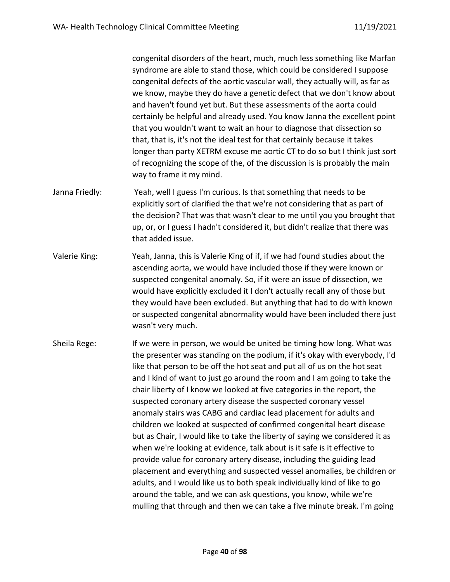congenital disorders of the heart, much, much less something like Marfan syndrome are able to stand those, which could be considered I suppose congenital defects of the aortic vascular wall, they actually will, as far as we know, maybe they do have a genetic defect that we don't know about and haven't found yet but. But these assessments of the aorta could certainly be helpful and already used. You know Janna the excellent point that you wouldn't want to wait an hour to diagnose that dissection so that, that is, it's not the ideal test for that certainly because it takes longer than party XETRM excuse me aortic CT to do so but I think just sort of recognizing the scope of the, of the discussion is is probably the main way to frame it my mind.

- Janna Friedly: Yeah, well I guess I'm curious. Is that something that needs to be explicitly sort of clarified the that we're not considering that as part of the decision? That was that wasn't clear to me until you you brought that up, or, or I guess I hadn't considered it, but didn't realize that there was that added issue.
- Valerie King: Yeah, Janna, this is Valerie King of if, if we had found studies about the ascending aorta, we would have included those if they were known or suspected congenital anomaly. So, if it were an issue of dissection, we would have explicitly excluded it I don't actually recall any of those but they would have been excluded. But anything that had to do with known or suspected congenital abnormality would have been included there just wasn't very much.
- Sheila Rege: If we were in person, we would be united be timing how long. What was the presenter was standing on the podium, if it's okay with everybody, I'd like that person to be off the hot seat and put all of us on the hot seat and I kind of want to just go around the room and I am going to take the chair liberty of I know we looked at five categories in the report, the suspected coronary artery disease the suspected coronary vessel anomaly stairs was CABG and cardiac lead placement for adults and children we looked at suspected of confirmed congenital heart disease but as Chair, I would like to take the liberty of saying we considered it as when we're looking at evidence, talk about is it safe is it effective to provide value for coronary artery disease, including the guiding lead placement and everything and suspected vessel anomalies, be children or adults, and I would like us to both speak individually kind of like to go around the table, and we can ask questions, you know, while we're mulling that through and then we can take a five minute break. I'm going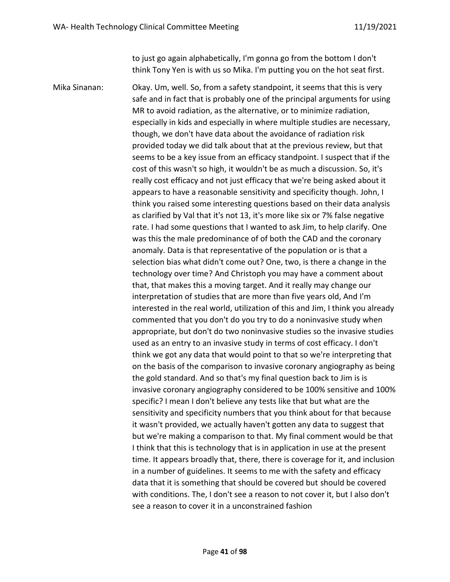to just go again alphabetically, I'm gonna go from the bottom I don't think Tony Yen is with us so Mika. I'm putting you on the hot seat first.

Mika Sinanan: Okay. Um, well. So, from a safety standpoint, it seems that this is very safe and in fact that is probably one of the principal arguments for using MR to avoid radiation, as the alternative, or to minimize radiation, especially in kids and especially in where multiple studies are necessary, though, we don't have data about the avoidance of radiation risk provided today we did talk about that at the previous review, but that seems to be a key issue from an efficacy standpoint. I suspect that if the cost of this wasn't so high, it wouldn't be as much a discussion. So, it's really cost efficacy and not just efficacy that we're being asked about it appears to have a reasonable sensitivity and specificity though. John, I think you raised some interesting questions based on their data analysis as clarified by Val that it's not 13, it's more like six or 7% false negative rate. I had some questions that I wanted to ask Jim, to help clarify. One was this the male predominance of of both the CAD and the coronary anomaly. Data is that representative of the population or is that a selection bias what didn't come out? One, two, is there a change in the technology over time? And Christoph you may have a comment about that, that makes this a moving target. And it really may change our interpretation of studies that are more than five years old, And I'm interested in the real world, utilization of this and Jim, I think you already commented that you don't do you try to do a noninvasive study when appropriate, but don't do two noninvasive studies so the invasive studies used as an entry to an invasive study in terms of cost efficacy. I don't think we got any data that would point to that so we're interpreting that on the basis of the comparison to invasive coronary angiography as being the gold standard. And so that's my final question back to Jim is is invasive coronary angiography considered to be 100% sensitive and 100% specific? I mean I don't believe any tests like that but what are the sensitivity and specificity numbers that you think about for that because it wasn't provided, we actually haven't gotten any data to suggest that but we're making a comparison to that. My final comment would be that I think that this is technology that is in application in use at the present time. It appears broadly that, there, there is coverage for it, and inclusion in a number of guidelines. It seems to me with the safety and efficacy data that it is something that should be covered but should be covered with conditions. The, I don't see a reason to not cover it, but I also don't see a reason to cover it in a unconstrained fashion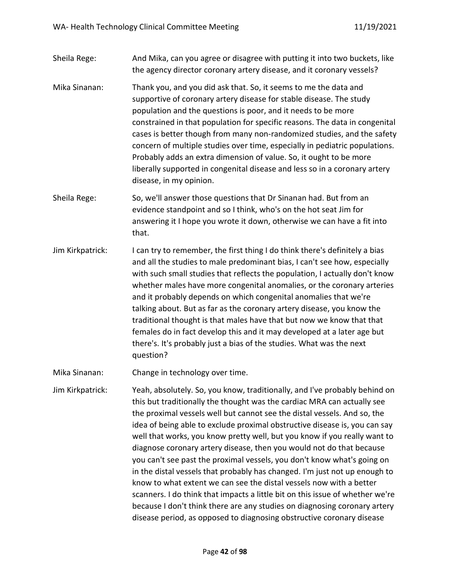## Sheila Rege: And Mika, can you agree or disagree with putting it into two buckets, like the agency director coronary artery disease, and it coronary vessels?

- Mika Sinanan: Thank you, and you did ask that. So, it seems to me the data and supportive of coronary artery disease for stable disease. The study population and the questions is poor, and it needs to be more constrained in that population for specific reasons. The data in congenital cases is better though from many non-randomized studies, and the safety concern of multiple studies over time, especially in pediatric populations. Probably adds an extra dimension of value. So, it ought to be more liberally supported in congenital disease and less so in a coronary artery disease, in my opinion.
- Sheila Rege: So, we'll answer those questions that Dr Sinanan had. But from an evidence standpoint and so I think, who's on the hot seat Jim for answering it I hope you wrote it down, otherwise we can have a fit into that.
- Jim Kirkpatrick: I can try to remember, the first thing I do think there's definitely a bias and all the studies to male predominant bias, I can't see how, especially with such small studies that reflects the population, I actually don't know whether males have more congenital anomalies, or the coronary arteries and it probably depends on which congenital anomalies that we're talking about. But as far as the coronary artery disease, you know the traditional thought is that males have that but now we know that that females do in fact develop this and it may developed at a later age but there's. It's probably just a bias of the studies. What was the next question?

Mika Sinanan: Change in technology over time.

Jim Kirkpatrick: Yeah, absolutely. So, you know, traditionally, and I've probably behind on this but traditionally the thought was the cardiac MRA can actually see the proximal vessels well but cannot see the distal vessels. And so, the idea of being able to exclude proximal obstructive disease is, you can say well that works, you know pretty well, but you know if you really want to diagnose coronary artery disease, then you would not do that because you can't see past the proximal vessels, you don't know what's going on in the distal vessels that probably has changed. I'm just not up enough to know to what extent we can see the distal vessels now with a better scanners. I do think that impacts a little bit on this issue of whether we're because I don't think there are any studies on diagnosing coronary artery disease period, as opposed to diagnosing obstructive coronary disease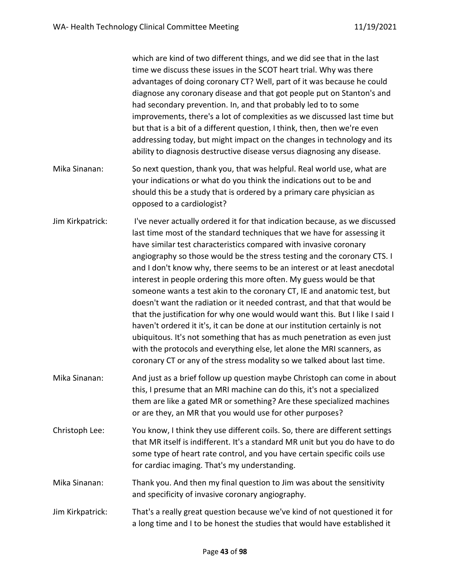which are kind of two different things, and we did see that in the last time we discuss these issues in the SCOT heart trial. Why was there advantages of doing coronary CT? Well, part of it was because he could diagnose any coronary disease and that got people put on Stanton's and had secondary prevention. In, and that probably led to to some improvements, there's a lot of complexities as we discussed last time but but that is a bit of a different question, I think, then, then we're even addressing today, but might impact on the changes in technology and its ability to diagnosis destructive disease versus diagnosing any disease.

- Mika Sinanan: So next question, thank you, that was helpful. Real world use, what are your indications or what do you think the indications out to be and should this be a study that is ordered by a primary care physician as opposed to a cardiologist?
- Jim Kirkpatrick: I've never actually ordered it for that indication because, as we discussed last time most of the standard techniques that we have for assessing it have similar test characteristics compared with invasive coronary angiography so those would be the stress testing and the coronary CTS. I and I don't know why, there seems to be an interest or at least anecdotal interest in people ordering this more often. My guess would be that someone wants a test akin to the coronary CT, IE and anatomic test, but doesn't want the radiation or it needed contrast, and that that would be that the justification for why one would would want this. But I like I said I haven't ordered it it's, it can be done at our institution certainly is not ubiquitous. It's not something that has as much penetration as even just with the protocols and everything else, let alone the MRI scanners, as coronary CT or any of the stress modality so we talked about last time.
- Mika Sinanan: And just as a brief follow up question maybe Christoph can come in about this, I presume that an MRI machine can do this, it's not a specialized them are like a gated MR or something? Are these specialized machines or are they, an MR that you would use for other purposes?
- Christoph Lee: You know, I think they use different coils. So, there are different settings that MR itself is indifferent. It's a standard MR unit but you do have to do some type of heart rate control, and you have certain specific coils use for cardiac imaging. That's my understanding.
- Mika Sinanan: Thank you. And then my final question to Jim was about the sensitivity and specificity of invasive coronary angiography.
- Jim Kirkpatrick: That's a really great question because we've kind of not questioned it for a long time and I to be honest the studies that would have established it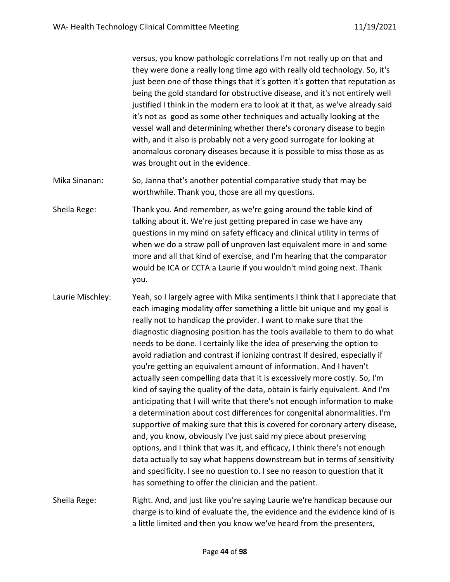versus, you know pathologic correlations I'm not really up on that and they were done a really long time ago with really old technology. So, it's just been one of those things that it's gotten it's gotten that reputation as being the gold standard for obstructive disease, and it's not entirely well justified I think in the modern era to look at it that, as we've already said it's not as good as some other techniques and actually looking at the vessel wall and determining whether there's coronary disease to begin with, and it also is probably not a very good surrogate for looking at anomalous coronary diseases because it is possible to miss those as as was brought out in the evidence.

Mika Sinanan: So, Janna that's another potential comparative study that may be worthwhile. Thank you, those are all my questions.

Sheila Rege: Thank you. And remember, as we're going around the table kind of talking about it. We're just getting prepared in case we have any questions in my mind on safety efficacy and clinical utility in terms of when we do a straw poll of unproven last equivalent more in and some more and all that kind of exercise, and I'm hearing that the comparator would be ICA or CCTA a Laurie if you wouldn't mind going next. Thank you.

Laurie Mischley: Yeah, so I largely agree with Mika sentiments I think that I appreciate that each imaging modality offer something a little bit unique and my goal is really not to handicap the provider. I want to make sure that the diagnostic diagnosing position has the tools available to them to do what needs to be done. I certainly like the idea of preserving the option to avoid radiation and contrast if ionizing contrast If desired, especially if you're getting an equivalent amount of information. And I haven't actually seen compelling data that it is excessively more costly. So, I'm kind of saying the quality of the data, obtain is fairly equivalent. And I'm anticipating that I will write that there's not enough information to make a determination about cost differences for congenital abnormalities. I'm supportive of making sure that this is covered for coronary artery disease, and, you know, obviously I've just said my piece about preserving options, and I think that was it, and efficacy, I think there's not enough data actually to say what happens downstream but in terms of sensitivity and specificity. I see no question to. I see no reason to question that it has something to offer the clinician and the patient.

Sheila Rege: Right. And, and just like you're saying Laurie we're handicap because our charge is to kind of evaluate the, the evidence and the evidence kind of is a little limited and then you know we've heard from the presenters,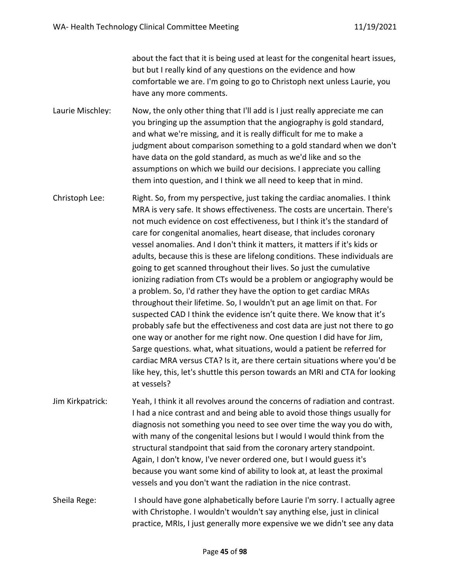about the fact that it is being used at least for the congenital heart issues, but but I really kind of any questions on the evidence and how comfortable we are. I'm going to go to Christoph next unless Laurie, you have any more comments.

Laurie Mischley: Now, the only other thing that I'll add is I just really appreciate me can you bringing up the assumption that the angiography is gold standard, and what we're missing, and it is really difficult for me to make a judgment about comparison something to a gold standard when we don't have data on the gold standard, as much as we'd like and so the assumptions on which we build our decisions. I appreciate you calling them into question, and I think we all need to keep that in mind.

Christoph Lee: Right. So, from my perspective, just taking the cardiac anomalies. I think MRA is very safe. It shows effectiveness. The costs are uncertain. There's not much evidence on cost effectiveness, but I think it's the standard of care for congenital anomalies, heart disease, that includes coronary vessel anomalies. And I don't think it matters, it matters if it's kids or adults, because this is these are lifelong conditions. These individuals are going to get scanned throughout their lives. So just the cumulative ionizing radiation from CTs would be a problem or angiography would be a problem. So, I'd rather they have the option to get cardiac MRAs throughout their lifetime. So, I wouldn't put an age limit on that. For suspected CAD I think the evidence isn't quite there. We know that it's probably safe but the effectiveness and cost data are just not there to go one way or another for me right now. One question I did have for Jim, Sarge questions. what, what situations, would a patient be referred for cardiac MRA versus CTA? Is it, are there certain situations where you'd be like hey, this, let's shuttle this person towards an MRI and CTA for looking at vessels?

Jim Kirkpatrick: Yeah, I think it all revolves around the concerns of radiation and contrast. I had a nice contrast and and being able to avoid those things usually for diagnosis not something you need to see over time the way you do with, with many of the congenital lesions but I would I would think from the structural standpoint that said from the coronary artery standpoint. Again, I don't know, I've never ordered one, but I would guess it's because you want some kind of ability to look at, at least the proximal vessels and you don't want the radiation in the nice contrast.

Sheila Rege: I should have gone alphabetically before Laurie I'm sorry. I actually agree with Christophe. I wouldn't wouldn't say anything else, just in clinical practice, MRIs, I just generally more expensive we we didn't see any data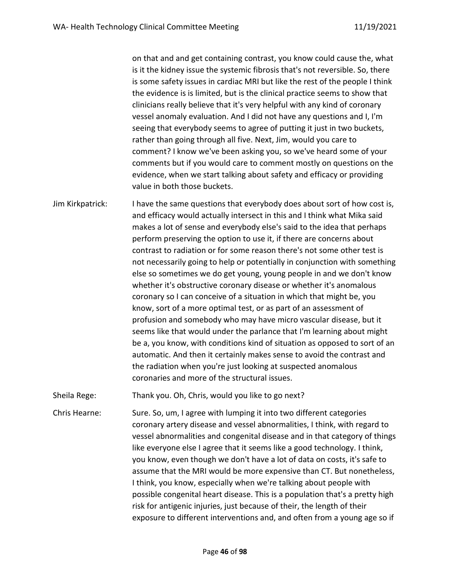on that and and get containing contrast, you know could cause the, what is it the kidney issue the systemic fibrosis that's not reversible. So, there is some safety issues in cardiac MRI but like the rest of the people I think the evidence is is limited, but is the clinical practice seems to show that clinicians really believe that it's very helpful with any kind of coronary vessel anomaly evaluation. And I did not have any questions and I, I'm seeing that everybody seems to agree of putting it just in two buckets, rather than going through all five. Next, Jim, would you care to comment? I know we've been asking you, so we've heard some of your comments but if you would care to comment mostly on questions on the evidence, when we start talking about safety and efficacy or providing value in both those buckets.

Jim Kirkpatrick: I have the same questions that everybody does about sort of how cost is, and efficacy would actually intersect in this and I think what Mika said makes a lot of sense and everybody else's said to the idea that perhaps perform preserving the option to use it, if there are concerns about contrast to radiation or for some reason there's not some other test is not necessarily going to help or potentially in conjunction with something else so sometimes we do get young, young people in and we don't know whether it's obstructive coronary disease or whether it's anomalous coronary so I can conceive of a situation in which that might be, you know, sort of a more optimal test, or as part of an assessment of profusion and somebody who may have micro vascular disease, but it seems like that would under the parlance that I'm learning about might be a, you know, with conditions kind of situation as opposed to sort of an automatic. And then it certainly makes sense to avoid the contrast and the radiation when you're just looking at suspected anomalous coronaries and more of the structural issues.

Sheila Rege: Thank you. Oh, Chris, would you like to go next?

Chris Hearne: Sure. So, um, I agree with lumping it into two different categories coronary artery disease and vessel abnormalities, I think, with regard to vessel abnormalities and congenital disease and in that category of things like everyone else I agree that it seems like a good technology. I think, you know, even though we don't have a lot of data on costs, it's safe to assume that the MRI would be more expensive than CT. But nonetheless, I think, you know, especially when we're talking about people with possible congenital heart disease. This is a population that's a pretty high risk for antigenic injuries, just because of their, the length of their exposure to different interventions and, and often from a young age so if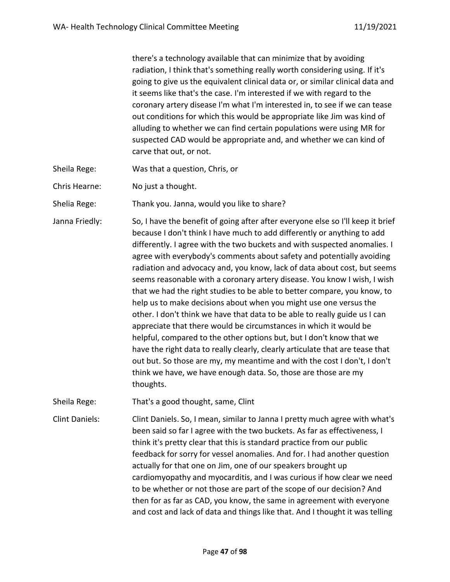there's a technology available that can minimize that by avoiding radiation, I think that's something really worth considering using. If it's going to give us the equivalent clinical data or, or similar clinical data and it seems like that's the case. I'm interested if we with regard to the coronary artery disease I'm what I'm interested in, to see if we can tease out conditions for which this would be appropriate like Jim was kind of alluding to whether we can find certain populations were using MR for suspected CAD would be appropriate and, and whether we can kind of carve that out, or not.

- Sheila Rege: Was that a question, Chris, or
- Chris Hearne: No just a thought.

Shelia Rege: Thank you. Janna, would you like to share?

Janna Friedly: So, I have the benefit of going after after everyone else so I'll keep it brief because I don't think I have much to add differently or anything to add differently. I agree with the two buckets and with suspected anomalies. I agree with everybody's comments about safety and potentially avoiding radiation and advocacy and, you know, lack of data about cost, but seems seems reasonable with a coronary artery disease. You know I wish, I wish that we had the right studies to be able to better compare, you know, to help us to make decisions about when you might use one versus the other. I don't think we have that data to be able to really guide us I can appreciate that there would be circumstances in which it would be helpful, compared to the other options but, but I don't know that we have the right data to really clearly, clearly articulate that are tease that out but. So those are my, my meantime and with the cost I don't, I don't think we have, we have enough data. So, those are those are my thoughts.

Sheila Rege: That's a good thought, same, Clint

Clint Daniels: Clint Daniels. So, I mean, similar to Janna I pretty much agree with what's been said so far I agree with the two buckets. As far as effectiveness, I think it's pretty clear that this is standard practice from our public feedback for sorry for vessel anomalies. And for. I had another question actually for that one on Jim, one of our speakers brought up cardiomyopathy and myocarditis, and I was curious if how clear we need to be whether or not those are part of the scope of our decision? And then for as far as CAD, you know, the same in agreement with everyone and cost and lack of data and things like that. And I thought it was telling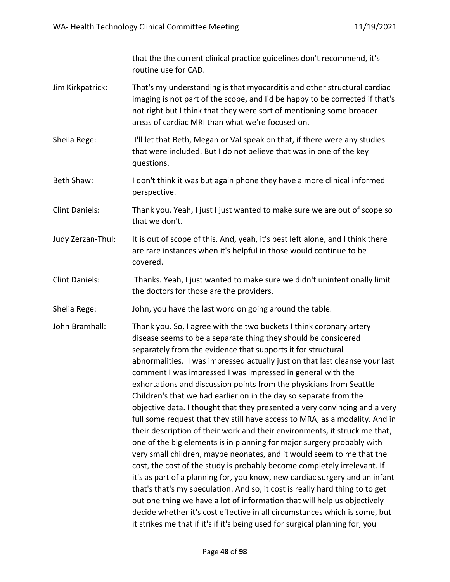that the the current clinical practice guidelines don't recommend, it's routine use for CAD.

- Jim Kirkpatrick: That's my understanding is that myocarditis and other structural cardiac imaging is not part of the scope, and I'd be happy to be corrected if that's not right but I think that they were sort of mentioning some broader areas of cardiac MRI than what we're focused on.
- Sheila Rege: I'll let that Beth, Megan or Val speak on that, if there were any studies that were included. But I do not believe that was in one of the key questions.
- Beth Shaw: I don't think it was but again phone they have a more clinical informed perspective.

Clint Daniels: Thank you. Yeah, I just I just wanted to make sure we are out of scope so that we don't.

- Judy Zerzan-Thul: It is out of scope of this. And, yeah, it's best left alone, and I think there are rare instances when it's helpful in those would continue to be covered.
- Clint Daniels: Thanks. Yeah, I just wanted to make sure we didn't unintentionally limit the doctors for those are the providers.

Shelia Rege: John, you have the last word on going around the table.

John Bramhall: Thank you. So, I agree with the two buckets I think coronary artery disease seems to be a separate thing they should be considered separately from the evidence that supports it for structural abnormalities. I was impressed actually just on that last cleanse your last comment I was impressed I was impressed in general with the exhortations and discussion points from the physicians from Seattle Children's that we had earlier on in the day so separate from the objective data. I thought that they presented a very convincing and a very full some request that they still have access to MRA, as a modality. And in their description of their work and their environments, it struck me that, one of the big elements is in planning for major surgery probably with very small children, maybe neonates, and it would seem to me that the cost, the cost of the study is probably become completely irrelevant. If it's as part of a planning for, you know, new cardiac surgery and an infant that's that's my speculation. And so, it cost is really hard thing to to get out one thing we have a lot of information that will help us objectively decide whether it's cost effective in all circumstances which is some, but it strikes me that if it's if it's being used for surgical planning for, you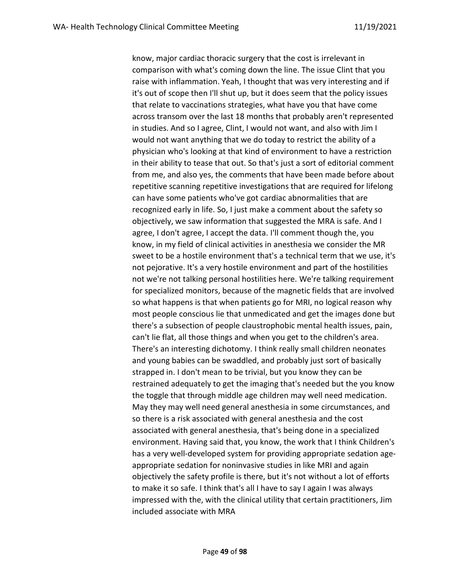know, major cardiac thoracic surgery that the cost is irrelevant in comparison with what's coming down the line. The issue Clint that you raise with inflammation. Yeah, I thought that was very interesting and if it's out of scope then I'll shut up, but it does seem that the policy issues that relate to vaccinations strategies, what have you that have come across transom over the last 18 months that probably aren't represented in studies. And so I agree, Clint, I would not want, and also with Jim I would not want anything that we do today to restrict the ability of a physician who's looking at that kind of environment to have a restriction in their ability to tease that out. So that's just a sort of editorial comment from me, and also yes, the comments that have been made before about repetitive scanning repetitive investigations that are required for lifelong can have some patients who've got cardiac abnormalities that are recognized early in life. So, I just make a comment about the safety so objectively, we saw information that suggested the MRA is safe. And I agree, I don't agree, I accept the data. I'll comment though the, you know, in my field of clinical activities in anesthesia we consider the MR sweet to be a hostile environment that's a technical term that we use, it's not pejorative. It's a very hostile environment and part of the hostilities not we're not talking personal hostilities here. We're talking requirement for specialized monitors, because of the magnetic fields that are involved so what happens is that when patients go for MRI, no logical reason why most people conscious lie that unmedicated and get the images done but there's a subsection of people claustrophobic mental health issues, pain, can't lie flat, all those things and when you get to the children's area. There's an interesting dichotomy. I think really small children neonates and young babies can be swaddled, and probably just sort of basically strapped in. I don't mean to be trivial, but you know they can be restrained adequately to get the imaging that's needed but the you know the toggle that through middle age children may well need medication. May they may well need general anesthesia in some circumstances, and so there is a risk associated with general anesthesia and the cost associated with general anesthesia, that's being done in a specialized environment. Having said that, you know, the work that I think Children's has a very well-developed system for providing appropriate sedation ageappropriate sedation for noninvasive studies in like MRI and again objectively the safety profile is there, but it's not without a lot of efforts to make it so safe. I think that's all I have to say I again I was always impressed with the, with the clinical utility that certain practitioners, Jim included associate with MRA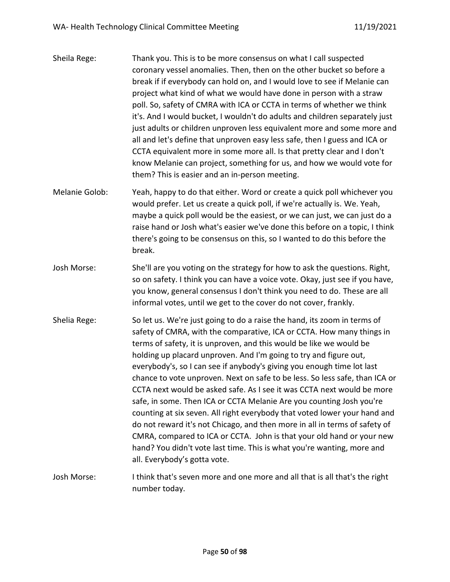- Sheila Rege: Thank you. This is to be more consensus on what I call suspected coronary vessel anomalies. Then, then on the other bucket so before a break if if everybody can hold on, and I would love to see if Melanie can project what kind of what we would have done in person with a straw poll. So, safety of CMRA with ICA or CCTA in terms of whether we think it's. And I would bucket, I wouldn't do adults and children separately just just adults or children unproven less equivalent more and some more and all and let's define that unproven easy less safe, then I guess and ICA or CCTA equivalent more in some more all. Is that pretty clear and I don't know Melanie can project, something for us, and how we would vote for them? This is easier and an in-person meeting.
- Melanie Golob: Yeah, happy to do that either. Word or create a quick poll whichever you would prefer. Let us create a quick poll, if we're actually is. We. Yeah, maybe a quick poll would be the easiest, or we can just, we can just do a raise hand or Josh what's easier we've done this before on a topic, I think there's going to be consensus on this, so I wanted to do this before the break.
- Josh Morse: She'll are you voting on the strategy for how to ask the questions. Right, so on safety. I think you can have a voice vote. Okay, just see if you have, you know, general consensus I don't think you need to do. These are all informal votes, until we get to the cover do not cover, frankly.
- Shelia Rege: So let us. We're just going to do a raise the hand, its zoom in terms of safety of CMRA, with the comparative, ICA or CCTA. How many things in terms of safety, it is unproven, and this would be like we would be holding up placard unproven. And I'm going to try and figure out, everybody's, so I can see if anybody's giving you enough time lot last chance to vote unproven. Next on safe to be less. So less safe, than ICA or CCTA next would be asked safe. As I see it was CCTA next would be more safe, in some. Then ICA or CCTA Melanie Are you counting Josh you're counting at six seven. All right everybody that voted lower your hand and do not reward it's not Chicago, and then more in all in terms of safety of CMRA, compared to ICA or CCTA. John is that your old hand or your new hand? You didn't vote last time. This is what you're wanting, more and all. Everybody's gotta vote.
- Josh Morse: I think that's seven more and one more and all that is all that's the right number today.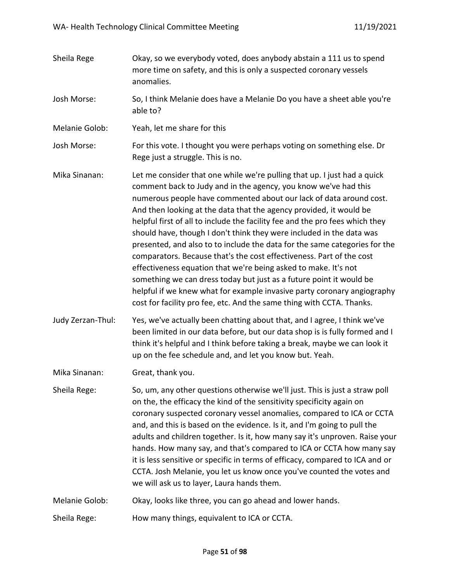- Sheila Rege **Okay, so we everybody voted, does anybody abstain a 111 us to spend** more time on safety, and this is only a suspected coronary vessels anomalies.
- Josh Morse: So, I think Melanie does have a Melanie Do you have a sheet able you're able to?
- Melanie Golob: Yeah, let me share for this
- Josh Morse: For this vote. I thought you were perhaps voting on something else. Dr Rege just a struggle. This is no.
- Mika Sinanan: Let me consider that one while we're pulling that up. I just had a quick comment back to Judy and in the agency, you know we've had this numerous people have commented about our lack of data around cost. And then looking at the data that the agency provided, it would be helpful first of all to include the facility fee and the pro fees which they should have, though I don't think they were included in the data was presented, and also to to include the data for the same categories for the comparators. Because that's the cost effectiveness. Part of the cost effectiveness equation that we're being asked to make. It's not something we can dress today but just as a future point it would be helpful if we knew what for example invasive party coronary angiography cost for facility pro fee, etc. And the same thing with CCTA. Thanks.
- Judy Zerzan-Thul: Yes, we've actually been chatting about that, and I agree, I think we've been limited in our data before, but our data shop is is fully formed and I think it's helpful and I think before taking a break, maybe we can look it up on the fee schedule and, and let you know but. Yeah.

Mika Sinanan: Great, thank you.

- Sheila Rege: So, um, any other questions otherwise we'll just. This is just a straw poll on the, the efficacy the kind of the sensitivity specificity again on coronary suspected coronary vessel anomalies, compared to ICA or CCTA and, and this is based on the evidence. Is it, and I'm going to pull the adults and children together. Is it, how many say it's unproven. Raise your hands. How many say, and that's compared to ICA or CCTA how many say it is less sensitive or specific in terms of efficacy, compared to ICA and or CCTA. Josh Melanie, you let us know once you've counted the votes and we will ask us to layer, Laura hands them.
- Melanie Golob: Okay, looks like three, you can go ahead and lower hands.
- Sheila Rege: How many things, equivalent to ICA or CCTA.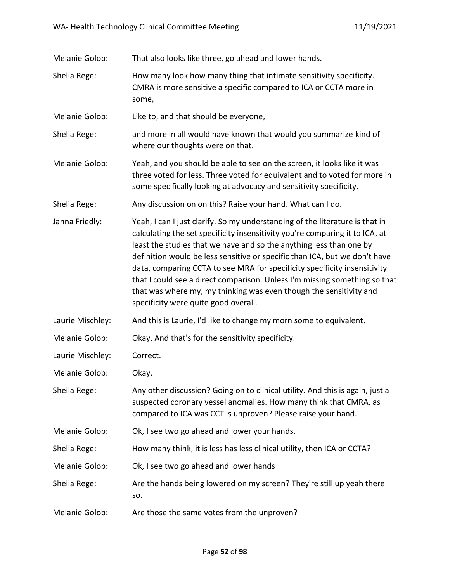| Melanie Golob:   | That also looks like three, go ahead and lower hands.                                                                                                                                                                                                                                                                                                                                                                                                                                                                                                                                      |
|------------------|--------------------------------------------------------------------------------------------------------------------------------------------------------------------------------------------------------------------------------------------------------------------------------------------------------------------------------------------------------------------------------------------------------------------------------------------------------------------------------------------------------------------------------------------------------------------------------------------|
| Shelia Rege:     | How many look how many thing that intimate sensitivity specificity.<br>CMRA is more sensitive a specific compared to ICA or CCTA more in<br>some,                                                                                                                                                                                                                                                                                                                                                                                                                                          |
| Melanie Golob:   | Like to, and that should be everyone,                                                                                                                                                                                                                                                                                                                                                                                                                                                                                                                                                      |
| Shelia Rege:     | and more in all would have known that would you summarize kind of<br>where our thoughts were on that.                                                                                                                                                                                                                                                                                                                                                                                                                                                                                      |
| Melanie Golob:   | Yeah, and you should be able to see on the screen, it looks like it was<br>three voted for less. Three voted for equivalent and to voted for more in<br>some specifically looking at advocacy and sensitivity specificity.                                                                                                                                                                                                                                                                                                                                                                 |
| Shelia Rege:     | Any discussion on on this? Raise your hand. What can I do.                                                                                                                                                                                                                                                                                                                                                                                                                                                                                                                                 |
| Janna Friedly:   | Yeah, I can I just clarify. So my understanding of the literature is that in<br>calculating the set specificity insensitivity you're comparing it to ICA, at<br>least the studies that we have and so the anything less than one by<br>definition would be less sensitive or specific than ICA, but we don't have<br>data, comparing CCTA to see MRA for specificity specificity insensitivity<br>that I could see a direct comparison. Unless I'm missing something so that<br>that was where my, my thinking was even though the sensitivity and<br>specificity were quite good overall. |
| Laurie Mischley: | And this is Laurie, I'd like to change my morn some to equivalent.                                                                                                                                                                                                                                                                                                                                                                                                                                                                                                                         |
| Melanie Golob:   | Okay. And that's for the sensitivity specificity.                                                                                                                                                                                                                                                                                                                                                                                                                                                                                                                                          |
| Laurie Mischley: | Correct.                                                                                                                                                                                                                                                                                                                                                                                                                                                                                                                                                                                   |
| Melanie Golob:   | Okay.                                                                                                                                                                                                                                                                                                                                                                                                                                                                                                                                                                                      |
| Sheila Rege:     | Any other discussion? Going on to clinical utility. And this is again, just a<br>suspected coronary vessel anomalies. How many think that CMRA, as<br>compared to ICA was CCT is unproven? Please raise your hand.                                                                                                                                                                                                                                                                                                                                                                         |
| Melanie Golob:   | Ok, I see two go ahead and lower your hands.                                                                                                                                                                                                                                                                                                                                                                                                                                                                                                                                               |
| Shelia Rege:     | How many think, it is less has less clinical utility, then ICA or CCTA?                                                                                                                                                                                                                                                                                                                                                                                                                                                                                                                    |
| Melanie Golob:   | Ok, I see two go ahead and lower hands                                                                                                                                                                                                                                                                                                                                                                                                                                                                                                                                                     |
| Sheila Rege:     | Are the hands being lowered on my screen? They're still up yeah there<br>SO.                                                                                                                                                                                                                                                                                                                                                                                                                                                                                                               |
| Melanie Golob:   | Are those the same votes from the unproven?                                                                                                                                                                                                                                                                                                                                                                                                                                                                                                                                                |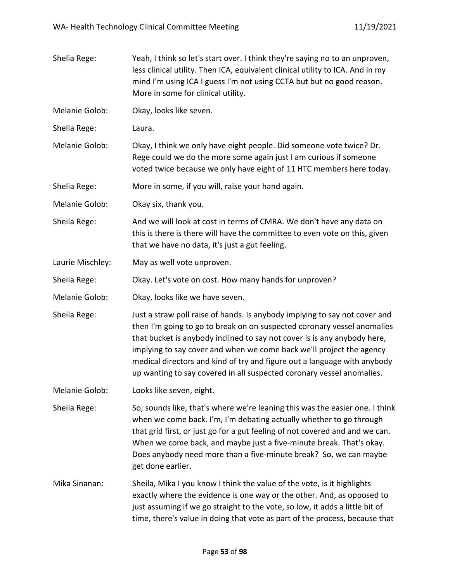| Shelia Rege:     | Yeah, I think so let's start over. I think they're saying no to an unproven,<br>less clinical utility. Then ICA, equivalent clinical utility to ICA. And in my<br>mind I'm using ICA I guess I'm not using CCTA but but no good reason.<br>More in some for clinical utility.                                                                                                                                                                                  |
|------------------|----------------------------------------------------------------------------------------------------------------------------------------------------------------------------------------------------------------------------------------------------------------------------------------------------------------------------------------------------------------------------------------------------------------------------------------------------------------|
| Melanie Golob:   | Okay, looks like seven.                                                                                                                                                                                                                                                                                                                                                                                                                                        |
| Shelia Rege:     | Laura.                                                                                                                                                                                                                                                                                                                                                                                                                                                         |
| Melanie Golob:   | Okay, I think we only have eight people. Did someone vote twice? Dr.<br>Rege could we do the more some again just I am curious if someone<br>voted twice because we only have eight of 11 HTC members here today.                                                                                                                                                                                                                                              |
| Shelia Rege:     | More in some, if you will, raise your hand again.                                                                                                                                                                                                                                                                                                                                                                                                              |
| Melanie Golob:   | Okay six, thank you.                                                                                                                                                                                                                                                                                                                                                                                                                                           |
| Sheila Rege:     | And we will look at cost in terms of CMRA. We don't have any data on<br>this is there is there will have the committee to even vote on this, given<br>that we have no data, it's just a gut feeling.                                                                                                                                                                                                                                                           |
| Laurie Mischley: | May as well vote unproven.                                                                                                                                                                                                                                                                                                                                                                                                                                     |
| Sheila Rege:     | Okay. Let's vote on cost. How many hands for unproven?                                                                                                                                                                                                                                                                                                                                                                                                         |
| Melanie Golob:   | Okay, looks like we have seven.                                                                                                                                                                                                                                                                                                                                                                                                                                |
| Sheila Rege:     | Just a straw poll raise of hands. Is anybody implying to say not cover and<br>then I'm going to go to break on on suspected coronary vessel anomalies<br>that bucket is anybody inclined to say not cover is is any anybody here,<br>implying to say cover and when we come back we'll project the agency<br>medical directors and kind of try and figure out a language with anybody<br>up wanting to say covered in all suspected coronary vessel anomalies. |
| Melanie Golob:   | Looks like seven, eight.                                                                                                                                                                                                                                                                                                                                                                                                                                       |
| Sheila Rege:     | So, sounds like, that's where we're leaning this was the easier one. I think<br>when we come back. I'm, I'm debating actually whether to go through<br>that grid first, or just go for a gut feeling of not covered and and we can.<br>When we come back, and maybe just a five-minute break. That's okay.<br>Does anybody need more than a five-minute break? So, we can maybe<br>get done earlier.                                                           |
| Mika Sinanan:    | Sheila, Mika I you know I think the value of the vote, is it highlights<br>exactly where the evidence is one way or the other. And, as opposed to<br>just assuming if we go straight to the vote, so low, it adds a little bit of<br>time, there's value in doing that vote as part of the process, because that                                                                                                                                               |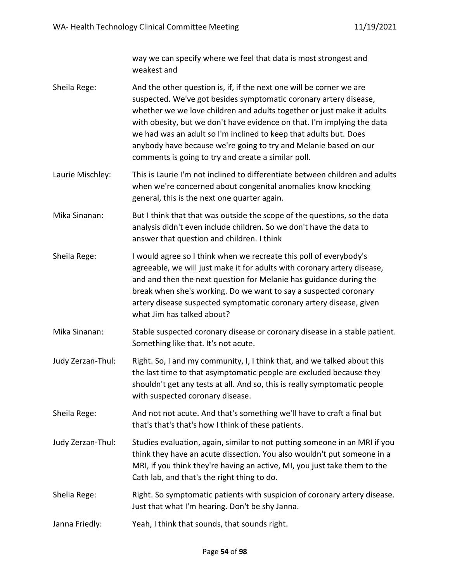way we can specify where we feel that data is most strongest and weakest and

- Sheila Rege: And the other question is, if, if the next one will be corner we are suspected. We've got besides symptomatic coronary artery disease, whether we we love children and adults together or just make it adults with obesity, but we don't have evidence on that. I'm implying the data we had was an adult so I'm inclined to keep that adults but. Does anybody have because we're going to try and Melanie based on our comments is going to try and create a similar poll.
- Laurie Mischley: This is Laurie I'm not inclined to differentiate between children and adults when we're concerned about congenital anomalies know knocking general, this is the next one quarter again.
- Mika Sinanan: But I think that that was outside the scope of the questions, so the data analysis didn't even include children. So we don't have the data to answer that question and children. I think
- Sheila Rege: I would agree so I think when we recreate this poll of everybody's agreeable, we will just make it for adults with coronary artery disease, and and then the next question for Melanie has guidance during the break when she's working. Do we want to say a suspected coronary artery disease suspected symptomatic coronary artery disease, given what Jim has talked about?
- Mika Sinanan: Stable suspected coronary disease or coronary disease in a stable patient. Something like that. It's not acute.
- Judy Zerzan-Thul: Right. So, I and my community, I, I think that, and we talked about this the last time to that asymptomatic people are excluded because they shouldn't get any tests at all. And so, this is really symptomatic people with suspected coronary disease.
- Sheila Rege: And not not acute. And that's something we'll have to craft a final but that's that's that's how I think of these patients.
- Judy Zerzan-Thul: Studies evaluation, again, similar to not putting someone in an MRI if you think they have an acute dissection. You also wouldn't put someone in a MRI, if you think they're having an active, MI, you just take them to the Cath lab, and that's the right thing to do.
- Shelia Rege: Right. So symptomatic patients with suspicion of coronary artery disease. Just that what I'm hearing. Don't be shy Janna.
- Janna Friedly: Yeah, I think that sounds, that sounds right.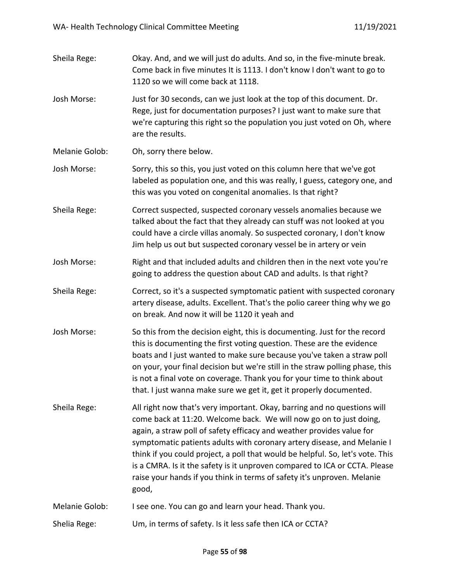| Sheila Rege:   | Okay. And, and we will just do adults. And so, in the five-minute break.<br>Come back in five minutes It is 1113. I don't know I don't want to go to<br>1120 so we will come back at 1118.                                                                                                                                                                                                                                                                                                                                                             |
|----------------|--------------------------------------------------------------------------------------------------------------------------------------------------------------------------------------------------------------------------------------------------------------------------------------------------------------------------------------------------------------------------------------------------------------------------------------------------------------------------------------------------------------------------------------------------------|
| Josh Morse:    | Just for 30 seconds, can we just look at the top of this document. Dr.<br>Rege, just for documentation purposes? I just want to make sure that<br>we're capturing this right so the population you just voted on Oh, where<br>are the results.                                                                                                                                                                                                                                                                                                         |
| Melanie Golob: | Oh, sorry there below.                                                                                                                                                                                                                                                                                                                                                                                                                                                                                                                                 |
| Josh Morse:    | Sorry, this so this, you just voted on this column here that we've got<br>labeled as population one, and this was really, I guess, category one, and<br>this was you voted on congenital anomalies. Is that right?                                                                                                                                                                                                                                                                                                                                     |
| Sheila Rege:   | Correct suspected, suspected coronary vessels anomalies because we<br>talked about the fact that they already can stuff was not looked at you<br>could have a circle villas anomaly. So suspected coronary, I don't know<br>Jim help us out but suspected coronary vessel be in artery or vein                                                                                                                                                                                                                                                         |
| Josh Morse:    | Right and that included adults and children then in the next vote you're<br>going to address the question about CAD and adults. Is that right?                                                                                                                                                                                                                                                                                                                                                                                                         |
| Sheila Rege:   | Correct, so it's a suspected symptomatic patient with suspected coronary<br>artery disease, adults. Excellent. That's the polio career thing why we go<br>on break. And now it will be 1120 it yeah and                                                                                                                                                                                                                                                                                                                                                |
| Josh Morse:    | So this from the decision eight, this is documenting. Just for the record<br>this is documenting the first voting question. These are the evidence<br>boats and I just wanted to make sure because you've taken a straw poll<br>on your, your final decision but we're still in the straw polling phase, this<br>is not a final vote on coverage. Thank you for your time to think about<br>that. I just wanna make sure we get it, get it properly documented.                                                                                        |
| Sheila Rege:   | All right now that's very important. Okay, barring and no questions will<br>come back at 11:20. Welcome back. We will now go on to just doing,<br>again, a straw poll of safety efficacy and weather provides value for<br>symptomatic patients adults with coronary artery disease, and Melanie I<br>think if you could project, a poll that would be helpful. So, let's vote. This<br>is a CMRA. Is it the safety is it unproven compared to ICA or CCTA. Please<br>raise your hands if you think in terms of safety it's unproven. Melanie<br>good, |
| Melanie Golob: | I see one. You can go and learn your head. Thank you.                                                                                                                                                                                                                                                                                                                                                                                                                                                                                                  |
| Shelia Rege:   | Um, in terms of safety. Is it less safe then ICA or CCTA?                                                                                                                                                                                                                                                                                                                                                                                                                                                                                              |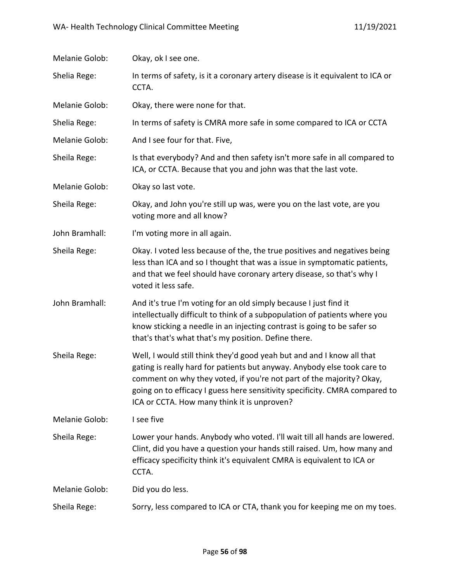| Melanie Golob: | Okay, ok I see one.                                                                                                                                                                                                                                                                                                                                      |
|----------------|----------------------------------------------------------------------------------------------------------------------------------------------------------------------------------------------------------------------------------------------------------------------------------------------------------------------------------------------------------|
| Shelia Rege:   | In terms of safety, is it a coronary artery disease is it equivalent to ICA or<br>CCTA.                                                                                                                                                                                                                                                                  |
| Melanie Golob: | Okay, there were none for that.                                                                                                                                                                                                                                                                                                                          |
| Shelia Rege:   | In terms of safety is CMRA more safe in some compared to ICA or CCTA                                                                                                                                                                                                                                                                                     |
| Melanie Golob: | And I see four for that. Five,                                                                                                                                                                                                                                                                                                                           |
| Sheila Rege:   | Is that everybody? And and then safety isn't more safe in all compared to<br>ICA, or CCTA. Because that you and john was that the last vote.                                                                                                                                                                                                             |
| Melanie Golob: | Okay so last vote.                                                                                                                                                                                                                                                                                                                                       |
| Sheila Rege:   | Okay, and John you're still up was, were you on the last vote, are you<br>voting more and all know?                                                                                                                                                                                                                                                      |
| John Bramhall: | I'm voting more in all again.                                                                                                                                                                                                                                                                                                                            |
| Sheila Rege:   | Okay. I voted less because of the, the true positives and negatives being<br>less than ICA and so I thought that was a issue in symptomatic patients,<br>and that we feel should have coronary artery disease, so that's why I<br>voted it less safe.                                                                                                    |
| John Bramhall: | And it's true I'm voting for an old simply because I just find it<br>intellectually difficult to think of a subpopulation of patients where you<br>know sticking a needle in an injecting contrast is going to be safer so<br>that's that's what that's my position. Define there.                                                                       |
| Sheila Rege:   | Well, I would still think they'd good yeah but and and I know all that<br>gating is really hard for patients but anyway. Anybody else took care to<br>comment on why they voted, if you're not part of the majority? Okay,<br>going on to efficacy I guess here sensitivity specificity. CMRA compared to<br>ICA or CCTA. How many think it is unproven? |
| Melanie Golob: | I see five                                                                                                                                                                                                                                                                                                                                               |
| Sheila Rege:   | Lower your hands. Anybody who voted. I'll wait till all hands are lowered.<br>Clint, did you have a question your hands still raised. Um, how many and<br>efficacy specificity think it's equivalent CMRA is equivalent to ICA or<br>CCTA.                                                                                                               |
| Melanie Golob: | Did you do less.                                                                                                                                                                                                                                                                                                                                         |
| Sheila Rege:   | Sorry, less compared to ICA or CTA, thank you for keeping me on my toes.                                                                                                                                                                                                                                                                                 |
|                |                                                                                                                                                                                                                                                                                                                                                          |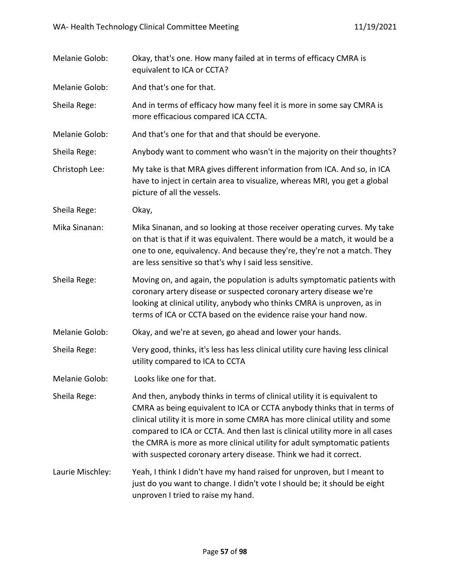| Melanie Golob:   | Okay, that's one. How many failed at in terms of efficacy CMRA is<br>equivalent to ICA or CCTA?                                                                                                                                                                                                                                                                                                                                                                     |
|------------------|---------------------------------------------------------------------------------------------------------------------------------------------------------------------------------------------------------------------------------------------------------------------------------------------------------------------------------------------------------------------------------------------------------------------------------------------------------------------|
| Melanie Golob:   | And that's one for that.                                                                                                                                                                                                                                                                                                                                                                                                                                            |
| Sheila Rege:     | And in terms of efficacy how many feel it is more in some say CMRA is<br>more efficacious compared ICA CCTA.                                                                                                                                                                                                                                                                                                                                                        |
| Melanie Golob:   | And that's one for that and that should be everyone.                                                                                                                                                                                                                                                                                                                                                                                                                |
| Sheila Rege:     | Anybody want to comment who wasn't in the majority on their thoughts?                                                                                                                                                                                                                                                                                                                                                                                               |
| Christoph Lee:   | My take is that MRA gives different information from ICA. And so, in ICA<br>have to inject in certain area to visualize, whereas MRI, you get a global<br>picture of all the vessels.                                                                                                                                                                                                                                                                               |
| Sheila Rege:     | Okay,                                                                                                                                                                                                                                                                                                                                                                                                                                                               |
| Mika Sinanan:    | Mika Sinanan, and so looking at those receiver operating curves. My take<br>on that is that if it was equivalent. There would be a match, it would be a<br>one to one, equivalency. And because they're, they're not a match. They<br>are less sensitive so that's why I said less sensitive.                                                                                                                                                                       |
| Sheila Rege:     | Moving on, and again, the population is adults symptomatic patients with<br>coronary artery disease or suspected coronary artery disease we're<br>looking at clinical utility, anybody who thinks CMRA is unproven, as in<br>terms of ICA or CCTA based on the evidence raise your hand now.                                                                                                                                                                        |
| Melanie Golob:   | Okay, and we're at seven, go ahead and lower your hands.                                                                                                                                                                                                                                                                                                                                                                                                            |
| Sheila Rege:     | Very good, thinks, it's less has less clinical utility cure having less clinical<br>utility compared to ICA to CCTA                                                                                                                                                                                                                                                                                                                                                 |
| Melanie Golob:   | Looks like one for that.                                                                                                                                                                                                                                                                                                                                                                                                                                            |
| Sheila Rege:     | And then, anybody thinks in terms of clinical utility it is equivalent to<br>CMRA as being equivalent to ICA or CCTA anybody thinks that in terms of<br>clinical utility it is more in some CMRA has more clinical utility and some<br>compared to ICA or CCTA. And then last is clinical utility more in all cases<br>the CMRA is more as more clinical utility for adult symptomatic patients<br>with suspected coronary artery disease. Think we had it correct. |
| Laurie Mischley: | Yeah, I think I didn't have my hand raised for unproven, but I meant to<br>just do you want to change. I didn't vote I should be; it should be eight<br>unproven I tried to raise my hand.                                                                                                                                                                                                                                                                          |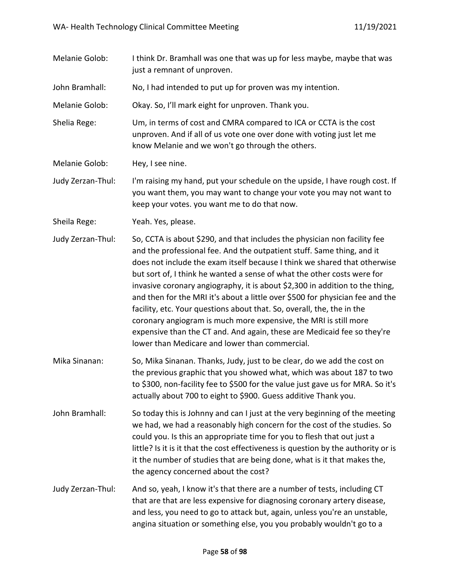- Melanie Golob: I think Dr. Bramhall was one that was up for less maybe, maybe that was just a remnant of unproven.
- John Bramhall: No, I had intended to put up for proven was my intention.

Melanie Golob: Okay. So, I'll mark eight for unproven. Thank you.

Shelia Rege: Um, in terms of cost and CMRA compared to ICA or CCTA is the cost unproven. And if all of us vote one over done with voting just let me know Melanie and we won't go through the others.

Melanie Golob: Hey, I see nine.

Judy Zerzan-Thul: I'm raising my hand, put your schedule on the upside, I have rough cost. If you want them, you may want to change your vote you may not want to keep your votes. you want me to do that now.

Sheila Rege: Yeah. Yes, please.

Judy Zerzan-Thul: So, CCTA is about \$290, and that includes the physician non facility fee and the professional fee. And the outpatient stuff. Same thing, and it does not include the exam itself because I think we shared that otherwise but sort of, I think he wanted a sense of what the other costs were for invasive coronary angiography, it is about \$2,300 in addition to the thing, and then for the MRI it's about a little over \$500 for physician fee and the facility, etc. Your questions about that. So, overall, the, the in the coronary angiogram is much more expensive, the MRI is still more expensive than the CT and. And again, these are Medicaid fee so they're lower than Medicare and lower than commercial.

- Mika Sinanan: So, Mika Sinanan. Thanks, Judy, just to be clear, do we add the cost on the previous graphic that you showed what, which was about 187 to two to \$300, non-facility fee to \$500 for the value just gave us for MRA. So it's actually about 700 to eight to \$900. Guess additive Thank you.
- John Bramhall: So today this is Johnny and can I just at the very beginning of the meeting we had, we had a reasonably high concern for the cost of the studies. So could you. Is this an appropriate time for you to flesh that out just a little? Is it is it that the cost effectiveness is question by the authority or is it the number of studies that are being done, what is it that makes the, the agency concerned about the cost?
- Judy Zerzan-Thul: And so, yeah, I know it's that there are a number of tests, including CT that are that are less expensive for diagnosing coronary artery disease, and less, you need to go to attack but, again, unless you're an unstable, angina situation or something else, you you probably wouldn't go to a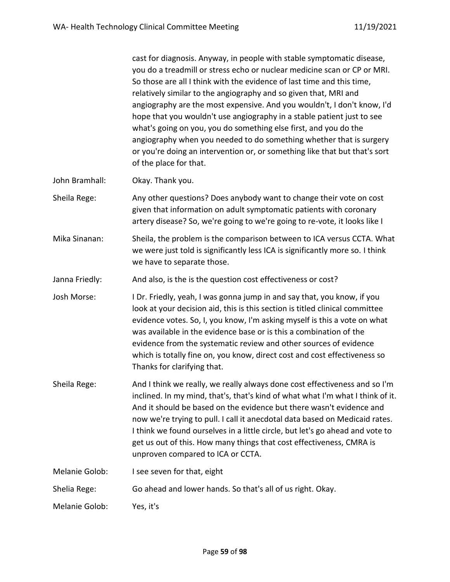cast for diagnosis. Anyway, in people with stable symptomatic disease, you do a treadmill or stress echo or nuclear medicine scan or CP or MRI. So those are all I think with the evidence of last time and this time, relatively similar to the angiography and so given that, MRI and angiography are the most expensive. And you wouldn't, I don't know, I'd hope that you wouldn't use angiography in a stable patient just to see what's going on you, you do something else first, and you do the angiography when you needed to do something whether that is surgery or you're doing an intervention or, or something like that but that's sort of the place for that.

John Bramhall: Okay. Thank you.

Sheila Rege: Any other questions? Does anybody want to change their vote on cost given that information on adult symptomatic patients with coronary artery disease? So, we're going to we're going to re-vote, it looks like I

Mika Sinanan: Sheila, the problem is the comparison between to ICA versus CCTA. What we were just told is significantly less ICA is significantly more so. I think we have to separate those.

Janna Friedly: And also, is the is the question cost effectiveness or cost?

Josh Morse: I Dr. Friedly, yeah, I was gonna jump in and say that, you know, if you look at your decision aid, this is this section is titled clinical committee evidence votes. So, I, you know, I'm asking myself is this a vote on what was available in the evidence base or is this a combination of the evidence from the systematic review and other sources of evidence which is totally fine on, you know, direct cost and cost effectiveness so Thanks for clarifying that.

Sheila Rege: And I think we really, we really always done cost effectiveness and so I'm inclined. In my mind, that's, that's kind of what what I'm what I think of it. And it should be based on the evidence but there wasn't evidence and now we're trying to pull. I call it anecdotal data based on Medicaid rates. I think we found ourselves in a little circle, but let's go ahead and vote to get us out of this. How many things that cost effectiveness, CMRA is unproven compared to ICA or CCTA.

Melanie Golob: I see seven for that, eight

Shelia Rege: Go ahead and lower hands. So that's all of us right. Okay.

Melanie Golob: Yes, it's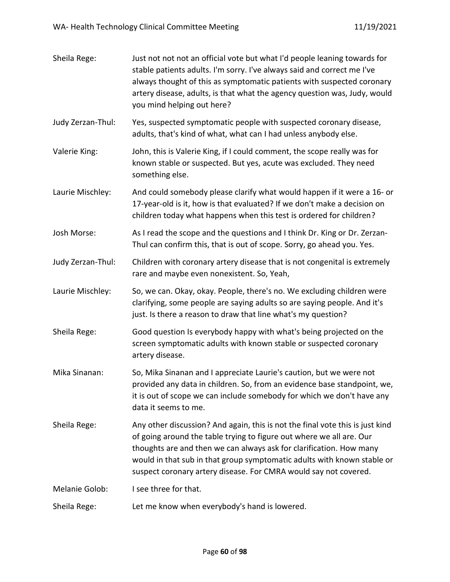| Sheila Rege:      | Just not not not an official vote but what I'd people leaning towards for<br>stable patients adults. I'm sorry. I've always said and correct me I've<br>always thought of this as symptomatic patients with suspected coronary<br>artery disease, adults, is that what the agency question was, Judy, would<br>you mind helping out here?                                   |
|-------------------|-----------------------------------------------------------------------------------------------------------------------------------------------------------------------------------------------------------------------------------------------------------------------------------------------------------------------------------------------------------------------------|
| Judy Zerzan-Thul: | Yes, suspected symptomatic people with suspected coronary disease,<br>adults, that's kind of what, what can I had unless anybody else.                                                                                                                                                                                                                                      |
| Valerie King:     | John, this is Valerie King, if I could comment, the scope really was for<br>known stable or suspected. But yes, acute was excluded. They need<br>something else.                                                                                                                                                                                                            |
| Laurie Mischley:  | And could somebody please clarify what would happen if it were a 16- or<br>17-year-old is it, how is that evaluated? If we don't make a decision on<br>children today what happens when this test is ordered for children?                                                                                                                                                  |
| Josh Morse:       | As I read the scope and the questions and I think Dr. King or Dr. Zerzan-<br>Thul can confirm this, that is out of scope. Sorry, go ahead you. Yes.                                                                                                                                                                                                                         |
| Judy Zerzan-Thul: | Children with coronary artery disease that is not congenital is extremely<br>rare and maybe even nonexistent. So, Yeah,                                                                                                                                                                                                                                                     |
| Laurie Mischley:  | So, we can. Okay, okay. People, there's no. We excluding children were<br>clarifying, some people are saying adults so are saying people. And it's<br>just. Is there a reason to draw that line what's my question?                                                                                                                                                         |
| Sheila Rege:      | Good question Is everybody happy with what's being projected on the<br>screen symptomatic adults with known stable or suspected coronary<br>artery disease.                                                                                                                                                                                                                 |
| Mika Sinanan:     | So, Mika Sinanan and I appreciate Laurie's caution, but we were not<br>provided any data in children. So, from an evidence base standpoint, we,<br>it is out of scope we can include somebody for which we don't have any<br>data it seems to me.                                                                                                                           |
| Sheila Rege:      | Any other discussion? And again, this is not the final vote this is just kind<br>of going around the table trying to figure out where we all are. Our<br>thoughts are and then we can always ask for clarification. How many<br>would in that sub in that group symptomatic adults with known stable or<br>suspect coronary artery disease. For CMRA would say not covered. |
| Melanie Golob:    | I see three for that.                                                                                                                                                                                                                                                                                                                                                       |
| Sheila Rege:      | Let me know when everybody's hand is lowered.                                                                                                                                                                                                                                                                                                                               |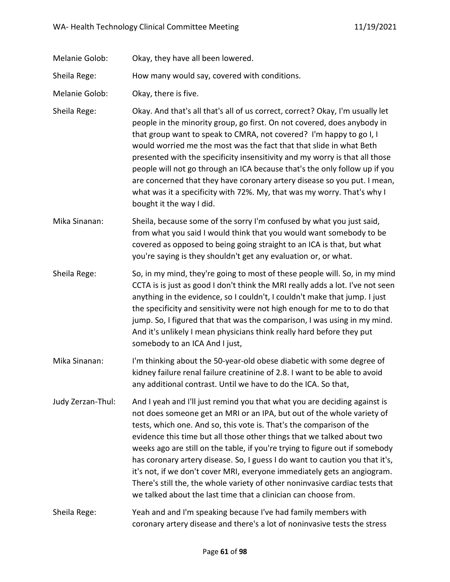Melanie Golob: Okay, they have all been lowered.

Sheila Rege: How many would say, covered with conditions.

Melanie Golob: Okay, there is five.

Sheila Rege: Okay. And that's all that's all of us correct, correct? Okay, I'm usually let people in the minority group, go first. On not covered, does anybody in that group want to speak to CMRA, not covered? I'm happy to go I, I would worried me the most was the fact that that slide in what Beth presented with the specificity insensitivity and my worry is that all those people will not go through an ICA because that's the only follow up if you are concerned that they have coronary artery disease so you put. I mean, what was it a specificity with 72%. My, that was my worry. That's why I bought it the way I did.

Mika Sinanan: Sheila, because some of the sorry I'm confused by what you just said, from what you said I would think that you would want somebody to be covered as opposed to being going straight to an ICA is that, but what you're saying is they shouldn't get any evaluation or, or what.

- Sheila Rege: So, in my mind, they're going to most of these people will. So, in my mind CCTA is is just as good I don't think the MRI really adds a lot. I've not seen anything in the evidence, so I couldn't, I couldn't make that jump. I just the specificity and sensitivity were not high enough for me to to do that jump. So, I figured that that was the comparison, I was using in my mind. And it's unlikely I mean physicians think really hard before they put somebody to an ICA And I just,
- Mika Sinanan: I'm thinking about the 50-year-old obese diabetic with some degree of kidney failure renal failure creatinine of 2.8. I want to be able to avoid any additional contrast. Until we have to do the ICA. So that,
- Judy Zerzan-Thul: And I yeah and I'll just remind you that what you are deciding against is not does someone get an MRI or an IPA, but out of the whole variety of tests, which one. And so, this vote is. That's the comparison of the evidence this time but all those other things that we talked about two weeks ago are still on the table, if you're trying to figure out if somebody has coronary artery disease. So, I guess I do want to caution you that it's, it's not, if we don't cover MRI, everyone immediately gets an angiogram. There's still the, the whole variety of other noninvasive cardiac tests that we talked about the last time that a clinician can choose from.
- Sheila Rege: Yeah and and I'm speaking because I've had family members with coronary artery disease and there's a lot of noninvasive tests the stress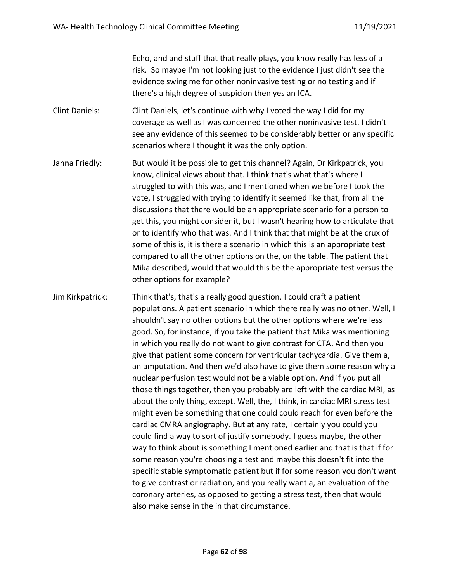Echo, and and stuff that that really plays, you know really has less of a risk. So maybe I'm not looking just to the evidence I just didn't see the evidence swing me for other noninvasive testing or no testing and if there's a high degree of suspicion then yes an ICA.

Clint Daniels: Clint Daniels, let's continue with why I voted the way I did for my coverage as well as I was concerned the other noninvasive test. I didn't see any evidence of this seemed to be considerably better or any specific scenarios where I thought it was the only option.

Janna Friedly: But would it be possible to get this channel? Again, Dr Kirkpatrick, you know, clinical views about that. I think that's what that's where I struggled to with this was, and I mentioned when we before I took the vote, I struggled with trying to identify it seemed like that, from all the discussions that there would be an appropriate scenario for a person to get this, you might consider it, but I wasn't hearing how to articulate that or to identify who that was. And I think that that might be at the crux of some of this is, it is there a scenario in which this is an appropriate test compared to all the other options on the, on the table. The patient that Mika described, would that would this be the appropriate test versus the other options for example?

Jim Kirkpatrick: Think that's, that's a really good question. I could craft a patient populations. A patient scenario in which there really was no other. Well, I shouldn't say no other options but the other options where we're less good. So, for instance, if you take the patient that Mika was mentioning in which you really do not want to give contrast for CTA. And then you give that patient some concern for ventricular tachycardia. Give them a, an amputation. And then we'd also have to give them some reason why a nuclear perfusion test would not be a viable option. And if you put all those things together, then you probably are left with the cardiac MRI, as about the only thing, except. Well, the, I think, in cardiac MRI stress test might even be something that one could could reach for even before the cardiac CMRA angiography. But at any rate, I certainly you could you could find a way to sort of justify somebody. I guess maybe, the other way to think about is something I mentioned earlier and that is that if for some reason you're choosing a test and maybe this doesn't fit into the specific stable symptomatic patient but if for some reason you don't want to give contrast or radiation, and you really want a, an evaluation of the coronary arteries, as opposed to getting a stress test, then that would also make sense in the in that circumstance.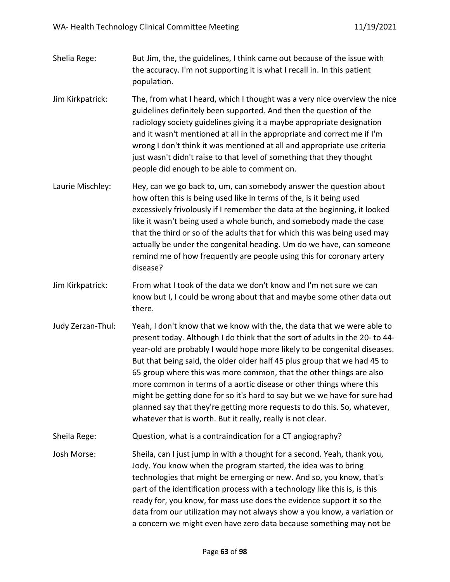- Shelia Rege: But Jim, the, the guidelines, I think came out because of the issue with the accuracy. I'm not supporting it is what I recall in. In this patient population.
- Jim Kirkpatrick: The, from what I heard, which I thought was a very nice overview the nice guidelines definitely been supported. And then the question of the radiology society guidelines giving it a maybe appropriate designation and it wasn't mentioned at all in the appropriate and correct me if I'm wrong I don't think it was mentioned at all and appropriate use criteria just wasn't didn't raise to that level of something that they thought people did enough to be able to comment on.
- Laurie Mischley: Hey, can we go back to, um, can somebody answer the question about how often this is being used like in terms of the, is it being used excessively frivolously if I remember the data at the beginning, it looked like it wasn't being used a whole bunch, and somebody made the case that the third or so of the adults that for which this was being used may actually be under the congenital heading. Um do we have, can someone remind me of how frequently are people using this for coronary artery disease?
- Jim Kirkpatrick: From what I took of the data we don't know and I'm not sure we can know but I, I could be wrong about that and maybe some other data out there.
- Judy Zerzan-Thul: Yeah, I don't know that we know with the, the data that we were able to present today. Although I do think that the sort of adults in the 20- to 44 year-old are probably I would hope more likely to be congenital diseases. But that being said, the older older half 45 plus group that we had 45 to 65 group where this was more common, that the other things are also more common in terms of a aortic disease or other things where this might be getting done for so it's hard to say but we we have for sure had planned say that they're getting more requests to do this. So, whatever, whatever that is worth. But it really, really is not clear.
- Sheila Rege: Question, what is a contraindication for a CT angiography?
- Josh Morse: Sheila, can I just jump in with a thought for a second. Yeah, thank you, Jody. You know when the program started, the idea was to bring technologies that might be emerging or new. And so, you know, that's part of the identification process with a technology like this is, is this ready for, you know, for mass use does the evidence support it so the data from our utilization may not always show a you know, a variation or a concern we might even have zero data because something may not be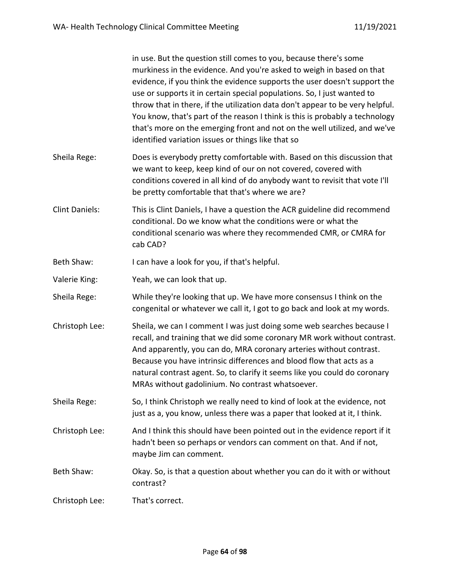|                       | in use. But the question still comes to you, because there's some<br>murkiness in the evidence. And you're asked to weigh in based on that<br>evidence, if you think the evidence supports the user doesn't support the<br>use or supports it in certain special populations. So, I just wanted to<br>throw that in there, if the utilization data don't appear to be very helpful.<br>You know, that's part of the reason I think is this is probably a technology<br>that's more on the emerging front and not on the well utilized, and we've<br>identified variation issues or things like that so |
|-----------------------|--------------------------------------------------------------------------------------------------------------------------------------------------------------------------------------------------------------------------------------------------------------------------------------------------------------------------------------------------------------------------------------------------------------------------------------------------------------------------------------------------------------------------------------------------------------------------------------------------------|
| Sheila Rege:          | Does is everybody pretty comfortable with. Based on this discussion that<br>we want to keep, keep kind of our on not covered, covered with<br>conditions covered in all kind of do anybody want to revisit that vote I'll<br>be pretty comfortable that that's where we are?                                                                                                                                                                                                                                                                                                                           |
| <b>Clint Daniels:</b> | This is Clint Daniels, I have a question the ACR guideline did recommend<br>conditional. Do we know what the conditions were or what the<br>conditional scenario was where they recommended CMR, or CMRA for<br>cab CAD?                                                                                                                                                                                                                                                                                                                                                                               |
| Beth Shaw:            | I can have a look for you, if that's helpful.                                                                                                                                                                                                                                                                                                                                                                                                                                                                                                                                                          |
| Valerie King:         | Yeah, we can look that up.                                                                                                                                                                                                                                                                                                                                                                                                                                                                                                                                                                             |
| Sheila Rege:          | While they're looking that up. We have more consensus I think on the<br>congenital or whatever we call it, I got to go back and look at my words.                                                                                                                                                                                                                                                                                                                                                                                                                                                      |
| Christoph Lee:        | Sheila, we can I comment I was just doing some web searches because I<br>recall, and training that we did some coronary MR work without contrast.<br>And apparently, you can do, MRA coronary arteries without contrast.<br>Because you have intrinsic differences and blood flow that acts as a<br>natural contrast agent. So, to clarify it seems like you could do coronary<br>MRAs without gadolinium. No contrast whatsoever.                                                                                                                                                                     |
| Sheila Rege:          | So, I think Christoph we really need to kind of look at the evidence, not<br>just as a, you know, unless there was a paper that looked at it, I think.                                                                                                                                                                                                                                                                                                                                                                                                                                                 |
| Christoph Lee:        | And I think this should have been pointed out in the evidence report if it<br>hadn't been so perhaps or vendors can comment on that. And if not,<br>maybe Jim can comment.                                                                                                                                                                                                                                                                                                                                                                                                                             |
| Beth Shaw:            | Okay. So, is that a question about whether you can do it with or without<br>contrast?                                                                                                                                                                                                                                                                                                                                                                                                                                                                                                                  |
| Christoph Lee:        | That's correct.                                                                                                                                                                                                                                                                                                                                                                                                                                                                                                                                                                                        |
|                       |                                                                                                                                                                                                                                                                                                                                                                                                                                                                                                                                                                                                        |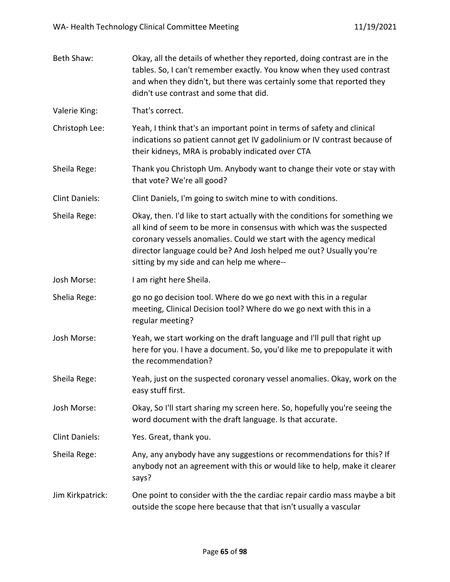| Beth Shaw:            | Okay, all the details of whether they reported, doing contrast are in the<br>tables. So, I can't remember exactly. You know when they used contrast<br>and when they didn't, but there was certainly some that reported they<br>didn't use contrast and some that did.                                                                         |
|-----------------------|------------------------------------------------------------------------------------------------------------------------------------------------------------------------------------------------------------------------------------------------------------------------------------------------------------------------------------------------|
| Valerie King:         | That's correct.                                                                                                                                                                                                                                                                                                                                |
| Christoph Lee:        | Yeah, I think that's an important point in terms of safety and clinical<br>indications so patient cannot get IV gadolinium or IV contrast because of<br>their kidneys, MRA is probably indicated over CTA                                                                                                                                      |
| Sheila Rege:          | Thank you Christoph Um. Anybody want to change their vote or stay with<br>that vote? We're all good?                                                                                                                                                                                                                                           |
| <b>Clint Daniels:</b> | Clint Daniels, I'm going to switch mine to with conditions.                                                                                                                                                                                                                                                                                    |
| Sheila Rege:          | Okay, then. I'd like to start actually with the conditions for something we<br>all kind of seem to be more in consensus with which was the suspected<br>coronary vessels anomalies. Could we start with the agency medical<br>director language could be? And Josh helped me out? Usually you're<br>sitting by my side and can help me where-- |
| Josh Morse:           | I am right here Sheila.                                                                                                                                                                                                                                                                                                                        |
| Shelia Rege:          | go no go decision tool. Where do we go next with this in a regular<br>meeting, Clinical Decision tool? Where do we go next with this in a<br>regular meeting?                                                                                                                                                                                  |
| Josh Morse:           | Yeah, we start working on the draft language and I'll pull that right up<br>here for you. I have a document. So, you'd like me to prepopulate it with<br>the recommendation?                                                                                                                                                                   |
| Sheila Rege:          | Yeah, just on the suspected coronary vessel anomalies. Okay, work on the<br>easy stuff first.                                                                                                                                                                                                                                                  |
| Josh Morse:           | Okay, So I'll start sharing my screen here. So, hopefully you're seeing the<br>word document with the draft language. Is that accurate.                                                                                                                                                                                                        |
| <b>Clint Daniels:</b> | Yes. Great, thank you.                                                                                                                                                                                                                                                                                                                         |
| Sheila Rege:          | Any, any anybody have any suggestions or recommendations for this? If<br>anybody not an agreement with this or would like to help, make it clearer<br>says?                                                                                                                                                                                    |
| Jim Kirkpatrick:      | One point to consider with the the cardiac repair cardio mass maybe a bit<br>outside the scope here because that that isn't usually a vascular                                                                                                                                                                                                 |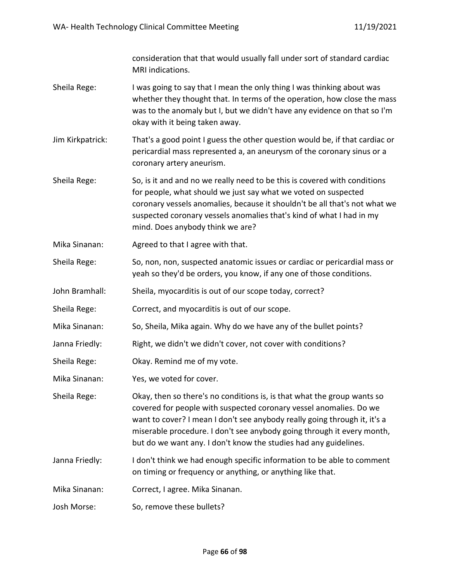consideration that that would usually fall under sort of standard cardiac MRI indications.

- Sheila Rege: I was going to say that I mean the only thing I was thinking about was whether they thought that. In terms of the operation, how close the mass was to the anomaly but I, but we didn't have any evidence on that so I'm okay with it being taken away.
- Jim Kirkpatrick: That's a good point I guess the other question would be, if that cardiac or pericardial mass represented a, an aneurysm of the coronary sinus or a coronary artery aneurism.
- Sheila Rege: So, is it and and no we really need to be this is covered with conditions for people, what should we just say what we voted on suspected coronary vessels anomalies, because it shouldn't be all that's not what we suspected coronary vessels anomalies that's kind of what I had in my mind. Does anybody think we are?
- Mika Sinanan: Agreed to that I agree with that.
- Sheila Rege: So, non, non, suspected anatomic issues or cardiac or pericardial mass or yeah so they'd be orders, you know, if any one of those conditions.
- John Bramhall: Sheila, myocarditis is out of our scope today, correct?
- Sheila Rege: Correct, and myocarditis is out of our scope.
- Mika Sinanan: So, Sheila, Mika again. Why do we have any of the bullet points?
- Janna Friedly: Right, we didn't we didn't cover, not cover with conditions?
- Sheila Rege: Okay. Remind me of my vote.
- Mika Sinanan: Yes, we voted for cover.

Sheila Rege: Okay, then so there's no conditions is, is that what the group wants so covered for people with suspected coronary vessel anomalies. Do we want to cover? I mean I don't see anybody really going through it, it's a miserable procedure. I don't see anybody going through it every month, but do we want any. I don't know the studies had any guidelines.

- Janna Friedly: I don't think we had enough specific information to be able to comment on timing or frequency or anything, or anything like that.
- Mika Sinanan: Correct, I agree. Mika Sinanan.
- Josh Morse: So, remove these bullets?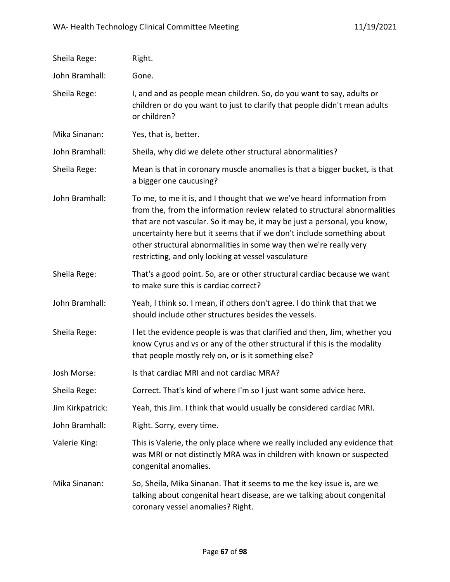| Sheila Rege:     | Right.                                                                                                                                                                                                                                                                                                                                                                                                                                 |
|------------------|----------------------------------------------------------------------------------------------------------------------------------------------------------------------------------------------------------------------------------------------------------------------------------------------------------------------------------------------------------------------------------------------------------------------------------------|
| John Bramhall:   | Gone.                                                                                                                                                                                                                                                                                                                                                                                                                                  |
| Sheila Rege:     | I, and and as people mean children. So, do you want to say, adults or<br>children or do you want to just to clarify that people didn't mean adults<br>or children?                                                                                                                                                                                                                                                                     |
| Mika Sinanan:    | Yes, that is, better.                                                                                                                                                                                                                                                                                                                                                                                                                  |
| John Bramhall:   | Sheila, why did we delete other structural abnormalities?                                                                                                                                                                                                                                                                                                                                                                              |
| Sheila Rege:     | Mean is that in coronary muscle anomalies is that a bigger bucket, is that<br>a bigger one caucusing?                                                                                                                                                                                                                                                                                                                                  |
| John Bramhall:   | To me, to me it is, and I thought that we we've heard information from<br>from the, from the information review related to structural abnormalities<br>that are not vascular. So it may be, it may be just a personal, you know,<br>uncertainty here but it seems that if we don't include something about<br>other structural abnormalities in some way then we're really very<br>restricting, and only looking at vessel vasculature |
| Sheila Rege:     | That's a good point. So, are or other structural cardiac because we want<br>to make sure this is cardiac correct?                                                                                                                                                                                                                                                                                                                      |
| John Bramhall:   | Yeah, I think so. I mean, if others don't agree. I do think that that we<br>should include other structures besides the vessels.                                                                                                                                                                                                                                                                                                       |
| Sheila Rege:     | I let the evidence people is was that clarified and then, Jim, whether you<br>know Cyrus and vs or any of the other structural if this is the modality<br>that people mostly rely on, or is it something else?                                                                                                                                                                                                                         |
| Josh Morse:      | Is that cardiac MRI and not cardiac MRA?                                                                                                                                                                                                                                                                                                                                                                                               |
| Sheila Rege:     | Correct. That's kind of where I'm so I just want some advice here.                                                                                                                                                                                                                                                                                                                                                                     |
| Jim Kirkpatrick: | Yeah, this Jim. I think that would usually be considered cardiac MRI.                                                                                                                                                                                                                                                                                                                                                                  |
| John Bramhall:   | Right. Sorry, every time.                                                                                                                                                                                                                                                                                                                                                                                                              |
| Valerie King:    | This is Valerie, the only place where we really included any evidence that<br>was MRI or not distinctly MRA was in children with known or suspected<br>congenital anomalies.                                                                                                                                                                                                                                                           |
| Mika Sinanan:    | So, Sheila, Mika Sinanan. That it seems to me the key issue is, are we<br>talking about congenital heart disease, are we talking about congenital<br>coronary vessel anomalies? Right.                                                                                                                                                                                                                                                 |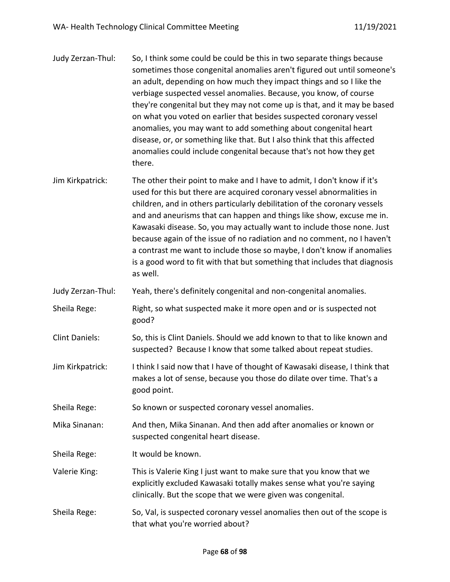| Judy Zerzan-Thul:     | So, I think some could be could be this in two separate things because<br>sometimes those congenital anomalies aren't figured out until someone's<br>an adult, depending on how much they impact things and so I like the<br>verbiage suspected vessel anomalies. Because, you know, of course<br>they're congenital but they may not come up is that, and it may be based<br>on what you voted on earlier that besides suspected coronary vessel<br>anomalies, you may want to add something about congenital heart<br>disease, or, or something like that. But I also think that this affected<br>anomalies could include congenital because that's not how they get<br>there. |
|-----------------------|----------------------------------------------------------------------------------------------------------------------------------------------------------------------------------------------------------------------------------------------------------------------------------------------------------------------------------------------------------------------------------------------------------------------------------------------------------------------------------------------------------------------------------------------------------------------------------------------------------------------------------------------------------------------------------|
| Jim Kirkpatrick:      | The other their point to make and I have to admit, I don't know if it's<br>used for this but there are acquired coronary vessel abnormalities in<br>children, and in others particularly debilitation of the coronary vessels<br>and and aneurisms that can happen and things like show, excuse me in.<br>Kawasaki disease. So, you may actually want to include those none. Just<br>because again of the issue of no radiation and no comment, no I haven't<br>a contrast me want to include those so maybe, I don't know if anomalies<br>is a good word to fit with that but something that includes that diagnosis<br>as well.                                                |
| Judy Zerzan-Thul:     | Yeah, there's definitely congenital and non-congenital anomalies.                                                                                                                                                                                                                                                                                                                                                                                                                                                                                                                                                                                                                |
| Sheila Rege:          | Right, so what suspected make it more open and or is suspected not<br>good?                                                                                                                                                                                                                                                                                                                                                                                                                                                                                                                                                                                                      |
| <b>Clint Daniels:</b> | So, this is Clint Daniels. Should we add known to that to like known and<br>suspected? Because I know that some talked about repeat studies.                                                                                                                                                                                                                                                                                                                                                                                                                                                                                                                                     |
| Jim Kirkpatrick:      | I think I said now that I have of thought of Kawasaki disease, I think that<br>makes a lot of sense, because you those do dilate over time. That's a<br>good point.                                                                                                                                                                                                                                                                                                                                                                                                                                                                                                              |
| Sheila Rege:          | So known or suspected coronary vessel anomalies.                                                                                                                                                                                                                                                                                                                                                                                                                                                                                                                                                                                                                                 |
| Mika Sinanan:         | And then, Mika Sinanan. And then add after anomalies or known or<br>suspected congenital heart disease.                                                                                                                                                                                                                                                                                                                                                                                                                                                                                                                                                                          |
| Sheila Rege:          | It would be known.                                                                                                                                                                                                                                                                                                                                                                                                                                                                                                                                                                                                                                                               |
| Valerie King:         | This is Valerie King I just want to make sure that you know that we<br>explicitly excluded Kawasaki totally makes sense what you're saying<br>clinically. But the scope that we were given was congenital.                                                                                                                                                                                                                                                                                                                                                                                                                                                                       |
| Sheila Rege:          | So, Val, is suspected coronary vessel anomalies then out of the scope is<br>that what you're worried about?                                                                                                                                                                                                                                                                                                                                                                                                                                                                                                                                                                      |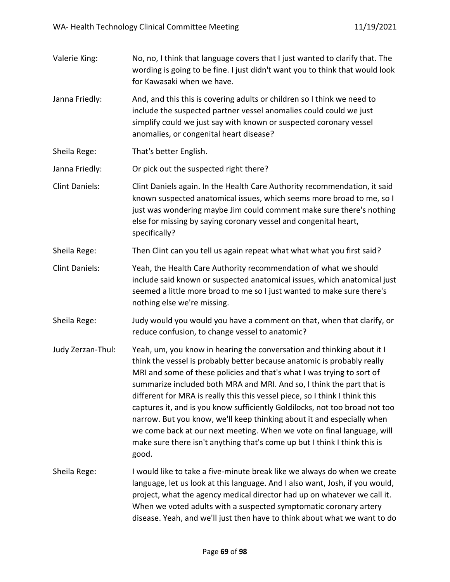| Valerie King:         | No, no, I think that language covers that I just wanted to clarify that. The<br>wording is going to be fine. I just didn't want you to think that would look<br>for Kawasaki when we have.                                                                                                                                                                                                                                                                                                                                                                                                                                                                                                                   |
|-----------------------|--------------------------------------------------------------------------------------------------------------------------------------------------------------------------------------------------------------------------------------------------------------------------------------------------------------------------------------------------------------------------------------------------------------------------------------------------------------------------------------------------------------------------------------------------------------------------------------------------------------------------------------------------------------------------------------------------------------|
| Janna Friedly:        | And, and this this is covering adults or children so I think we need to<br>include the suspected partner vessel anomalies could could we just<br>simplify could we just say with known or suspected coronary vessel<br>anomalies, or congenital heart disease?                                                                                                                                                                                                                                                                                                                                                                                                                                               |
| Sheila Rege:          | That's better English.                                                                                                                                                                                                                                                                                                                                                                                                                                                                                                                                                                                                                                                                                       |
| Janna Friedly:        | Or pick out the suspected right there?                                                                                                                                                                                                                                                                                                                                                                                                                                                                                                                                                                                                                                                                       |
| <b>Clint Daniels:</b> | Clint Daniels again. In the Health Care Authority recommendation, it said<br>known suspected anatomical issues, which seems more broad to me, so I<br>just was wondering maybe Jim could comment make sure there's nothing<br>else for missing by saying coronary vessel and congenital heart,<br>specifically?                                                                                                                                                                                                                                                                                                                                                                                              |
| Sheila Rege:          | Then Clint can you tell us again repeat what what what you first said?                                                                                                                                                                                                                                                                                                                                                                                                                                                                                                                                                                                                                                       |
| <b>Clint Daniels:</b> | Yeah, the Health Care Authority recommendation of what we should<br>include said known or suspected anatomical issues, which anatomical just<br>seemed a little more broad to me so I just wanted to make sure there's<br>nothing else we're missing.                                                                                                                                                                                                                                                                                                                                                                                                                                                        |
| Sheila Rege:          | Judy would you would you have a comment on that, when that clarify, or<br>reduce confusion, to change vessel to anatomic?                                                                                                                                                                                                                                                                                                                                                                                                                                                                                                                                                                                    |
| Judy Zerzan-Thul:     | Yeah, um, you know in hearing the conversation and thinking about it I<br>think the vessel is probably better because anatomic is probably really<br>MRI and some of these policies and that's what I was trying to sort of<br>summarize included both MRA and MRI. And so, I think the part that is<br>different for MRA is really this this vessel piece, so I think I think this<br>captures it, and is you know sufficiently Goldilocks, not too broad not too<br>narrow. But you know, we'll keep thinking about it and especially when<br>we come back at our next meeting. When we vote on final language, will<br>make sure there isn't anything that's come up but I think I think this is<br>good. |
| Sheila Rege:          | I would like to take a five-minute break like we always do when we create<br>language, let us look at this language. And I also want, Josh, if you would,<br>project, what the agency medical director had up on whatever we call it.<br>When we voted adults with a suspected symptomatic coronary artery<br>disease. Yeah, and we'll just then have to think about what we want to do                                                                                                                                                                                                                                                                                                                      |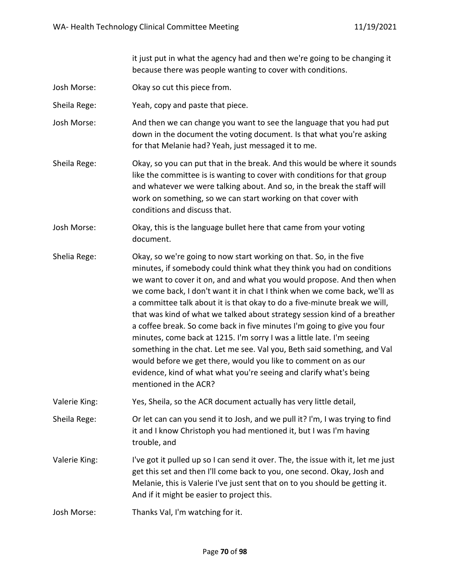it just put in what the agency had and then we're going to be changing it because there was people wanting to cover with conditions.

Josh Morse: Okay so cut this piece from.

Sheila Rege: Yeah, copy and paste that piece.

- Josh Morse: And then we can change you want to see the language that you had put down in the document the voting document. Is that what you're asking for that Melanie had? Yeah, just messaged it to me.
- Sheila Rege: Okay, so you can put that in the break. And this would be where it sounds like the committee is is wanting to cover with conditions for that group and whatever we were talking about. And so, in the break the staff will work on something, so we can start working on that cover with conditions and discuss that.
- Josh Morse: Okay, this is the language bullet here that came from your voting document.
- Shelia Rege: Okay, so we're going to now start working on that. So, in the five minutes, if somebody could think what they think you had on conditions we want to cover it on, and and what you would propose. And then when we come back, I don't want it in chat I think when we come back, we'll as a committee talk about it is that okay to do a five-minute break we will, that was kind of what we talked about strategy session kind of a breather a coffee break. So come back in five minutes I'm going to give you four minutes, come back at 1215. I'm sorry I was a little late. I'm seeing something in the chat. Let me see. Val you, Beth said something, and Val would before we get there, would you like to comment on as our evidence, kind of what what you're seeing and clarify what's being mentioned in the ACR?
- Valerie King: Yes, Sheila, so the ACR document actually has very little detail,

Sheila Rege: Or let can can you send it to Josh, and we pull it? I'm, I was trying to find it and I know Christoph you had mentioned it, but I was I'm having trouble, and

Valerie King: I've got it pulled up so I can send it over. The, the issue with it, let me just get this set and then I'll come back to you, one second. Okay, Josh and Melanie, this is Valerie I've just sent that on to you should be getting it. And if it might be easier to project this.

Josh Morse: Thanks Val, I'm watching for it.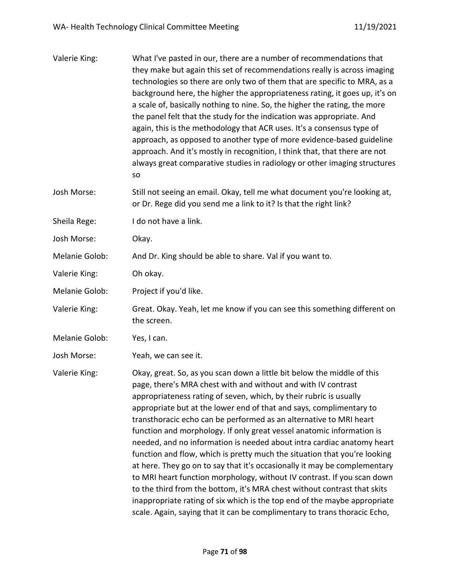| Valerie King:  | What I've pasted in our, there are a number of recommendations that<br>they make but again this set of recommendations really is across imaging<br>technologies so there are only two of them that are specific to MRA, as a<br>background here, the higher the appropriateness rating, it goes up, it's on<br>a scale of, basically nothing to nine. So, the higher the rating, the more<br>the panel felt that the study for the indication was appropriate. And<br>again, this is the methodology that ACR uses. It's a consensus type of<br>approach, as opposed to another type of more evidence-based guideline<br>approach. And it's mostly in recognition, I think that, that there are not<br>always great comparative studies in radiology or other imaging structures<br>SO                                                                                                                                                                                                    |
|----------------|-------------------------------------------------------------------------------------------------------------------------------------------------------------------------------------------------------------------------------------------------------------------------------------------------------------------------------------------------------------------------------------------------------------------------------------------------------------------------------------------------------------------------------------------------------------------------------------------------------------------------------------------------------------------------------------------------------------------------------------------------------------------------------------------------------------------------------------------------------------------------------------------------------------------------------------------------------------------------------------------|
| Josh Morse:    | Still not seeing an email. Okay, tell me what document you're looking at,<br>or Dr. Rege did you send me a link to it? Is that the right link?                                                                                                                                                                                                                                                                                                                                                                                                                                                                                                                                                                                                                                                                                                                                                                                                                                            |
| Sheila Rege:   | I do not have a link.                                                                                                                                                                                                                                                                                                                                                                                                                                                                                                                                                                                                                                                                                                                                                                                                                                                                                                                                                                     |
| Josh Morse:    | Okay.                                                                                                                                                                                                                                                                                                                                                                                                                                                                                                                                                                                                                                                                                                                                                                                                                                                                                                                                                                                     |
| Melanie Golob: | And Dr. King should be able to share. Val if you want to.                                                                                                                                                                                                                                                                                                                                                                                                                                                                                                                                                                                                                                                                                                                                                                                                                                                                                                                                 |
| Valerie King:  | Oh okay.                                                                                                                                                                                                                                                                                                                                                                                                                                                                                                                                                                                                                                                                                                                                                                                                                                                                                                                                                                                  |
| Melanie Golob: | Project if you'd like.                                                                                                                                                                                                                                                                                                                                                                                                                                                                                                                                                                                                                                                                                                                                                                                                                                                                                                                                                                    |
| Valerie King:  | Great. Okay. Yeah, let me know if you can see this something different on<br>the screen.                                                                                                                                                                                                                                                                                                                                                                                                                                                                                                                                                                                                                                                                                                                                                                                                                                                                                                  |
| Melanie Golob: | Yes, I can.                                                                                                                                                                                                                                                                                                                                                                                                                                                                                                                                                                                                                                                                                                                                                                                                                                                                                                                                                                               |
| Josh Morse:    | Yeah, we can see it.                                                                                                                                                                                                                                                                                                                                                                                                                                                                                                                                                                                                                                                                                                                                                                                                                                                                                                                                                                      |
| Valerie King:  | Okay, great. So, as you scan down a little bit below the middle of this<br>page, there's MRA chest with and without and with IV contrast<br>appropriateness rating of seven, which, by their rubric is usually<br>appropriate but at the lower end of that and says, complimentary to<br>transthoracic echo can be performed as an alternative to MRI heart<br>function and morphology. If only great vessel anatomic information is<br>needed, and no information is needed about intra cardiac anatomy heart<br>function and flow, which is pretty much the situation that you're looking<br>at here. They go on to say that it's occasionally it may be complementary<br>to MRI heart function morphology, without IV contrast. If you scan down<br>to the third from the bottom, it's MRA chest without contrast that skits<br>inappropriate rating of six which is the top end of the maybe appropriate<br>scale. Again, saying that it can be complimentary to trans thoracic Echo, |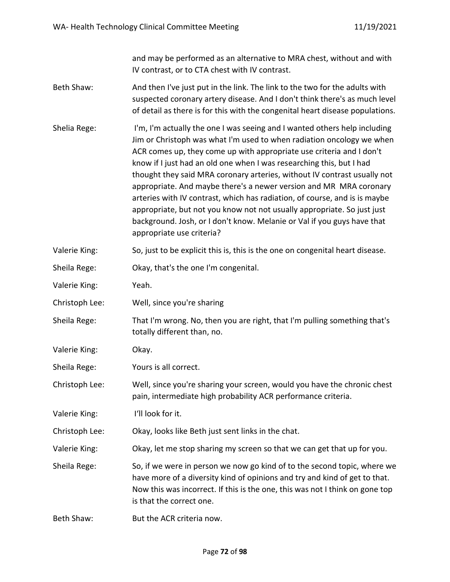and may be performed as an alternative to MRA chest, without and with IV contrast, or to CTA chest with IV contrast.

- Beth Shaw: And then I've just put in the link. The link to the two for the adults with suspected coronary artery disease. And I don't think there's as much level of detail as there is for this with the congenital heart disease populations.
- Shelia Rege: I'm, I'm actually the one I was seeing and I wanted others help including Jim or Christoph was what I'm used to when radiation oncology we when ACR comes up, they come up with appropriate use criteria and I don't know if I just had an old one when I was researching this, but I had thought they said MRA coronary arteries, without IV contrast usually not appropriate. And maybe there's a newer version and MR MRA coronary arteries with IV contrast, which has radiation, of course, and is is maybe appropriate, but not you know not not usually appropriate. So just just background. Josh, or I don't know. Melanie or Val if you guys have that appropriate use criteria?
- Valerie King: So, just to be explicit this is, this is the one on congenital heart disease.
- Sheila Rege: Okay, that's the one I'm congenital.
- Valerie King: Yeah.
- Christoph Lee: Well, since you're sharing
- Sheila Rege: That I'm wrong. No, then you are right, that I'm pulling something that's totally different than, no.
- Valerie King: Okay.
- Sheila Rege: Yours is all correct.
- Christoph Lee: Well, since you're sharing your screen, would you have the chronic chest pain, intermediate high probability ACR performance criteria.
- Valerie King: I'll look for it.
- Christoph Lee: Okay, looks like Beth just sent links in the chat.
- Valerie King: Okay, let me stop sharing my screen so that we can get that up for you.
- Sheila Rege: So, if we were in person we now go kind of to the second topic, where we have more of a diversity kind of opinions and try and kind of get to that. Now this was incorrect. If this is the one, this was not I think on gone top is that the correct one.
- Beth Shaw: But the ACR criteria now.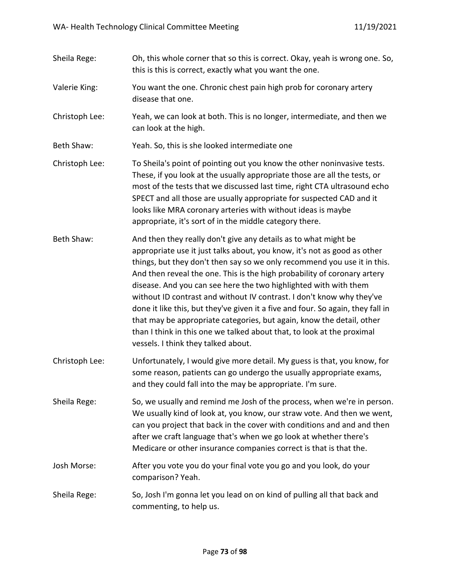- Sheila Rege: Oh, this whole corner that so this is correct. Okay, yeah is wrong one. So, this is this is correct, exactly what you want the one.
- Valerie King: You want the one. Chronic chest pain high prob for coronary artery disease that one.
- Christoph Lee: Yeah, we can look at both. This is no longer, intermediate, and then we can look at the high.
- Beth Shaw: Yeah. So, this is she looked intermediate one
- Christoph Lee: To Sheila's point of pointing out you know the other noninvasive tests. These, if you look at the usually appropriate those are all the tests, or most of the tests that we discussed last time, right CTA ultrasound echo SPECT and all those are usually appropriate for suspected CAD and it looks like MRA coronary arteries with without ideas is maybe appropriate, it's sort of in the middle category there.
- Beth Shaw: And then they really don't give any details as to what might be appropriate use it just talks about, you know, it's not as good as other things, but they don't then say so we only recommend you use it in this. And then reveal the one. This is the high probability of coronary artery disease. And you can see here the two highlighted with with them without ID contrast and without IV contrast. I don't know why they've done it like this, but they've given it a five and four. So again, they fall in that may be appropriate categories, but again, know the detail, other than I think in this one we talked about that, to look at the proximal vessels. I think they talked about.
- Christoph Lee: Unfortunately, I would give more detail. My guess is that, you know, for some reason, patients can go undergo the usually appropriate exams, and they could fall into the may be appropriate. I'm sure.
- Sheila Rege: So, we usually and remind me Josh of the process, when we're in person. We usually kind of look at, you know, our straw vote. And then we went, can you project that back in the cover with conditions and and and then after we craft language that's when we go look at whether there's Medicare or other insurance companies correct is that is that the.
- Josh Morse: After you vote you do your final vote you go and you look, do your comparison? Yeah.
- Sheila Rege: So, Josh I'm gonna let you lead on on kind of pulling all that back and commenting, to help us.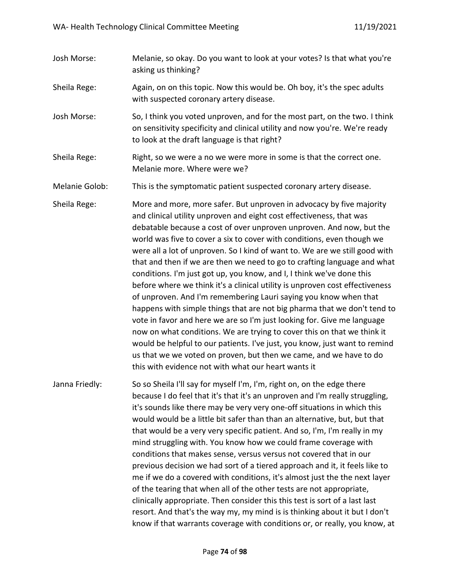Josh Morse: Melanie, so okay. Do you want to look at your votes? Is that what you're asking us thinking? Sheila Rege: Again, on on this topic. Now this would be. Oh boy, it's the spec adults with suspected coronary artery disease. Josh Morse: So, I think you voted unproven, and for the most part, on the two. I think on sensitivity specificity and clinical utility and now you're. We're ready to look at the draft language is that right? Sheila Rege: Right, so we were a no we were more in some is that the correct one. Melanie more. Where were we? Melanie Golob: This is the symptomatic patient suspected coronary artery disease. Sheila Rege: More and more, more safer. But unproven in advocacy by five majority and clinical utility unproven and eight cost effectiveness, that was debatable because a cost of over unproven unproven. And now, but the world was five to cover a six to cover with conditions, even though we were all a lot of unproven. So I kind of want to. We are we still good with that and then if we are then we need to go to crafting language and what conditions. I'm just got up, you know, and I, I think we've done this before where we think it's a clinical utility is unproven cost effectiveness of unproven. And I'm remembering Lauri saying you know when that happens with simple things that are not big pharma that we don't tend to vote in favor and here we are so I'm just looking for. Give me language now on what conditions. We are trying to cover this on that we think it would be helpful to our patients. I've just, you know, just want to remind us that we we voted on proven, but then we came, and we have to do this with evidence not with what our heart wants it Janna Friedly: So so Sheila I'll say for myself I'm, I'm, right on, on the edge there because I do feel that it's that it's an unproven and I'm really struggling, it's sounds like there may be very very one-off situations in which this would would be a little bit safer than than an alternative, but, but that that would be a very very specific patient. And so, I'm, I'm really in my mind struggling with. You know how we could frame coverage with conditions that makes sense, versus versus not covered that in our previous decision we had sort of a tiered approach and it, it feels like to me if we do a covered with conditions, it's almost just the the next layer of the tearing that when all of the other tests are not appropriate, clinically appropriate. Then consider this this test is sort of a last last resort. And that's the way my, my mind is is thinking about it but I don't know if that warrants coverage with conditions or, or really, you know, at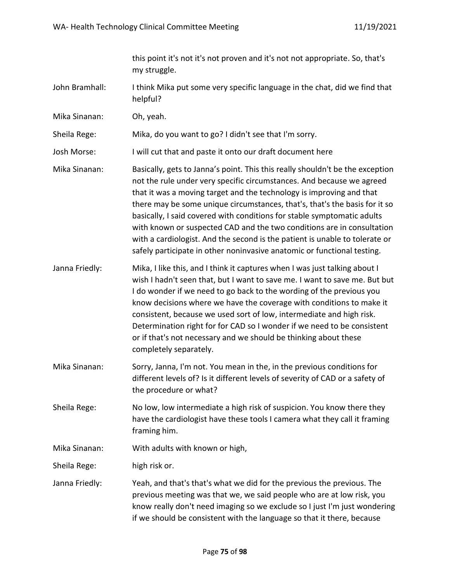this point it's not it's not proven and it's not not appropriate. So, that's my struggle.

- John Bramhall: I think Mika put some very specific language in the chat, did we find that helpful?
- Mika Sinanan: Oh, yeah.

Sheila Rege: Mika, do you want to go? I didn't see that I'm sorry.

- Josh Morse: I will cut that and paste it onto our draft document here
- Mika Sinanan: Basically, gets to Janna's point. This this really shouldn't be the exception not the rule under very specific circumstances. And because we agreed that it was a moving target and the technology is improving and that there may be some unique circumstances, that's, that's the basis for it so basically, I said covered with conditions for stable symptomatic adults with known or suspected CAD and the two conditions are in consultation with a cardiologist. And the second is the patient is unable to tolerate or safely participate in other noninvasive anatomic or functional testing.
- Janna Friedly: Mika, I like this, and I think it captures when I was just talking about I wish I hadn't seen that, but I want to save me. I want to save me. But but I do wonder if we need to go back to the wording of the previous you know decisions where we have the coverage with conditions to make it consistent, because we used sort of low, intermediate and high risk. Determination right for for CAD so I wonder if we need to be consistent or if that's not necessary and we should be thinking about these completely separately.
- Mika Sinanan: Sorry, Janna, I'm not. You mean in the, in the previous conditions for different levels of? Is it different levels of severity of CAD or a safety of the procedure or what?
- Sheila Rege: No low, low intermediate a high risk of suspicion. You know there they have the cardiologist have these tools I camera what they call it framing framing him.

Mika Sinanan: With adults with known or high,

Sheila Rege: high risk or.

Janna Friedly: Yeah, and that's that's what we did for the previous the previous. The previous meeting was that we, we said people who are at low risk, you know really don't need imaging so we exclude so I just I'm just wondering if we should be consistent with the language so that it there, because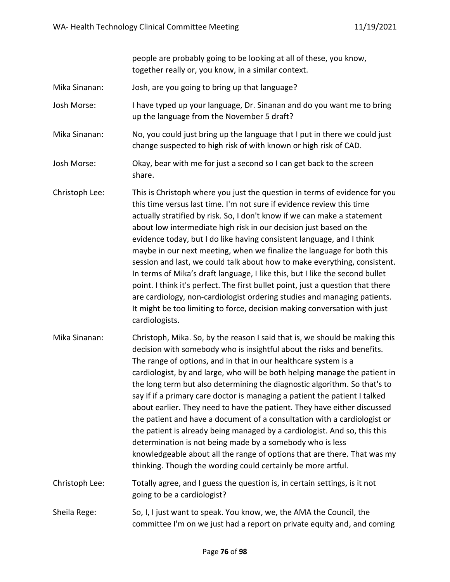people are probably going to be looking at all of these, you know, together really or, you know, in a similar context.

Mika Sinanan: Josh, are you going to bring up that language?

Josh Morse: I have typed up your language, Dr. Sinanan and do you want me to bring up the language from the November 5 draft?

- Mika Sinanan: No, you could just bring up the language that I put in there we could just change suspected to high risk of with known or high risk of CAD.
- Josh Morse: Okay, bear with me for just a second so I can get back to the screen share.
- Christoph Lee: This is Christoph where you just the question in terms of evidence for you this time versus last time. I'm not sure if evidence review this time actually stratified by risk. So, I don't know if we can make a statement about low intermediate high risk in our decision just based on the evidence today, but I do like having consistent language, and I think maybe in our next meeting, when we finalize the language for both this session and last, we could talk about how to make everything, consistent. In terms of Mika's draft language, I like this, but I like the second bullet point. I think it's perfect. The first bullet point, just a question that there are cardiology, non-cardiologist ordering studies and managing patients. It might be too limiting to force, decision making conversation with just cardiologists.
- Mika Sinanan: Christoph, Mika. So, by the reason I said that is, we should be making this decision with somebody who is insightful about the risks and benefits. The range of options, and in that in our healthcare system is a cardiologist, by and large, who will be both helping manage the patient in the long term but also determining the diagnostic algorithm. So that's to say if if a primary care doctor is managing a patient the patient I talked about earlier. They need to have the patient. They have either discussed the patient and have a document of a consultation with a cardiologist or the patient is already being managed by a cardiologist. And so, this this determination is not being made by a somebody who is less knowledgeable about all the range of options that are there. That was my thinking. Though the wording could certainly be more artful.
- Christoph Lee: Totally agree, and I guess the question is, in certain settings, is it not going to be a cardiologist?
- Sheila Rege: So, I, I just want to speak. You know, we, the AMA the Council, the committee I'm on we just had a report on private equity and, and coming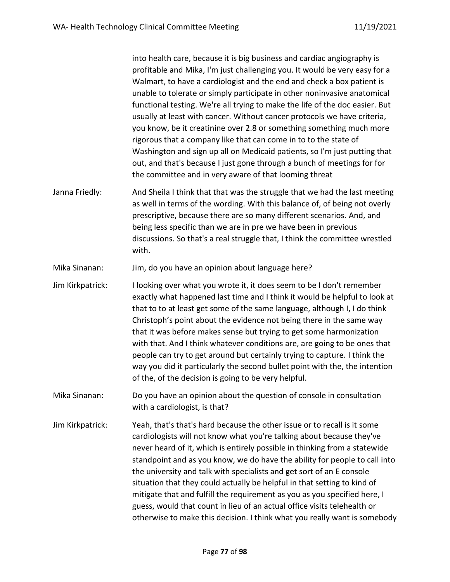into health care, because it is big business and cardiac angiography is profitable and Mika, I'm just challenging you. It would be very easy for a Walmart, to have a cardiologist and the end and check a box patient is unable to tolerate or simply participate in other noninvasive anatomical functional testing. We're all trying to make the life of the doc easier. But usually at least with cancer. Without cancer protocols we have criteria, you know, be it creatinine over 2.8 or something something much more rigorous that a company like that can come in to to the state of Washington and sign up all on Medicaid patients, so I'm just putting that out, and that's because I just gone through a bunch of meetings for for the committee and in very aware of that looming threat

Janna Friedly: And Sheila I think that that was the struggle that we had the last meeting as well in terms of the wording. With this balance of, of being not overly prescriptive, because there are so many different scenarios. And, and being less specific than we are in pre we have been in previous discussions. So that's a real struggle that, I think the committee wrestled with.

Mika Sinanan: Jim, do you have an opinion about language here?

- Jim Kirkpatrick: I looking over what you wrote it, it does seem to be I don't remember exactly what happened last time and I think it would be helpful to look at that to to at least get some of the same language, although I, I do think Christoph's point about the evidence not being there in the same way that it was before makes sense but trying to get some harmonization with that. And I think whatever conditions are, are going to be ones that people can try to get around but certainly trying to capture. I think the way you did it particularly the second bullet point with the, the intention of the, of the decision is going to be very helpful.
- Mika Sinanan: Do you have an opinion about the question of console in consultation with a cardiologist, is that?
- Jim Kirkpatrick: Yeah, that's that's hard because the other issue or to recall is it some cardiologists will not know what you're talking about because they've never heard of it, which is entirely possible in thinking from a statewide standpoint and as you know, we do have the ability for people to call into the university and talk with specialists and get sort of an E console situation that they could actually be helpful in that setting to kind of mitigate that and fulfill the requirement as you as you specified here, I guess, would that count in lieu of an actual office visits telehealth or otherwise to make this decision. I think what you really want is somebody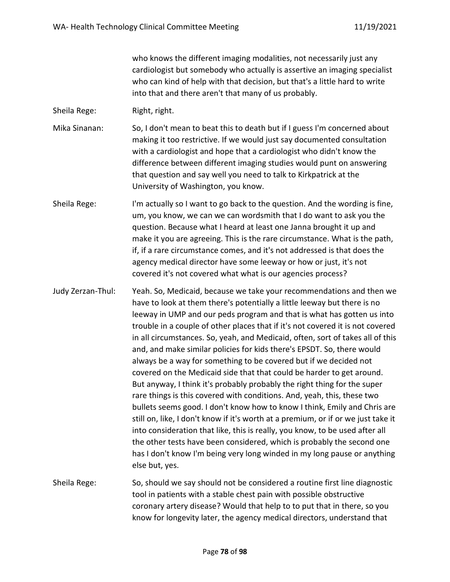who knows the different imaging modalities, not necessarily just any cardiologist but somebody who actually is assertive an imaging specialist who can kind of help with that decision, but that's a little hard to write into that and there aren't that many of us probably.

Sheila Rege: Right, right.

- Mika Sinanan: So, I don't mean to beat this to death but if I guess I'm concerned about making it too restrictive. If we would just say documented consultation with a cardiologist and hope that a cardiologist who didn't know the difference between different imaging studies would punt on answering that question and say well you need to talk to Kirkpatrick at the University of Washington, you know.
- Sheila Rege: I'm actually so I want to go back to the question. And the wording is fine, um, you know, we can we can wordsmith that I do want to ask you the question. Because what I heard at least one Janna brought it up and make it you are agreeing. This is the rare circumstance. What is the path, if, if a rare circumstance comes, and it's not addressed is that does the agency medical director have some leeway or how or just, it's not covered it's not covered what what is our agencies process?
- Judy Zerzan-Thul: Yeah. So, Medicaid, because we take your recommendations and then we have to look at them there's potentially a little leeway but there is no leeway in UMP and our peds program and that is what has gotten us into trouble in a couple of other places that if it's not covered it is not covered in all circumstances. So, yeah, and Medicaid, often, sort of takes all of this and, and make similar policies for kids there's EPSDT. So, there would always be a way for something to be covered but if we decided not covered on the Medicaid side that that could be harder to get around. But anyway, I think it's probably probably the right thing for the super rare things is this covered with conditions. And, yeah, this, these two bullets seems good. I don't know how to know I think, Emily and Chris are still on, like, I don't know if it's worth at a premium, or if or we just take it into consideration that like, this is really, you know, to be used after all the other tests have been considered, which is probably the second one has I don't know I'm being very long winded in my long pause or anything else but, yes.
- Sheila Rege: So, should we say should not be considered a routine first line diagnostic tool in patients with a stable chest pain with possible obstructive coronary artery disease? Would that help to to put that in there, so you know for longevity later, the agency medical directors, understand that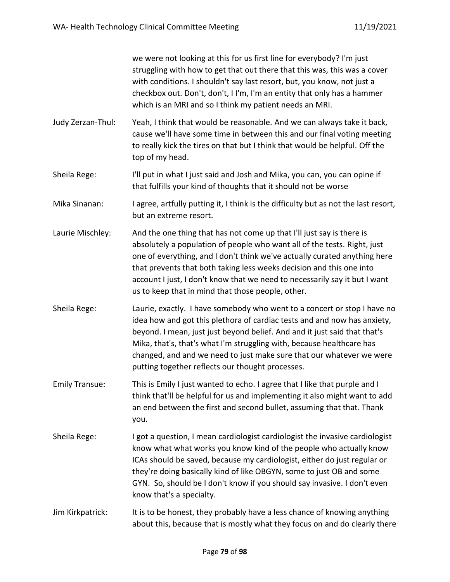we were not looking at this for us first line for everybody? I'm just struggling with how to get that out there that this was, this was a cover with conditions. I shouldn't say last resort, but, you know, not just a checkbox out. Don't, don't, I I'm, I'm an entity that only has a hammer which is an MRI and so I think my patient needs an MRI.

- Judy Zerzan-Thul: Yeah, I think that would be reasonable. And we can always take it back, cause we'll have some time in between this and our final voting meeting to really kick the tires on that but I think that would be helpful. Off the top of my head.
- Sheila Rege: I'll put in what I just said and Josh and Mika, you can, you can opine if that fulfills your kind of thoughts that it should not be worse
- Mika Sinanan: I agree, artfully putting it, I think is the difficulty but as not the last resort, but an extreme resort.
- Laurie Mischley: And the one thing that has not come up that I'll just say is there is absolutely a population of people who want all of the tests. Right, just one of everything, and I don't think we've actually curated anything here that prevents that both taking less weeks decision and this one into account I just, I don't know that we need to necessarily say it but I want us to keep that in mind that those people, other.
- Sheila Rege: Laurie, exactly. I have somebody who went to a concert or stop I have no idea how and got this plethora of cardiac tests and and now has anxiety, beyond. I mean, just just beyond belief. And and it just said that that's Mika, that's, that's what I'm struggling with, because healthcare has changed, and and we need to just make sure that our whatever we were putting together reflects our thought processes.
- Emily Transue: This is Emily I just wanted to echo. I agree that I like that purple and I think that'll be helpful for us and implementing it also might want to add an end between the first and second bullet, assuming that that. Thank you.
- Sheila Rege: I got a question, I mean cardiologist cardiologist the invasive cardiologist know what what works you know kind of the people who actually know ICAs should be saved, because my cardiologist, either do just regular or they're doing basically kind of like OBGYN, some to just OB and some GYN. So, should be I don't know if you should say invasive. I don't even know that's a specialty.
- Jim Kirkpatrick: It is to be honest, they probably have a less chance of knowing anything about this, because that is mostly what they focus on and do clearly there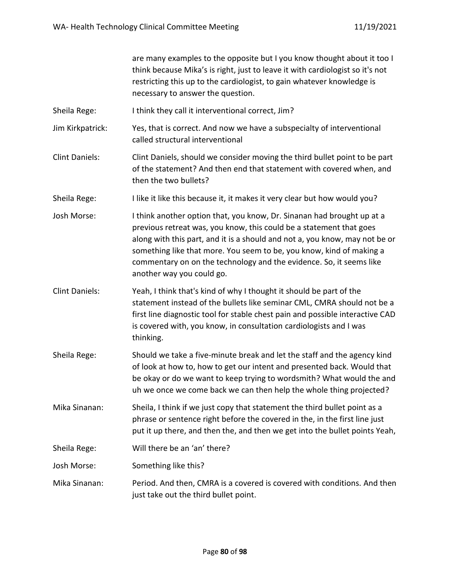|                       | are many examples to the opposite but I you know thought about it too I<br>think because Mika's is right, just to leave it with cardiologist so it's not<br>restricting this up to the cardiologist, to gain whatever knowledge is<br>necessary to answer the question.                                                                                                                                  |
|-----------------------|----------------------------------------------------------------------------------------------------------------------------------------------------------------------------------------------------------------------------------------------------------------------------------------------------------------------------------------------------------------------------------------------------------|
| Sheila Rege:          | I think they call it interventional correct, Jim?                                                                                                                                                                                                                                                                                                                                                        |
| Jim Kirkpatrick:      | Yes, that is correct. And now we have a subspecialty of interventional<br>called structural interventional                                                                                                                                                                                                                                                                                               |
| <b>Clint Daniels:</b> | Clint Daniels, should we consider moving the third bullet point to be part<br>of the statement? And then end that statement with covered when, and<br>then the two bullets?                                                                                                                                                                                                                              |
| Sheila Rege:          | I like it like this because it, it makes it very clear but how would you?                                                                                                                                                                                                                                                                                                                                |
| Josh Morse:           | I think another option that, you know, Dr. Sinanan had brought up at a<br>previous retreat was, you know, this could be a statement that goes<br>along with this part, and it is a should and not a, you know, may not be or<br>something like that more. You seem to be, you know, kind of making a<br>commentary on on the technology and the evidence. So, it seems like<br>another way you could go. |
| <b>Clint Daniels:</b> | Yeah, I think that's kind of why I thought it should be part of the<br>statement instead of the bullets like seminar CML, CMRA should not be a<br>first line diagnostic tool for stable chest pain and possible interactive CAD<br>is covered with, you know, in consultation cardiologists and I was<br>thinking.                                                                                       |
| Sheila Rege:          | Should we take a five-minute break and let the staff and the agency kind<br>of look at how to, how to get our intent and presented back. Would that<br>be okay or do we want to keep trying to wordsmith? What would the and<br>uh we once we come back we can then help the whole thing projected?                                                                                                      |
| Mika Sinanan:         | Sheila, I think if we just copy that statement the third bullet point as a<br>phrase or sentence right before the covered in the, in the first line just<br>put it up there, and then the, and then we get into the bullet points Yeah,                                                                                                                                                                  |
| Sheila Rege:          | Will there be an 'an' there?                                                                                                                                                                                                                                                                                                                                                                             |
| Josh Morse:           | Something like this?                                                                                                                                                                                                                                                                                                                                                                                     |
| Mika Sinanan:         | Period. And then, CMRA is a covered is covered with conditions. And then<br>just take out the third bullet point.                                                                                                                                                                                                                                                                                        |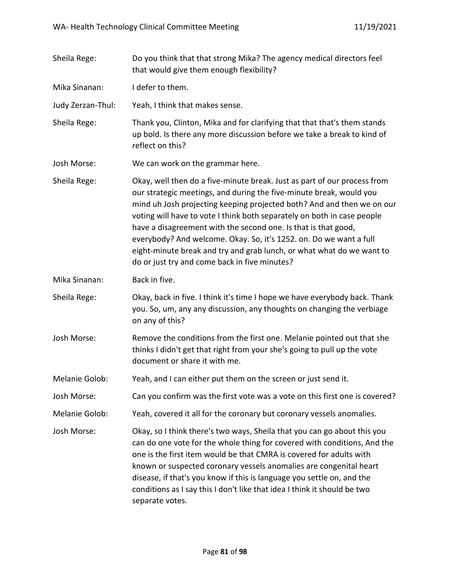| Sheila Rege:      | Do you think that that strong Mika? The agency medical directors feel<br>that would give them enough flexibility?                                                                                                                                                                                                                                                                                                                                                                                                                                                      |
|-------------------|------------------------------------------------------------------------------------------------------------------------------------------------------------------------------------------------------------------------------------------------------------------------------------------------------------------------------------------------------------------------------------------------------------------------------------------------------------------------------------------------------------------------------------------------------------------------|
| Mika Sinanan:     | I defer to them.                                                                                                                                                                                                                                                                                                                                                                                                                                                                                                                                                       |
| Judy Zerzan-Thul: | Yeah, I think that makes sense.                                                                                                                                                                                                                                                                                                                                                                                                                                                                                                                                        |
| Sheila Rege:      | Thank you, Clinton, Mika and for clarifying that that that's them stands<br>up bold. Is there any more discussion before we take a break to kind of<br>reflect on this?                                                                                                                                                                                                                                                                                                                                                                                                |
| Josh Morse:       | We can work on the grammar here.                                                                                                                                                                                                                                                                                                                                                                                                                                                                                                                                       |
| Sheila Rege:      | Okay, well then do a five-minute break. Just as part of our process from<br>our strategic meetings, and during the five-minute break, would you<br>mind uh Josh projecting keeping projected both? And and then we on our<br>voting will have to vote I think both separately on both in case people<br>have a disagreement with the second one. Is that is that good,<br>everybody? And welcome. Okay. So, it's 1252. on. Do we want a full<br>eight-minute break and try and grab lunch, or what what do we want to<br>do or just try and come back in five minutes? |
| Mika Sinanan:     | Back in five.                                                                                                                                                                                                                                                                                                                                                                                                                                                                                                                                                          |
| Sheila Rege:      | Okay, back in five. I think it's time I hope we have everybody back. Thank<br>you. So, um, any any discussion, any thoughts on changing the verbiage<br>on any of this?                                                                                                                                                                                                                                                                                                                                                                                                |
| Josh Morse:       | Remove the conditions from the first one. Melanie pointed out that she<br>thinks I didn't get that right from your she's going to pull up the vote<br>document or share it with me.                                                                                                                                                                                                                                                                                                                                                                                    |
| Melanie Golob:    | Yeah, and I can either put them on the screen or just send it.                                                                                                                                                                                                                                                                                                                                                                                                                                                                                                         |
| Josh Morse:       | Can you confirm was the first vote was a vote on this first one is covered?                                                                                                                                                                                                                                                                                                                                                                                                                                                                                            |
| Melanie Golob:    | Yeah, covered it all for the coronary but coronary vessels anomalies.                                                                                                                                                                                                                                                                                                                                                                                                                                                                                                  |
| Josh Morse:       | Okay, so I think there's two ways, Sheila that you can go about this you<br>can do one vote for the whole thing for covered with conditions, And the<br>one is the first item would be that CMRA is covered for adults with<br>known or suspected coronary vessels anomalies are congenital heart<br>disease, if that's you know if this is language you settle on, and the<br>conditions as I say this I don't like that idea I think it should be two<br>separate votes.                                                                                             |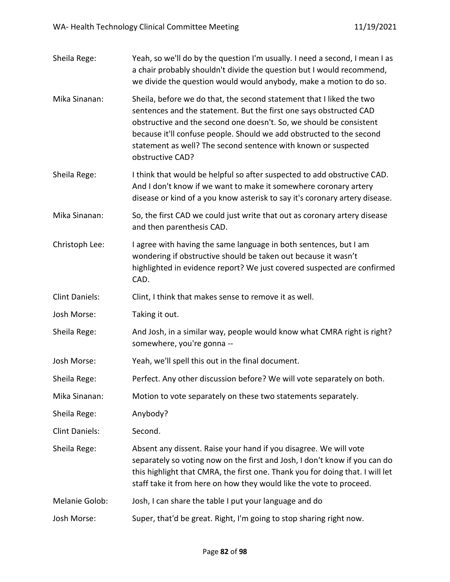| Yeah, so we'll do by the question I'm usually. I need a second, I mean I as<br>a chair probably shouldn't divide the question but I would recommend,<br>we divide the question would would anybody, make a motion to do so.                                                                                                                                                     |
|---------------------------------------------------------------------------------------------------------------------------------------------------------------------------------------------------------------------------------------------------------------------------------------------------------------------------------------------------------------------------------|
| Sheila, before we do that, the second statement that I liked the two<br>sentences and the statement. But the first one says obstructed CAD<br>obstructive and the second one doesn't. So, we should be consistent<br>because it'll confuse people. Should we add obstructed to the second<br>statement as well? The second sentence with known or suspected<br>obstructive CAD? |
| I think that would be helpful so after suspected to add obstructive CAD.<br>And I don't know if we want to make it somewhere coronary artery<br>disease or kind of a you know asterisk to say it's coronary artery disease.                                                                                                                                                     |
| So, the first CAD we could just write that out as coronary artery disease<br>and then parenthesis CAD.                                                                                                                                                                                                                                                                          |
| I agree with having the same language in both sentences, but I am<br>wondering if obstructive should be taken out because it wasn't<br>highlighted in evidence report? We just covered suspected are confirmed<br>CAD.                                                                                                                                                          |
| Clint, I think that makes sense to remove it as well.                                                                                                                                                                                                                                                                                                                           |
| Taking it out.                                                                                                                                                                                                                                                                                                                                                                  |
| And Josh, in a similar way, people would know what CMRA right is right?<br>somewhere, you're gonna --                                                                                                                                                                                                                                                                           |
| Yeah, we'll spell this out in the final document.                                                                                                                                                                                                                                                                                                                               |
| Perfect. Any other discussion before? We will vote separately on both.                                                                                                                                                                                                                                                                                                          |
| Motion to vote separately on these two statements separately.                                                                                                                                                                                                                                                                                                                   |
| Anybody?                                                                                                                                                                                                                                                                                                                                                                        |
| Second.                                                                                                                                                                                                                                                                                                                                                                         |
| Absent any dissent. Raise your hand if you disagree. We will vote<br>separately so voting now on the first and Josh, I don't know if you can do<br>this highlight that CMRA, the first one. Thank you for doing that. I will let<br>staff take it from here on how they would like the vote to proceed.                                                                         |
| Josh, I can share the table I put your language and do                                                                                                                                                                                                                                                                                                                          |
| Super, that'd be great. Right, I'm going to stop sharing right now.                                                                                                                                                                                                                                                                                                             |
|                                                                                                                                                                                                                                                                                                                                                                                 |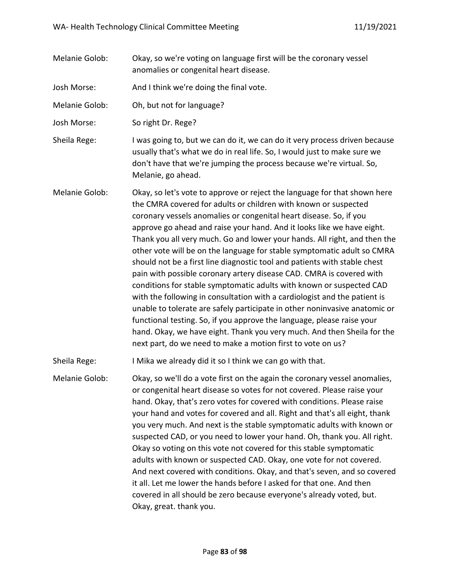Melanie Golob: Okay, so we're voting on language first will be the coronary vessel anomalies or congenital heart disease.

Josh Morse: And I think we're doing the final vote.

Melanie Golob: Oh, but not for language?

Josh Morse: So right Dr. Rege?

Sheila Rege: I was going to, but we can do it, we can do it very process driven because usually that's what we do in real life. So, I would just to make sure we don't have that we're jumping the process because we're virtual. So, Melanie, go ahead.

Melanie Golob: Okay, so let's vote to approve or reject the language for that shown here the CMRA covered for adults or children with known or suspected coronary vessels anomalies or congenital heart disease. So, if you approve go ahead and raise your hand. And it looks like we have eight. Thank you all very much. Go and lower your hands. All right, and then the other vote will be on the language for stable symptomatic adult so CMRA should not be a first line diagnostic tool and patients with stable chest pain with possible coronary artery disease CAD. CMRA is covered with conditions for stable symptomatic adults with known or suspected CAD with the following in consultation with a cardiologist and the patient is unable to tolerate are safely participate in other noninvasive anatomic or functional testing. So, if you approve the language, please raise your hand. Okay, we have eight. Thank you very much. And then Sheila for the next part, do we need to make a motion first to vote on us?

Sheila Rege: I Mika we already did it so I think we can go with that.

Melanie Golob: Okay, so we'll do a vote first on the again the coronary vessel anomalies, or congenital heart disease so votes for not covered. Please raise your hand. Okay, that's zero votes for covered with conditions. Please raise your hand and votes for covered and all. Right and that's all eight, thank you very much. And next is the stable symptomatic adults with known or suspected CAD, or you need to lower your hand. Oh, thank you. All right. Okay so voting on this vote not covered for this stable symptomatic adults with known or suspected CAD. Okay, one vote for not covered. And next covered with conditions. Okay, and that's seven, and so covered it all. Let me lower the hands before I asked for that one. And then covered in all should be zero because everyone's already voted, but. Okay, great. thank you.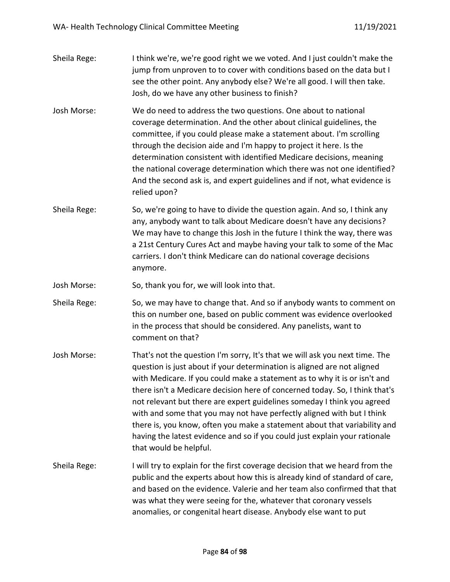- Sheila Rege: I think we're, we're good right we we voted. And I just couldn't make the jump from unproven to to cover with conditions based on the data but I see the other point. Any anybody else? We're all good. I will then take. Josh, do we have any other business to finish?
- Josh Morse: We do need to address the two questions. One about to national coverage determination. And the other about clinical guidelines, the committee, if you could please make a statement about. I'm scrolling through the decision aide and I'm happy to project it here. Is the determination consistent with identified Medicare decisions, meaning the national coverage determination which there was not one identified? And the second ask is, and expert guidelines and if not, what evidence is relied upon?
- Sheila Rege: So, we're going to have to divide the question again. And so, I think any any, anybody want to talk about Medicare doesn't have any decisions? We may have to change this Josh in the future I think the way, there was a 21st Century Cures Act and maybe having your talk to some of the Mac carriers. I don't think Medicare can do national coverage decisions anymore.
- Josh Morse: So, thank you for, we will look into that.
- Sheila Rege: So, we may have to change that. And so if anybody wants to comment on this on number one, based on public comment was evidence overlooked in the process that should be considered. Any panelists, want to comment on that?
- Josh Morse: That's not the question I'm sorry, It's that we will ask you next time. The question is just about if your determination is aligned are not aligned with Medicare. If you could make a statement as to why it is or isn't and there isn't a Medicare decision here of concerned today. So, I think that's not relevant but there are expert guidelines someday I think you agreed with and some that you may not have perfectly aligned with but I think there is, you know, often you make a statement about that variability and having the latest evidence and so if you could just explain your rationale that would be helpful.
- Sheila Rege: I will try to explain for the first coverage decision that we heard from the public and the experts about how this is already kind of standard of care, and based on the evidence. Valerie and her team also confirmed that that was what they were seeing for the, whatever that coronary vessels anomalies, or congenital heart disease. Anybody else want to put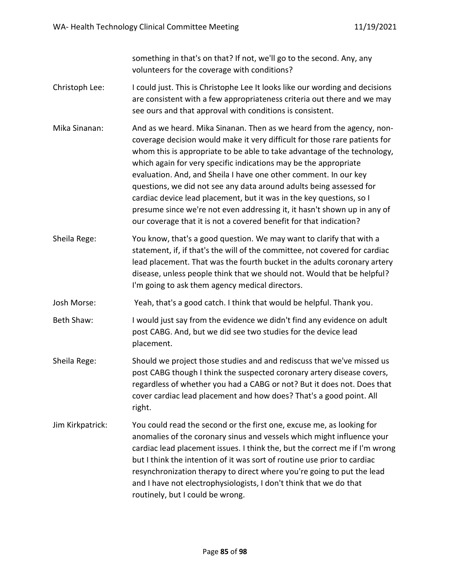something in that's on that? If not, we'll go to the second. Any, any volunteers for the coverage with conditions?

- Christoph Lee: I could just. This is Christophe Lee It looks like our wording and decisions are consistent with a few appropriateness criteria out there and we may see ours and that approval with conditions is consistent.
- Mika Sinanan: And as we heard. Mika Sinanan. Then as we heard from the agency, noncoverage decision would make it very difficult for those rare patients for whom this is appropriate to be able to take advantage of the technology, which again for very specific indications may be the appropriate evaluation. And, and Sheila I have one other comment. In our key questions, we did not see any data around adults being assessed for cardiac device lead placement, but it was in the key questions, so I presume since we're not even addressing it, it hasn't shown up in any of our coverage that it is not a covered benefit for that indication?
- Sheila Rege: You know, that's a good question. We may want to clarify that with a statement, if, if that's the will of the committee, not covered for cardiac lead placement. That was the fourth bucket in the adults coronary artery disease, unless people think that we should not. Would that be helpful? I'm going to ask them agency medical directors.
- Josh Morse: Yeah, that's a good catch. I think that would be helpful. Thank you.
- Beth Shaw: I would just say from the evidence we didn't find any evidence on adult post CABG. And, but we did see two studies for the device lead placement.
- Sheila Rege: Should we project those studies and and rediscuss that we've missed us post CABG though I think the suspected coronary artery disease covers, regardless of whether you had a CABG or not? But it does not. Does that cover cardiac lead placement and how does? That's a good point. All right.
- Jim Kirkpatrick: You could read the second or the first one, excuse me, as looking for anomalies of the coronary sinus and vessels which might influence your cardiac lead placement issues. I think the, but the correct me if I'm wrong but I think the intention of it was sort of routine use prior to cardiac resynchronization therapy to direct where you're going to put the lead and I have not electrophysiologists, I don't think that we do that routinely, but I could be wrong.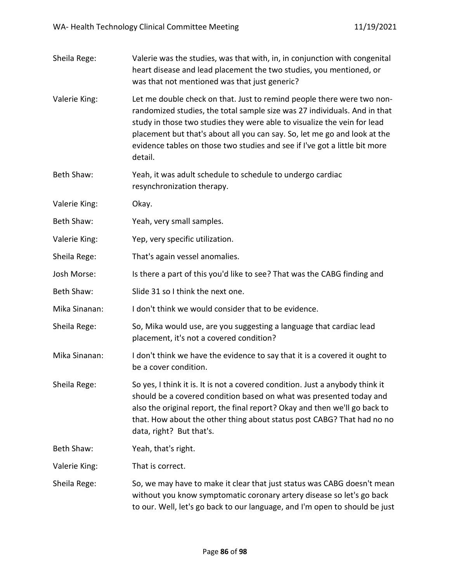| Sheila Rege:  | Valerie was the studies, was that with, in, in conjunction with congenital<br>heart disease and lead placement the two studies, you mentioned, or<br>was that not mentioned was that just generic?                                                                                                                                                                                                    |
|---------------|-------------------------------------------------------------------------------------------------------------------------------------------------------------------------------------------------------------------------------------------------------------------------------------------------------------------------------------------------------------------------------------------------------|
| Valerie King: | Let me double check on that. Just to remind people there were two non-<br>randomized studies, the total sample size was 27 individuals. And in that<br>study in those two studies they were able to visualize the vein for lead<br>placement but that's about all you can say. So, let me go and look at the<br>evidence tables on those two studies and see if I've got a little bit more<br>detail. |
| Beth Shaw:    | Yeah, it was adult schedule to schedule to undergo cardiac<br>resynchronization therapy.                                                                                                                                                                                                                                                                                                              |
| Valerie King: | Okay.                                                                                                                                                                                                                                                                                                                                                                                                 |
| Beth Shaw:    | Yeah, very small samples.                                                                                                                                                                                                                                                                                                                                                                             |
| Valerie King: | Yep, very specific utilization.                                                                                                                                                                                                                                                                                                                                                                       |
| Sheila Rege:  | That's again vessel anomalies.                                                                                                                                                                                                                                                                                                                                                                        |
| Josh Morse:   | Is there a part of this you'd like to see? That was the CABG finding and                                                                                                                                                                                                                                                                                                                              |
| Beth Shaw:    | Slide 31 so I think the next one.                                                                                                                                                                                                                                                                                                                                                                     |
| Mika Sinanan: | I don't think we would consider that to be evidence.                                                                                                                                                                                                                                                                                                                                                  |
| Sheila Rege:  | So, Mika would use, are you suggesting a language that cardiac lead<br>placement, it's not a covered condition?                                                                                                                                                                                                                                                                                       |
| Mika Sinanan: | I don't think we have the evidence to say that it is a covered it ought to<br>be a cover condition.                                                                                                                                                                                                                                                                                                   |
| Sheila Rege:  | So yes, I think it is. It is not a covered condition. Just a anybody think it<br>should be a covered condition based on what was presented today and<br>also the original report, the final report? Okay and then we'll go back to<br>that. How about the other thing about status post CABG? That had no no<br>data, right? But that's.                                                              |
| Beth Shaw:    | Yeah, that's right.                                                                                                                                                                                                                                                                                                                                                                                   |
| Valerie King: | That is correct.                                                                                                                                                                                                                                                                                                                                                                                      |
| Sheila Rege:  | So, we may have to make it clear that just status was CABG doesn't mean<br>without you know symptomatic coronary artery disease so let's go back<br>to our. Well, let's go back to our language, and I'm open to should be just                                                                                                                                                                       |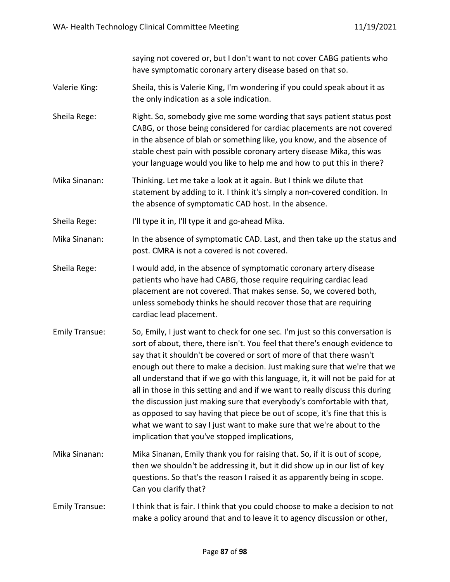saying not covered or, but I don't want to not cover CABG patients who have symptomatic coronary artery disease based on that so.

- Valerie King: Sheila, this is Valerie King, I'm wondering if you could speak about it as the only indication as a sole indication.
- Sheila Rege: Right. So, somebody give me some wording that says patient status post CABG, or those being considered for cardiac placements are not covered in the absence of blah or something like, you know, and the absence of stable chest pain with possible coronary artery disease Mika, this was your language would you like to help me and how to put this in there?
- Mika Sinanan: Thinking. Let me take a look at it again. But I think we dilute that statement by adding to it. I think it's simply a non-covered condition. In the absence of symptomatic CAD host. In the absence.

Sheila Rege: I'll type it in, I'll type it and go-ahead Mika.

- Mika Sinanan: In the absence of symptomatic CAD. Last, and then take up the status and post. CMRA is not a covered is not covered.
- Sheila Rege: I would add, in the absence of symptomatic coronary artery disease patients who have had CABG, those require requiring cardiac lead placement are not covered. That makes sense. So, we covered both, unless somebody thinks he should recover those that are requiring cardiac lead placement.
- Emily Transue: So, Emily, I just want to check for one sec. I'm just so this conversation is sort of about, there, there isn't. You feel that there's enough evidence to say that it shouldn't be covered or sort of more of that there wasn't enough out there to make a decision. Just making sure that we're that we all understand that if we go with this language, it, it will not be paid for at all in those in this setting and and if we want to really discuss this during the discussion just making sure that everybody's comfortable with that, as opposed to say having that piece be out of scope, it's fine that this is what we want to say I just want to make sure that we're about to the implication that you've stopped implications,
- Mika Sinanan: Mika Sinanan, Emily thank you for raising that. So, if it is out of scope, then we shouldn't be addressing it, but it did show up in our list of key questions. So that's the reason I raised it as apparently being in scope. Can you clarify that?
- Emily Transue: I think that is fair. I think that you could choose to make a decision to not make a policy around that and to leave it to agency discussion or other,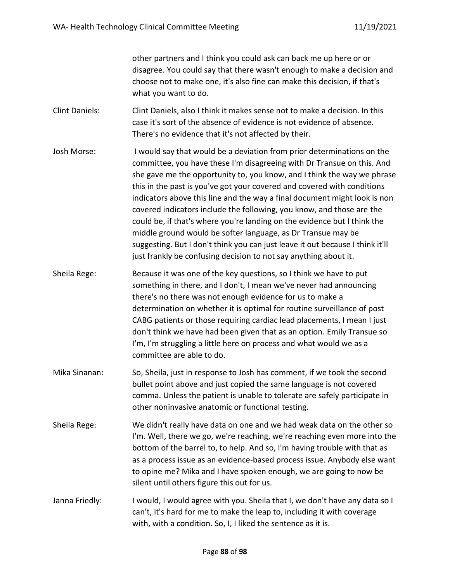other partners and I think you could ask can back me up here or or disagree. You could say that there wasn't enough to make a decision and choose not to make one, it's also fine can make this decision, if that's what you want to do.

- Clint Daniels: Clint Daniels, also I think it makes sense not to make a decision. In this case it's sort of the absence of evidence is not evidence of absence. There's no evidence that it's not affected by their.
- Josh Morse: I would say that would be a deviation from prior determinations on the committee, you have these I'm disagreeing with Dr Transue on this. And she gave me the opportunity to, you know, and I think the way we phrase this in the past is you've got your covered and covered with conditions indicators above this line and the way a final document might look is non covered indicators include the following, you know, and those are the could be, if that's where you're landing on the evidence but I think the middle ground would be softer language, as Dr Transue may be suggesting. But I don't think you can just leave it out because I think it'll just frankly be confusing decision to not say anything about it.
- Sheila Rege: Because it was one of the key questions, so I think we have to put something in there, and I don't, I mean we've never had announcing there's no there was not enough evidence for us to make a determination on whether it is optimal for routine surveillance of post CABG patients or those requiring cardiac lead placements, I mean I just don't think we have had been given that as an option. Emily Transue so I'm, I'm struggling a little here on process and what would we as a committee are able to do.
- Mika Sinanan: So, Sheila, just in response to Josh has comment, if we took the second bullet point above and just copied the same language is not covered comma. Unless the patient is unable to tolerate are safely participate in other noninvasive anatomic or functional testing.
- Sheila Rege: We didn't really have data on one and we had weak data on the other so I'm. Well, there we go, we're reaching, we're reaching even more into the bottom of the barrel to, to help. And so, I'm having trouble with that as as a process issue as an evidence-based process issue. Anybody else want to opine me? Mika and I have spoken enough, we are going to now be silent until others figure this out for us.
- Janna Friedly: I would, I would agree with you. Sheila that I, we don't have any data so I can't, it's hard for me to make the leap to, including it with coverage with, with a condition. So, I, I liked the sentence as it is.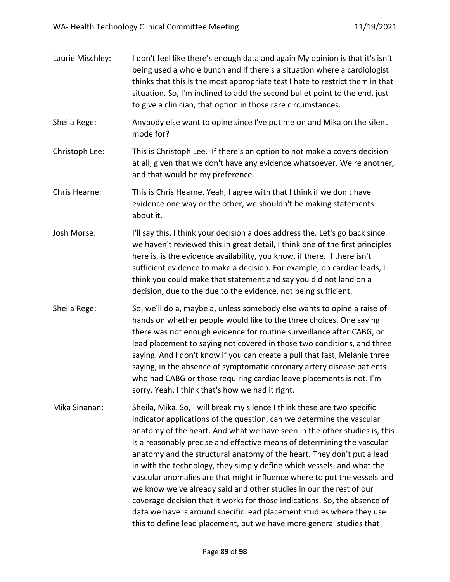| Laurie Mischley: | I don't feel like there's enough data and again My opinion is that it's isn't<br>being used a whole bunch and if there's a situation where a cardiologist<br>thinks that this is the most appropriate test I hate to restrict them in that<br>situation. So, I'm inclined to add the second bullet point to the end, just<br>to give a clinician, that option in those rare circumstances.                                                                                                                                                                                                                                                                                                                                                                                                                                                     |
|------------------|------------------------------------------------------------------------------------------------------------------------------------------------------------------------------------------------------------------------------------------------------------------------------------------------------------------------------------------------------------------------------------------------------------------------------------------------------------------------------------------------------------------------------------------------------------------------------------------------------------------------------------------------------------------------------------------------------------------------------------------------------------------------------------------------------------------------------------------------|
| Sheila Rege:     | Anybody else want to opine since I've put me on and Mika on the silent<br>mode for?                                                                                                                                                                                                                                                                                                                                                                                                                                                                                                                                                                                                                                                                                                                                                            |
| Christoph Lee:   | This is Christoph Lee. If there's an option to not make a covers decision<br>at all, given that we don't have any evidence whatsoever. We're another,<br>and that would be my preference.                                                                                                                                                                                                                                                                                                                                                                                                                                                                                                                                                                                                                                                      |
| Chris Hearne:    | This is Chris Hearne. Yeah, I agree with that I think if we don't have<br>evidence one way or the other, we shouldn't be making statements<br>about it,                                                                                                                                                                                                                                                                                                                                                                                                                                                                                                                                                                                                                                                                                        |
| Josh Morse:      | I'll say this. I think your decision a does address the. Let's go back since<br>we haven't reviewed this in great detail, I think one of the first principles<br>here is, is the evidence availability, you know, if there. If there isn't<br>sufficient evidence to make a decision. For example, on cardiac leads, I<br>think you could make that statement and say you did not land on a<br>decision, due to the due to the evidence, not being sufficient.                                                                                                                                                                                                                                                                                                                                                                                 |
| Sheila Rege:     | So, we'll do a, maybe a, unless somebody else wants to opine a raise of<br>hands on whether people would like to the three choices. One saying<br>there was not enough evidence for routine surveillance after CABG, or<br>lead placement to saying not covered in those two conditions, and three<br>saying. And I don't know if you can create a pull that fast, Melanie three<br>saying, in the absence of symptomatic coronary artery disease patients<br>who had CABG or those requiring cardiac leave placements is not. I'm<br>sorry. Yeah, I think that's how we had it right.                                                                                                                                                                                                                                                         |
| Mika Sinanan:    | Sheila, Mika. So, I will break my silence I think these are two specific<br>indicator applications of the question, can we determine the vascular<br>anatomy of the heart. And what we have seen in the other studies is, this<br>is a reasonably precise and effective means of determining the vascular<br>anatomy and the structural anatomy of the heart. They don't put a lead<br>in with the technology, they simply define which vessels, and what the<br>vascular anomalies are that might influence where to put the vessels and<br>we know we've already said and other studies in our the rest of our<br>coverage decision that it works for those indications. So, the absence of<br>data we have is around specific lead placement studies where they use<br>this to define lead placement, but we have more general studies that |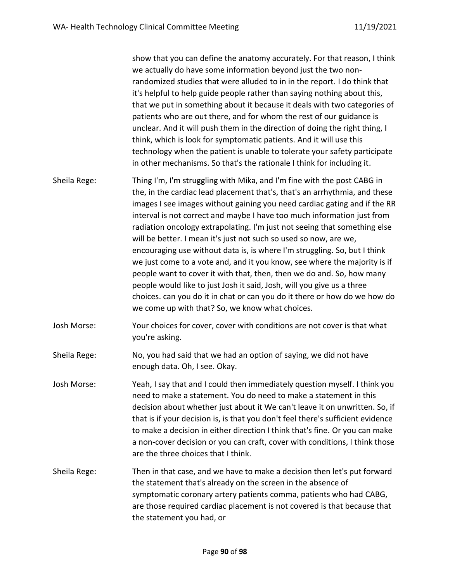show that you can define the anatomy accurately. For that reason, I think we actually do have some information beyond just the two nonrandomized studies that were alluded to in in the report. I do think that it's helpful to help guide people rather than saying nothing about this, that we put in something about it because it deals with two categories of patients who are out there, and for whom the rest of our guidance is unclear. And it will push them in the direction of doing the right thing, I think, which is look for symptomatic patients. And it will use this technology when the patient is unable to tolerate your safety participate in other mechanisms. So that's the rationale I think for including it.

- Sheila Rege: Thing I'm, I'm struggling with Mika, and I'm fine with the post CABG in the, in the cardiac lead placement that's, that's an arrhythmia, and these images I see images without gaining you need cardiac gating and if the RR interval is not correct and maybe I have too much information just from radiation oncology extrapolating. I'm just not seeing that something else will be better. I mean it's just not such so used so now, are we, encouraging use without data is, is where I'm struggling. So, but I think we just come to a vote and, and it you know, see where the majority is if people want to cover it with that, then, then we do and. So, how many people would like to just Josh it said, Josh, will you give us a three choices. can you do it in chat or can you do it there or how do we how do we come up with that? So, we know what choices.
- Josh Morse: Your choices for cover, cover with conditions are not cover is that what you're asking.
- Sheila Rege: No, you had said that we had an option of saying, we did not have enough data. Oh, I see. Okay.
- Josh Morse: Yeah, I say that and I could then immediately question myself. I think you need to make a statement. You do need to make a statement in this decision about whether just about it We can't leave it on unwritten. So, if that is if your decision is, is that you don't feel there's sufficient evidence to make a decision in either direction I think that's fine. Or you can make a non-cover decision or you can craft, cover with conditions, I think those are the three choices that I think.
- Sheila Rege: Then in that case, and we have to make a decision then let's put forward the statement that's already on the screen in the absence of symptomatic coronary artery patients comma, patients who had CABG, are those required cardiac placement is not covered is that because that the statement you had, or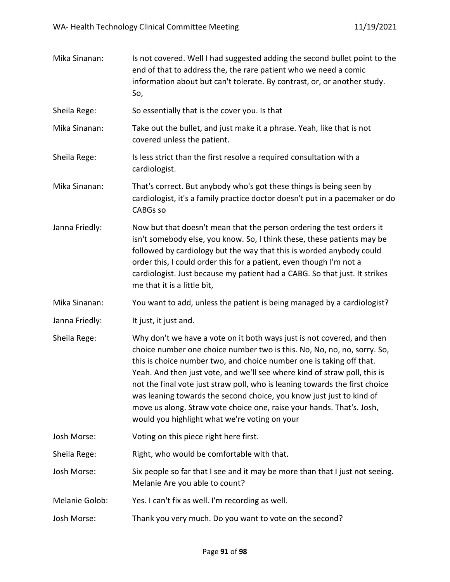| Mika Sinanan:  | Is not covered. Well I had suggested adding the second bullet point to the<br>end of that to address the, the rare patient who we need a comic<br>information about but can't tolerate. By contrast, or, or another study.<br>So,                                                                                                                                                                                                                                                                                                                                                       |
|----------------|-----------------------------------------------------------------------------------------------------------------------------------------------------------------------------------------------------------------------------------------------------------------------------------------------------------------------------------------------------------------------------------------------------------------------------------------------------------------------------------------------------------------------------------------------------------------------------------------|
| Sheila Rege:   | So essentially that is the cover you. Is that                                                                                                                                                                                                                                                                                                                                                                                                                                                                                                                                           |
| Mika Sinanan:  | Take out the bullet, and just make it a phrase. Yeah, like that is not<br>covered unless the patient.                                                                                                                                                                                                                                                                                                                                                                                                                                                                                   |
| Sheila Rege:   | Is less strict than the first resolve a required consultation with a<br>cardiologist.                                                                                                                                                                                                                                                                                                                                                                                                                                                                                                   |
| Mika Sinanan:  | That's correct. But anybody who's got these things is being seen by<br>cardiologist, it's a family practice doctor doesn't put in a pacemaker or do<br><b>CABGs so</b>                                                                                                                                                                                                                                                                                                                                                                                                                  |
| Janna Friedly: | Now but that doesn't mean that the person ordering the test orders it<br>isn't somebody else, you know. So, I think these, these patients may be<br>followed by cardiology but the way that this is worded anybody could<br>order this, I could order this for a patient, even though I'm not a<br>cardiologist. Just because my patient had a CABG. So that just. It strikes<br>me that it is a little bit,                                                                                                                                                                            |
| Mika Sinanan:  | You want to add, unless the patient is being managed by a cardiologist?                                                                                                                                                                                                                                                                                                                                                                                                                                                                                                                 |
| Janna Friedly: | It just, it just and.                                                                                                                                                                                                                                                                                                                                                                                                                                                                                                                                                                   |
| Sheila Rege:   | Why don't we have a vote on it both ways just is not covered, and then<br>choice number one choice number two is this. No, No, no, no, sorry. So,<br>this is choice number two, and choice number one is taking off that.<br>Yeah. And then just vote, and we'll see where kind of straw poll, this is<br>not the final vote just straw poll, who is leaning towards the first choice<br>was leaning towards the second choice, you know just just to kind of<br>move us along. Straw vote choice one, raise your hands. That's. Josh,<br>would you highlight what we're voting on your |
| Josh Morse:    | Voting on this piece right here first.                                                                                                                                                                                                                                                                                                                                                                                                                                                                                                                                                  |
| Sheila Rege:   | Right, who would be comfortable with that.                                                                                                                                                                                                                                                                                                                                                                                                                                                                                                                                              |
| Josh Morse:    | Six people so far that I see and it may be more than that I just not seeing.<br>Melanie Are you able to count?                                                                                                                                                                                                                                                                                                                                                                                                                                                                          |
| Melanie Golob: | Yes. I can't fix as well. I'm recording as well.                                                                                                                                                                                                                                                                                                                                                                                                                                                                                                                                        |
| Josh Morse:    | Thank you very much. Do you want to vote on the second?                                                                                                                                                                                                                                                                                                                                                                                                                                                                                                                                 |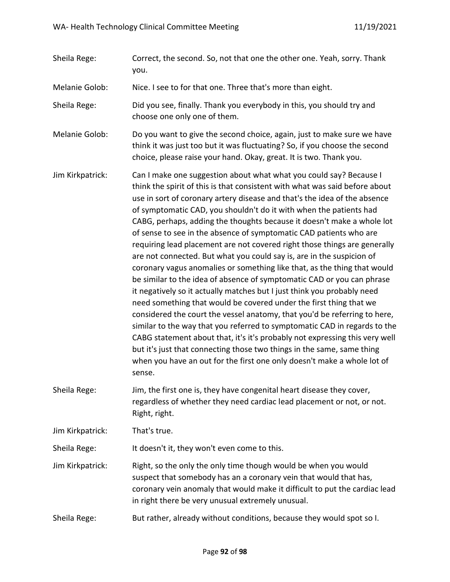Sheila Rege: Correct, the second. So, not that one the other one. Yeah, sorry. Thank you.

Melanie Golob: Nice. I see to for that one. Three that's more than eight.

Sheila Rege: Did you see, finally. Thank you everybody in this, you should try and choose one only one of them.

Melanie Golob: Do you want to give the second choice, again, just to make sure we have think it was just too but it was fluctuating? So, if you choose the second choice, please raise your hand. Okay, great. It is two. Thank you.

- Jim Kirkpatrick: Can I make one suggestion about what what you could say? Because I think the spirit of this is that consistent with what was said before about use in sort of coronary artery disease and that's the idea of the absence of symptomatic CAD, you shouldn't do it with when the patients had CABG, perhaps, adding the thoughts because it doesn't make a whole lot of sense to see in the absence of symptomatic CAD patients who are requiring lead placement are not covered right those things are generally are not connected. But what you could say is, are in the suspicion of coronary vagus anomalies or something like that, as the thing that would be similar to the idea of absence of symptomatic CAD or you can phrase it negatively so it actually matches but I just think you probably need need something that would be covered under the first thing that we considered the court the vessel anatomy, that you'd be referring to here, similar to the way that you referred to symptomatic CAD in regards to the CABG statement about that, it's it's probably not expressing this very well but it's just that connecting those two things in the same, same thing when you have an out for the first one only doesn't make a whole lot of sense.
- Sheila Rege: Jim, the first one is, they have congenital heart disease they cover, regardless of whether they need cardiac lead placement or not, or not. Right, right.

Jim Kirkpatrick: That's true.

Sheila Rege: It doesn't it, they won't even come to this.

- Jim Kirkpatrick: Right, so the only the only time though would be when you would suspect that somebody has an a coronary vein that would that has, coronary vein anomaly that would make it difficult to put the cardiac lead in right there be very unusual extremely unusual.
- Sheila Rege: But rather, already without conditions, because they would spot so I.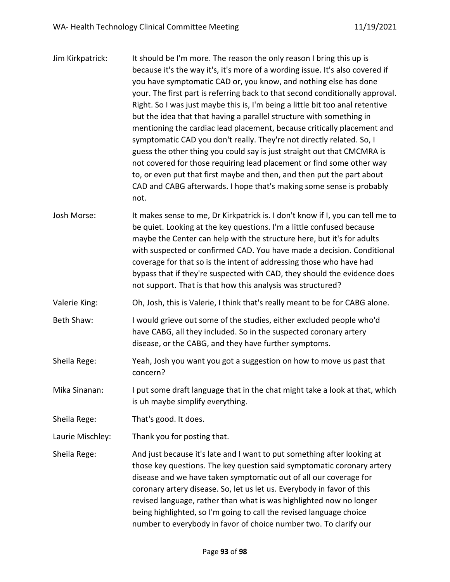| Jim Kirkpatrick: | It should be I'm more. The reason the only reason I bring this up is<br>because it's the way it's, it's more of a wording issue. It's also covered if<br>you have symptomatic CAD or, you know, and nothing else has done<br>your. The first part is referring back to that second conditionally approval.<br>Right. So I was just maybe this is, I'm being a little bit too anal retentive<br>but the idea that that having a parallel structure with something in<br>mentioning the cardiac lead placement, because critically placement and<br>symptomatic CAD you don't really. They're not directly related. So, I<br>guess the other thing you could say is just straight out that CMCMRA is<br>not covered for those requiring lead placement or find some other way<br>to, or even put that first maybe and then, and then put the part about<br>CAD and CABG afterwards. I hope that's making some sense is probably<br>not. |
|------------------|---------------------------------------------------------------------------------------------------------------------------------------------------------------------------------------------------------------------------------------------------------------------------------------------------------------------------------------------------------------------------------------------------------------------------------------------------------------------------------------------------------------------------------------------------------------------------------------------------------------------------------------------------------------------------------------------------------------------------------------------------------------------------------------------------------------------------------------------------------------------------------------------------------------------------------------|
| Josh Morse:      | It makes sense to me, Dr Kirkpatrick is. I don't know if I, you can tell me to<br>be quiet. Looking at the key questions. I'm a little confused because<br>maybe the Center can help with the structure here, but it's for adults<br>with suspected or confirmed CAD. You have made a decision. Conditional<br>coverage for that so is the intent of addressing those who have had<br>bypass that if they're suspected with CAD, they should the evidence does<br>not support. That is that how this analysis was structured?                                                                                                                                                                                                                                                                                                                                                                                                         |
| Valerie King:    | Oh, Josh, this is Valerie, I think that's really meant to be for CABG alone.                                                                                                                                                                                                                                                                                                                                                                                                                                                                                                                                                                                                                                                                                                                                                                                                                                                          |
| Beth Shaw:       | I would grieve out some of the studies, either excluded people who'd<br>have CABG, all they included. So in the suspected coronary artery<br>disease, or the CABG, and they have further symptoms.                                                                                                                                                                                                                                                                                                                                                                                                                                                                                                                                                                                                                                                                                                                                    |
| Sheila Rege:     | Yeah, Josh you want you got a suggestion on how to move us past that<br>concern?                                                                                                                                                                                                                                                                                                                                                                                                                                                                                                                                                                                                                                                                                                                                                                                                                                                      |
| Mika Sinanan:    | I put some draft language that in the chat might take a look at that, which<br>is uh maybe simplify everything.                                                                                                                                                                                                                                                                                                                                                                                                                                                                                                                                                                                                                                                                                                                                                                                                                       |
| Sheila Rege:     | That's good. It does.                                                                                                                                                                                                                                                                                                                                                                                                                                                                                                                                                                                                                                                                                                                                                                                                                                                                                                                 |
| Laurie Mischley: | Thank you for posting that.                                                                                                                                                                                                                                                                                                                                                                                                                                                                                                                                                                                                                                                                                                                                                                                                                                                                                                           |
| Sheila Rege:     | And just because it's late and I want to put something after looking at<br>those key questions. The key question said symptomatic coronary artery<br>disease and we have taken symptomatic out of all our coverage for<br>coronary artery disease. So, let us let us. Everybody in favor of this<br>revised language, rather than what is was highlighted now no longer<br>being highlighted, so I'm going to call the revised language choice<br>number to everybody in favor of choice number two. To clarify our                                                                                                                                                                                                                                                                                                                                                                                                                   |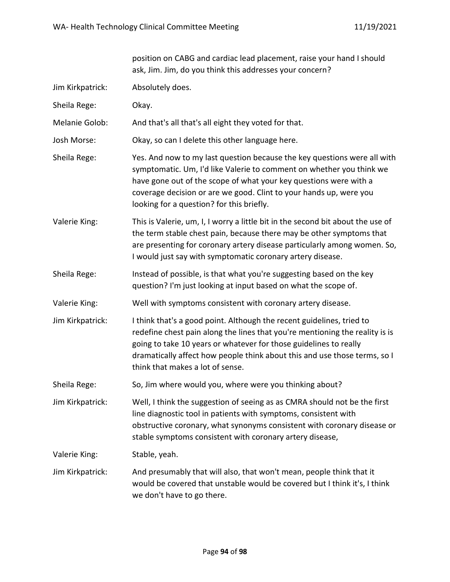|                  | position on CABG and cardiac lead placement, raise your hand I should<br>ask, Jim. Jim, do you think this addresses your concern?                                                                                                                                                                                                           |
|------------------|---------------------------------------------------------------------------------------------------------------------------------------------------------------------------------------------------------------------------------------------------------------------------------------------------------------------------------------------|
| Jim Kirkpatrick: | Absolutely does.                                                                                                                                                                                                                                                                                                                            |
| Sheila Rege:     | Okay.                                                                                                                                                                                                                                                                                                                                       |
| Melanie Golob:   | And that's all that's all eight they voted for that.                                                                                                                                                                                                                                                                                        |
| Josh Morse:      | Okay, so can I delete this other language here.                                                                                                                                                                                                                                                                                             |
| Sheila Rege:     | Yes. And now to my last question because the key questions were all with<br>symptomatic. Um, I'd like Valerie to comment on whether you think we<br>have gone out of the scope of what your key questions were with a<br>coverage decision or are we good. Clint to your hands up, were you<br>looking for a question? for this briefly.    |
| Valerie King:    | This is Valerie, um, I, I worry a little bit in the second bit about the use of<br>the term stable chest pain, because there may be other symptoms that<br>are presenting for coronary artery disease particularly among women. So,<br>I would just say with symptomatic coronary artery disease.                                           |
| Sheila Rege:     | Instead of possible, is that what you're suggesting based on the key<br>question? I'm just looking at input based on what the scope of.                                                                                                                                                                                                     |
| Valerie King:    | Well with symptoms consistent with coronary artery disease.                                                                                                                                                                                                                                                                                 |
| Jim Kirkpatrick: | I think that's a good point. Although the recent guidelines, tried to<br>redefine chest pain along the lines that you're mentioning the reality is is<br>going to take 10 years or whatever for those guidelines to really<br>dramatically affect how people think about this and use those terms, so I<br>think that makes a lot of sense. |
| Sheila Rege:     | So, Jim where would you, where were you thinking about?                                                                                                                                                                                                                                                                                     |
| Jim Kirkpatrick: | Well, I think the suggestion of seeing as as CMRA should not be the first<br>line diagnostic tool in patients with symptoms, consistent with<br>obstructive coronary, what synonyms consistent with coronary disease or<br>stable symptoms consistent with coronary artery disease,                                                         |
| Valerie King:    | Stable, yeah.                                                                                                                                                                                                                                                                                                                               |
| Jim Kirkpatrick: | And presumably that will also, that won't mean, people think that it<br>would be covered that unstable would be covered but I think it's, I think<br>we don't have to go there.                                                                                                                                                             |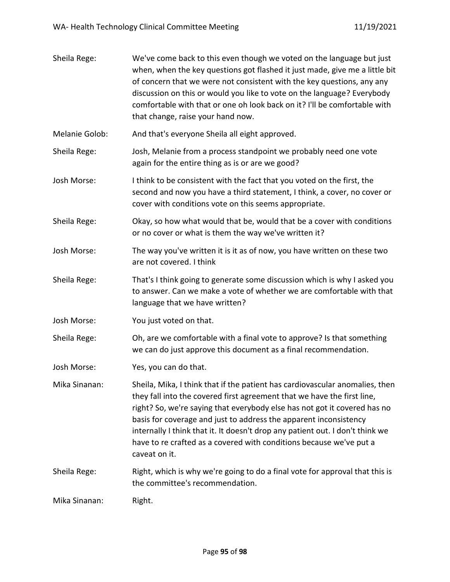| Sheila Rege:   | We've come back to this even though we voted on the language but just<br>when, when the key questions got flashed it just made, give me a little bit<br>of concern that we were not consistent with the key questions, any any<br>discussion on this or would you like to vote on the language? Everybody<br>comfortable with that or one oh look back on it? I'll be comfortable with<br>that change, raise your hand now.                                                        |
|----------------|------------------------------------------------------------------------------------------------------------------------------------------------------------------------------------------------------------------------------------------------------------------------------------------------------------------------------------------------------------------------------------------------------------------------------------------------------------------------------------|
| Melanie Golob: | And that's everyone Sheila all eight approved.                                                                                                                                                                                                                                                                                                                                                                                                                                     |
| Sheila Rege:   | Josh, Melanie from a process standpoint we probably need one vote<br>again for the entire thing as is or are we good?                                                                                                                                                                                                                                                                                                                                                              |
| Josh Morse:    | I think to be consistent with the fact that you voted on the first, the<br>second and now you have a third statement, I think, a cover, no cover or<br>cover with conditions vote on this seems appropriate.                                                                                                                                                                                                                                                                       |
| Sheila Rege:   | Okay, so how what would that be, would that be a cover with conditions<br>or no cover or what is them the way we've written it?                                                                                                                                                                                                                                                                                                                                                    |
| Josh Morse:    | The way you've written it is it as of now, you have written on these two<br>are not covered. I think                                                                                                                                                                                                                                                                                                                                                                               |
| Sheila Rege:   | That's I think going to generate some discussion which is why I asked you<br>to answer. Can we make a vote of whether we are comfortable with that<br>language that we have written?                                                                                                                                                                                                                                                                                               |
| Josh Morse:    | You just voted on that.                                                                                                                                                                                                                                                                                                                                                                                                                                                            |
| Sheila Rege:   | Oh, are we comfortable with a final vote to approve? Is that something<br>we can do just approve this document as a final recommendation.                                                                                                                                                                                                                                                                                                                                          |
| Josh Morse:    | Yes, you can do that.                                                                                                                                                                                                                                                                                                                                                                                                                                                              |
| Mika Sinanan:  | Sheila, Mika, I think that if the patient has cardiovascular anomalies, then<br>they fall into the covered first agreement that we have the first line,<br>right? So, we're saying that everybody else has not got it covered has no<br>basis for coverage and just to address the apparent inconsistency<br>internally I think that it. It doesn't drop any patient out. I don't think we<br>have to re crafted as a covered with conditions because we've put a<br>caveat on it. |
| Sheila Rege:   | Right, which is why we're going to do a final vote for approval that this is<br>the committee's recommendation.                                                                                                                                                                                                                                                                                                                                                                    |
| Mika Sinanan:  | Right.                                                                                                                                                                                                                                                                                                                                                                                                                                                                             |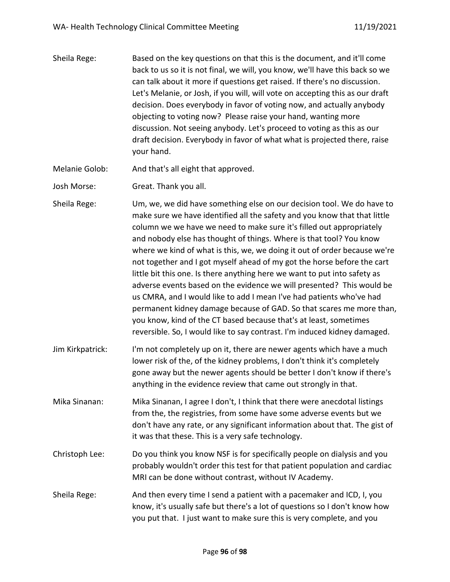Sheila Rege: Based on the key questions on that this is the document, and it'll come back to us so it is not final, we will, you know, we'll have this back so we can talk about it more if questions get raised. If there's no discussion. Let's Melanie, or Josh, if you will, will vote on accepting this as our draft decision. Does everybody in favor of voting now, and actually anybody objecting to voting now? Please raise your hand, wanting more discussion. Not seeing anybody. Let's proceed to voting as this as our draft decision. Everybody in favor of what what is projected there, raise your hand.

Melanie Golob: And that's all eight that approved.

Josh Morse: Great. Thank you all.

Sheila Rege: Um, we, we did have something else on our decision tool. We do have to make sure we have identified all the safety and you know that that little column we we have we need to make sure it's filled out appropriately and nobody else has thought of things. Where is that tool? You know where we kind of what is this, we, we doing it out of order because we're not together and I got myself ahead of my got the horse before the cart little bit this one. Is there anything here we want to put into safety as adverse events based on the evidence we will presented? This would be us CMRA, and I would like to add I mean I've had patients who've had permanent kidney damage because of GAD. So that scares me more than, you know, kind of the CT based because that's at least, sometimes reversible. So, I would like to say contrast. I'm induced kidney damaged.

- Jim Kirkpatrick: I'm not completely up on it, there are newer agents which have a much lower risk of the, of the kidney problems, I don't think it's completely gone away but the newer agents should be better I don't know if there's anything in the evidence review that came out strongly in that.
- Mika Sinanan: Mika Sinanan, I agree I don't, I think that there were anecdotal listings from the, the registries, from some have some adverse events but we don't have any rate, or any significant information about that. The gist of it was that these. This is a very safe technology.
- Christoph Lee: Do you think you know NSF is for specifically people on dialysis and you probably wouldn't order this test for that patient population and cardiac MRI can be done without contrast, without IV Academy.
- Sheila Rege: And then every time I send a patient with a pacemaker and ICD, I, you know, it's usually safe but there's a lot of questions so I don't know how you put that. I just want to make sure this is very complete, and you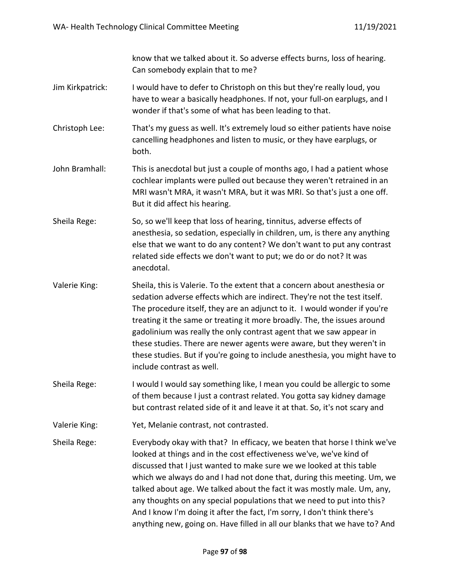know that we talked about it. So adverse effects burns, loss of hearing. Can somebody explain that to me?

- Jim Kirkpatrick: I would have to defer to Christoph on this but they're really loud, you have to wear a basically headphones. If not, your full-on earplugs, and I wonder if that's some of what has been leading to that.
- Christoph Lee: That's my guess as well. It's extremely loud so either patients have noise cancelling headphones and listen to music, or they have earplugs, or both.
- John Bramhall: This is anecdotal but just a couple of months ago, I had a patient whose cochlear implants were pulled out because they weren't retrained in an MRI wasn't MRA, it wasn't MRA, but it was MRI. So that's just a one off. But it did affect his hearing.
- Sheila Rege: So, so we'll keep that loss of hearing, tinnitus, adverse effects of anesthesia, so sedation, especially in children, um, is there any anything else that we want to do any content? We don't want to put any contrast related side effects we don't want to put; we do or do not? It was anecdotal.
- Valerie King: Sheila, this is Valerie. To the extent that a concern about anesthesia or sedation adverse effects which are indirect. They're not the test itself. The procedure itself, they are an adjunct to it. I would wonder if you're treating it the same or treating it more broadly. The, the issues around gadolinium was really the only contrast agent that we saw appear in these studies. There are newer agents were aware, but they weren't in these studies. But if you're going to include anesthesia, you might have to include contrast as well.
- Sheila Rege: I would I would say something like, I mean you could be allergic to some of them because I just a contrast related. You gotta say kidney damage but contrast related side of it and leave it at that. So, it's not scary and
- Valerie King: Yet, Melanie contrast, not contrasted.
- Sheila Rege: Everybody okay with that? In efficacy, we beaten that horse I think we've looked at things and in the cost effectiveness we've, we've kind of discussed that I just wanted to make sure we we looked at this table which we always do and I had not done that, during this meeting. Um, we talked about age. We talked about the fact it was mostly male. Um, any, any thoughts on any special populations that we need to put into this? And I know I'm doing it after the fact, I'm sorry, I don't think there's anything new, going on. Have filled in all our blanks that we have to? And